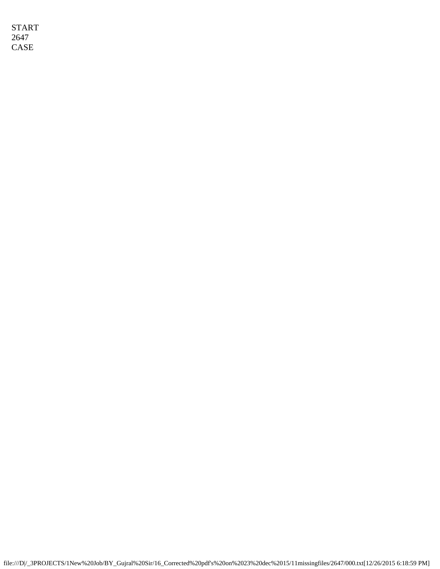START 2647 CASE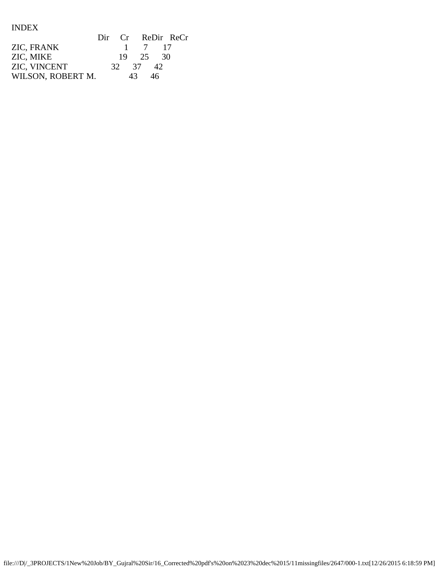INDEX

|                   |          |     |          | Dir Cr ReDir ReCr |
|-------------------|----------|-----|----------|-------------------|
| ZIC, FRANK        |          |     | 1 7 17   |                   |
| ZIC, MIKE         |          |     | 19 25 30 |                   |
| ZIC, VINCENT      | 32 37 42 |     |          |                   |
| WILSON, ROBERT M. |          | 43. | 46       |                   |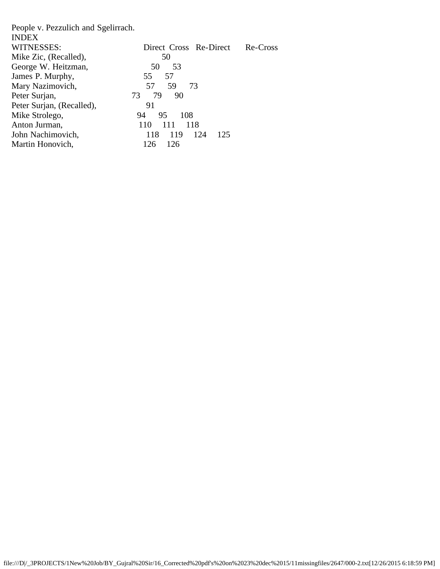| People v. Pezzulich and Sgelirrach. |                          |          |
|-------------------------------------|--------------------------|----------|
| <b>INDEX</b>                        |                          |          |
| WITNESSES:                          | Direct Cross Re-Direct   | Re-Cross |
| Mike Zic, (Recalled),               | 50                       |          |
| George W. Heitzman,                 | 50<br>- 53               |          |
| James P. Murphy,                    | 57<br>55                 |          |
| Mary Nazimovich,                    | 57<br>59<br>-73          |          |
| Peter Surjan,                       | 79<br>73<br>90           |          |
| Peter Surjan, (Recalled),           | 91                       |          |
| Mike Strolego,                      | 95<br>108<br>94          |          |
| Anton Jurman,                       | 111<br>118<br>110        |          |
| John Nachimovich,                   | 119<br>124<br>118<br>125 |          |
| Martin Honovich,                    | 126<br>126               |          |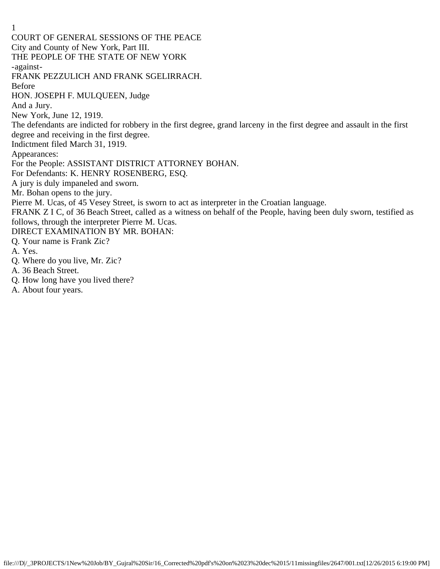1 COURT OF GENERAL SESSIONS OF THE PEACE City and County of New York, Part III. THE PEOPLE OF THE STATE OF NEW YORK -against-FRANK PEZZULICH AND FRANK SGELIRRACH. Before HON. JOSEPH F. MULQUEEN, Judge And a Jury. New York, June 12, 1919. The defendants are indicted for robbery in the first degree, grand larceny in the first degree and assault in the first degree and receiving in the first degree. Indictment filed March 31, 1919. Appearances: For the People: ASSISTANT DISTRICT ATTORNEY BOHAN. For Defendants: K. HENRY ROSENBERG, ESQ. A jury is duly impaneled and sworn. Mr. Bohan opens to the jury. Pierre M. Ucas, of 45 Vesey Street, is sworn to act as interpreter in the Croatian language. FRANK Z I C, of 36 Beach Street, called as a witness on behalf of the People, having been duly sworn, testified as follows, through the interpreter Pierre M. Ucas. DIRECT EXAMINATION BY MR. BOHAN: Q. Your name is Frank Zic? A. Yes. Q. Where do you live, Mr. Zic? A. 36 Beach Street.

- Q. How long have you lived there?
- A. About four years.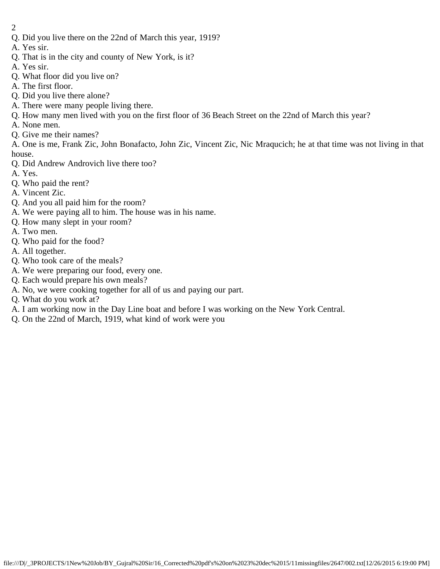- 2
- Q. Did you live there on the 22nd of March this year, 1919?
- A. Yes sir.
- Q. That is in the city and county of New York, is it?
- A. Yes sir.
- Q. What floor did you live on?
- A. The first floor.
- Q. Did you live there alone?
- A. There were many people living there.
- Q. How many men lived with you on the first floor of 36 Beach Street on the 22nd of March this year?
- A. None men.
- Q. Give me their names?

A. One is me, Frank Zic, John Bonafacto, John Zic, Vincent Zic, Nic Mraqucich; he at that time was not living in that house.

- Q. Did Andrew Androvich live there too?
- A. Yes.
- Q. Who paid the rent?
- A. Vincent Zic.
- Q. And you all paid him for the room?
- A. We were paying all to him. The house was in his name.
- Q. How many slept in your room?
- A. Two men.
- Q. Who paid for the food?
- A. All together.
- Q. Who took care of the meals?
- A. We were preparing our food, every one.
- Q. Each would prepare his own meals?
- A. No, we were cooking together for all of us and paying our part.
- Q. What do you work at?
- A. I am working now in the Day Line boat and before I was working on the New York Central.
- Q. On the 22nd of March, 1919, what kind of work were you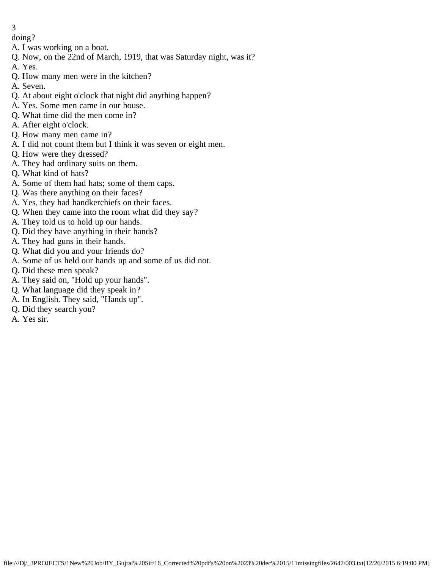- doing?
- A. I was working on a boat.
- Q. Now, on the 22nd of March, 1919, that was Saturday night, was it?
- A. Yes.
- Q. How many men were in the kitchen?
- A. Seven.
- Q. At about eight o'clock that night did anything happen?
- A. Yes. Some men came in our house.
- Q. What time did the men come in?
- A. After eight o'clock.
- Q. How many men came in?
- A. I did not count them but I think it was seven or eight men.
- Q. How were they dressed?
- A. They had ordinary suits on them.
- Q. What kind of hats?
- A. Some of them had hats; some of them caps.
- Q. Was there anything on their faces?
- A. Yes, they had handkerchiefs on their faces.
- Q. When they came into the room what did they say?
- A. They told us to hold up our hands.
- Q. Did they have anything in their hands?
- A. They had guns in their hands.
- Q. What did you and your friends do?
- A. Some of us held our hands up and some of us did not.
- Q. Did these men speak?
- A. They said on, "Hold up your hands".
- Q. What language did they speak in?
- A. In English. They said, "Hands up".
- Q. Did they search you?
- A. Yes sir.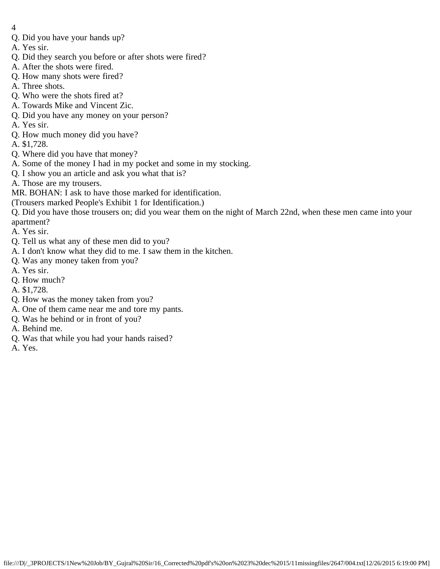- 4
- Q. Did you have your hands up?
- A. Yes sir.
- Q. Did they search you before or after shots were fired?
- A. After the shots were fired.
- Q. How many shots were fired?
- A. Three shots.
- Q. Who were the shots fired at?
- A. Towards Mike and Vincent Zic.
- Q. Did you have any money on your person?
- A. Yes sir.
- Q. How much money did you have?
- A. \$1,728.
- Q. Where did you have that money?
- A. Some of the money I had in my pocket and some in my stocking.
- Q. I show you an article and ask you what that is?
- A. Those are my trousers.
- MR. BOHAN: I ask to have those marked for identification.
- (Trousers marked People's Exhibit 1 for Identification.)
- Q. Did you have those trousers on; did you wear them on the night of March 22nd, when these men came into your apartment?
- A. Yes sir.
- Q. Tell us what any of these men did to you?
- A. I don't know what they did to me. I saw them in the kitchen.
- Q. Was any money taken from you?
- A. Yes sir.
- Q. How much?
- A. \$1,728.
- Q. How was the money taken from you?
- A. One of them came near me and tore my pants.
- Q. Was he behind or in front of you?
- A. Behind me.
- Q. Was that while you had your hands raised?
- A. Yes.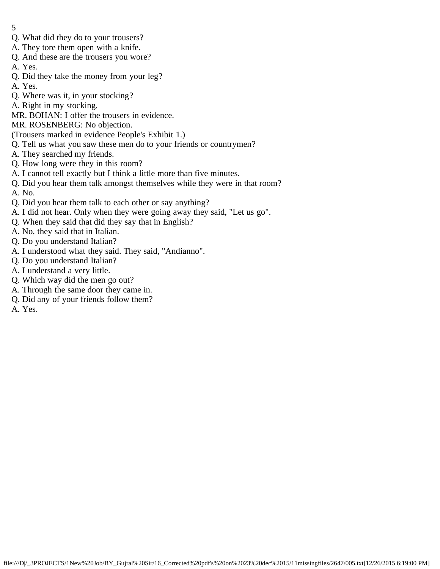- 5
- Q. What did they do to your trousers?
- A. They tore them open with a knife.
- Q. And these are the trousers you wore?
- A. Yes.
- Q. Did they take the money from your leg?
- A. Yes.
- Q. Where was it, in your stocking?
- A. Right in my stocking.
- MR. BOHAN: I offer the trousers in evidence.
- MR. ROSENBERG: No objection.
- (Trousers marked in evidence People's Exhibit 1.)
- Q. Tell us what you saw these men do to your friends or countrymen?
- A. They searched my friends.
- Q. How long were they in this room?
- A. I cannot tell exactly but I think a little more than five minutes.
- Q. Did you hear them talk amongst themselves while they were in that room? A. No.
- Q. Did you hear them talk to each other or say anything?
- A. I did not hear. Only when they were going away they said, "Let us go".
- Q. When they said that did they say that in English?
- A. No, they said that in Italian.
- Q. Do you understand Italian?
- A. I understood what they said. They said, "Andianno".
- Q. Do you understand Italian?
- A. I understand a very little.
- Q. Which way did the men go out?
- A. Through the same door they came in.
- Q. Did any of your friends follow them?
- A. Yes.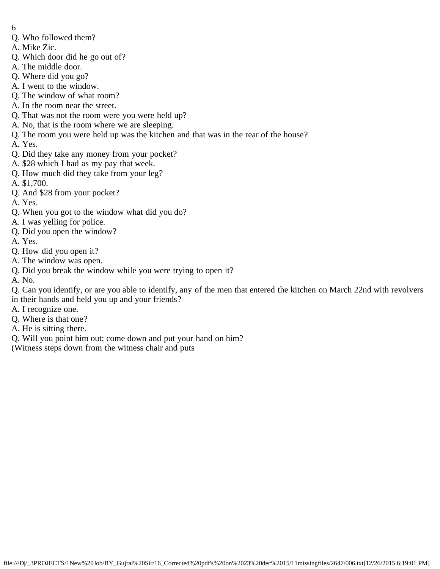- 6
- Q. Who followed them?
- A. Mike Zic.
- Q. Which door did he go out of?
- A. The middle door.
- Q. Where did you go?
- A. I went to the window.
- Q. The window of what room?
- A. In the room near the street.
- Q. That was not the room were you were held up?
- A. No, that is the room where we are sleeping.
- Q. The room you were held up was the kitchen and that was in the rear of the house?
- A. Yes.
- Q. Did they take any money from your pocket?
- A. \$28 which I had as my pay that week.
- Q. How much did they take from your leg?
- A. \$1,700.
- Q. And \$28 from your pocket?
- A. Yes.
- Q. When you got to the window what did you do?
- A. I was yelling for police.
- Q. Did you open the window?
- A. Yes.
- Q. How did you open it?
- A. The window was open.
- Q. Did you break the window while you were trying to open it?
- A. No.
- Q. Can you identify, or are you able to identify, any of the men that entered the kitchen on March 22nd with revolvers in their hands and held you up and your friends?
- A. I recognize one.
- Q. Where is that one?
- A. He is sitting there.
- Q. Will you point him out; come down and put your hand on him?
- (Witness steps down from the witness chair and puts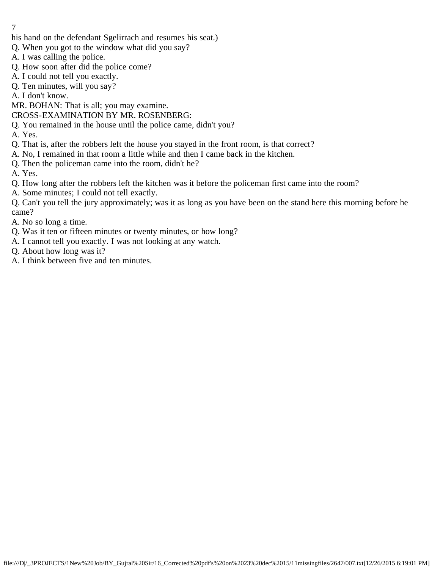- his hand on the defendant Sgelirrach and resumes his seat.)
- Q. When you got to the window what did you say?
- A. I was calling the police.
- Q. How soon after did the police come?
- A. I could not tell you exactly.
- Q. Ten minutes, will you say?

A. I don't know.

MR. BOHAN: That is all; you may examine.

CROSS-EXAMINATION BY MR. ROSENBERG:

Q. You remained in the house until the police came, didn't you?

A. Yes.

- Q. That is, after the robbers left the house you stayed in the front room, is that correct?
- A. No, I remained in that room a little while and then I came back in the kitchen.
- Q. Then the policeman came into the room, didn't he?

A. Yes.

- Q. How long after the robbers left the kitchen was it before the policeman first came into the room?
- A. Some minutes; I could not tell exactly.

Q. Can't you tell the jury approximately; was it as long as you have been on the stand here this morning before he came?

A. No so long a time.

- Q. Was it ten or fifteen minutes or twenty minutes, or how long?
- A. I cannot tell you exactly. I was not looking at any watch.
- Q. About how long was it?
- A. I think between five and ten minutes.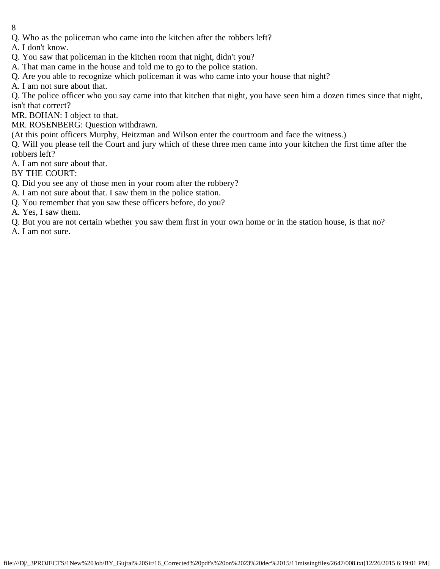- 8
- Q. Who as the policeman who came into the kitchen after the robbers left?

A. I don't know.

- Q. You saw that policeman in the kitchen room that night, didn't you?
- A. That man came in the house and told me to go to the police station.
- Q. Are you able to recognize which policeman it was who came into your house that night?

A. I am not sure about that.

Q. The police officer who you say came into that kitchen that night, you have seen him a dozen times since that night, isn't that correct?

MR. BOHAN: I object to that.

MR. ROSENBERG: Question withdrawn.

(At this point officers Murphy, Heitzman and Wilson enter the courtroom and face the witness.)

Q. Will you please tell the Court and jury which of these three men came into your kitchen the first time after the robbers left?

A. I am not sure about that.

BY THE COURT:

- Q. Did you see any of those men in your room after the robbery?
- A. I am not sure about that. I saw them in the police station.
- Q. You remember that you saw these officers before, do you?

A. Yes, I saw them.

Q. But you are not certain whether you saw them first in your own home or in the station house, is that no?

A. I am not sure.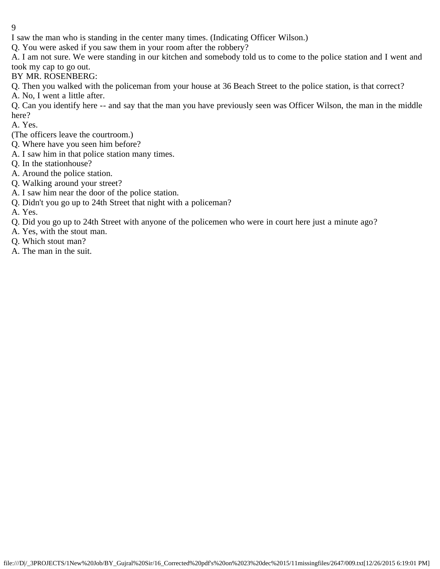I saw the man who is standing in the center many times. (Indicating Officer Wilson.)

Q. You were asked if you saw them in your room after the robbery?

A. I am not sure. We were standing in our kitchen and somebody told us to come to the police station and I went and took my cap to go out.

BY MR. ROSENBERG:

Q. Then you walked with the policeman from your house at 36 Beach Street to the police station, is that correct?

A. No, I went a little after.

Q. Can you identify here -- and say that the man you have previously seen was Officer Wilson, the man in the middle here?

A. Yes.

- (The officers leave the courtroom.)
- Q. Where have you seen him before?
- A. I saw him in that police station many times.
- Q. In the stationhouse?
- A. Around the police station.
- Q. Walking around your street?
- A. I saw him near the door of the police station.
- Q. Didn't you go up to 24th Street that night with a policeman?

A. Yes.

- Q. Did you go up to 24th Street with anyone of the policemen who were in court here just a minute ago?
- A. Yes, with the stout man.
- Q. Which stout man?
- A. The man in the suit.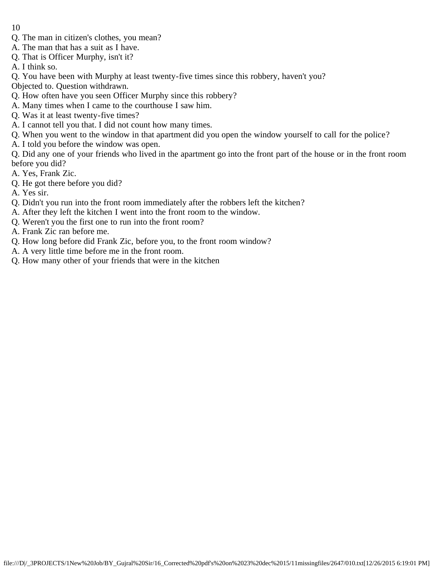- 10
- Q. The man in citizen's clothes, you mean?
- A. The man that has a suit as I have.
- Q. That is Officer Murphy, isn't it?
- A. I think so.
- Q. You have been with Murphy at least twenty-five times since this robbery, haven't you?
- Objected to. Question withdrawn.
- Q. How often have you seen Officer Murphy since this robbery?
- A. Many times when I came to the courthouse I saw him.
- Q. Was it at least twenty-five times?
- A. I cannot tell you that. I did not count how many times.
- Q. When you went to the window in that apartment did you open the window yourself to call for the police?
- A. I told you before the window was open.

Q. Did any one of your friends who lived in the apartment go into the front part of the house or in the front room before you did?

- A. Yes, Frank Zic.
- Q. He got there before you did?
- A. Yes sir.
- Q. Didn't you run into the front room immediately after the robbers left the kitchen?
- A. After they left the kitchen I went into the front room to the window.
- Q. Weren't you the first one to run into the front room?
- A. Frank Zic ran before me.
- Q. How long before did Frank Zic, before you, to the front room window?
- A. A very little time before me in the front room.
- Q. How many other of your friends that were in the kitchen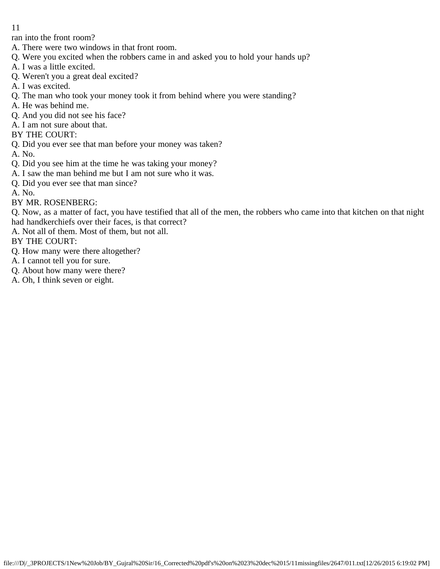ran into the front room?

- A. There were two windows in that front room.
- Q. Were you excited when the robbers came in and asked you to hold your hands up?
- A. I was a little excited.
- Q. Weren't you a great deal excited?
- A. I was excited.
- Q. The man who took your money took it from behind where you were standing?
- A. He was behind me.
- Q. And you did not see his face?
- A. I am not sure about that.
- BY THE COURT:
- Q. Did you ever see that man before your money was taken?
- A. No.
- Q. Did you see him at the time he was taking your money?
- A. I saw the man behind me but I am not sure who it was.
- Q. Did you ever see that man since?
- A. No.
- BY MR. ROSENBERG:

Q. Now, as a matter of fact, you have testified that all of the men, the robbers who came into that kitchen on that night had handkerchiefs over their faces, is that correct?

A. Not all of them. Most of them, but not all.

BY THE COURT:

- Q. How many were there altogether?
- A. I cannot tell you for sure.
- Q. About how many were there?
- A. Oh, I think seven or eight.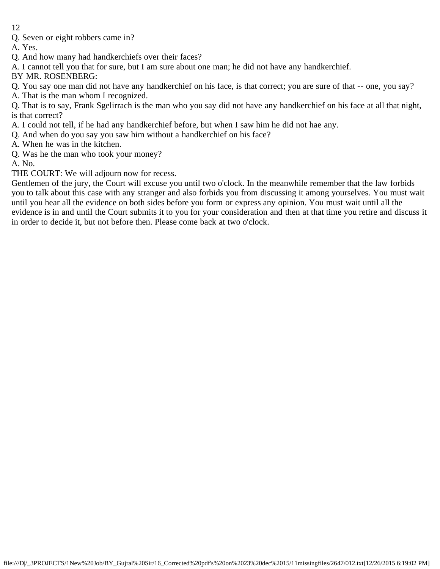Q. Seven or eight robbers came in?

A. Yes.

- Q. And how many had handkerchiefs over their faces?
- A. I cannot tell you that for sure, but I am sure about one man; he did not have any handkerchief.

BY MR. ROSENBERG:

- Q. You say one man did not have any handkerchief on his face, is that correct; you are sure of that -- one, you say?
- A. That is the man whom I recognized.

Q. That is to say, Frank Sgelirrach is the man who you say did not have any handkerchief on his face at all that night, is that correct?

- A. I could not tell, if he had any handkerchief before, but when I saw him he did not hae any.
- Q. And when do you say you saw him without a handkerchief on his face?
- A. When he was in the kitchen.
- Q. Was he the man who took your money?

A. No.

THE COURT: We will adjourn now for recess.

Gentlemen of the jury, the Court will excuse you until two o'clock. In the meanwhile remember that the law forbids you to talk about this case with any stranger and also forbids you from discussing it among yourselves. You must wait until you hear all the evidence on both sides before you form or express any opinion. You must wait until all the evidence is in and until the Court submits it to you for your consideration and then at that time you retire and discuss it in order to decide it, but not before then. Please come back at two o'clock.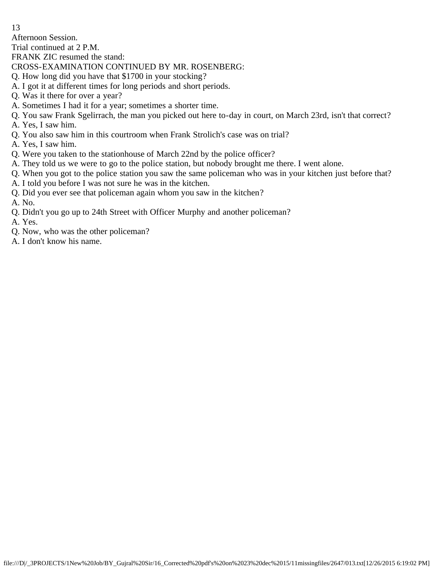Afternoon Session.

Trial continued at 2 P.M.

FRANK ZIC resumed the stand:

- CROSS-EXAMINATION CONTINUED BY MR. ROSENBERG:
- Q. How long did you have that \$1700 in your stocking?
- A. I got it at different times for long periods and short periods.
- Q. Was it there for over a year?
- A. Sometimes I had it for a year; sometimes a shorter time.
- Q. You saw Frank Sgelirrach, the man you picked out here to-day in court, on March 23rd, isn't that correct?
- A. Yes, I saw him.
- Q. You also saw him in this courtroom when Frank Strolich's case was on trial?
- A. Yes, I saw him.
- Q. Were you taken to the stationhouse of March 22nd by the police officer?
- A. They told us we were to go to the police station, but nobody brought me there. I went alone.
- Q. When you got to the police station you saw the same policeman who was in your kitchen just before that?
- A. I told you before I was not sure he was in the kitchen.
- Q. Did you ever see that policeman again whom you saw in the kitchen?
- A. No.
- Q. Didn't you go up to 24th Street with Officer Murphy and another policeman?

A. Yes.

- Q. Now, who was the other policeman?
- A. I don't know his name.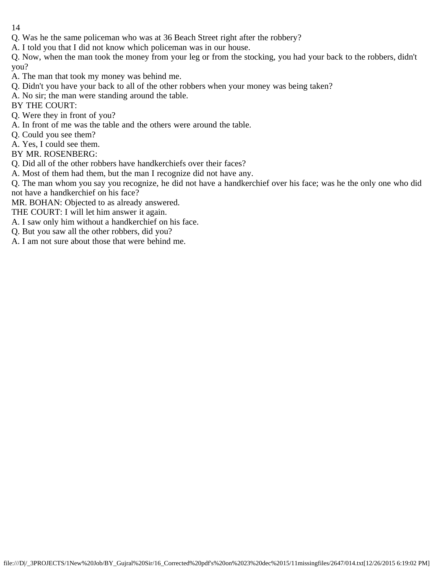Q. Was he the same policeman who was at 36 Beach Street right after the robbery?

A. I told you that I did not know which policeman was in our house.

Q. Now, when the man took the money from your leg or from the stocking, you had your back to the robbers, didn't you?

A. The man that took my money was behind me.

Q. Didn't you have your back to all of the other robbers when your money was being taken?

A. No sir; the man were standing around the table.

BY THE COURT:

Q. Were they in front of you?

A. In front of me was the table and the others were around the table.

Q. Could you see them?

A. Yes, I could see them.

BY MR. ROSENBERG:

Q. Did all of the other robbers have handkerchiefs over their faces?

A. Most of them had them, but the man I recognize did not have any.

Q. The man whom you say you recognize, he did not have a handkerchief over his face; was he the only one who did not have a handkerchief on his face?

MR. BOHAN: Objected to as already answered.

THE COURT: I will let him answer it again.

A. I saw only him without a handkerchief on his face.

Q. But you saw all the other robbers, did you?

A. I am not sure about those that were behind me.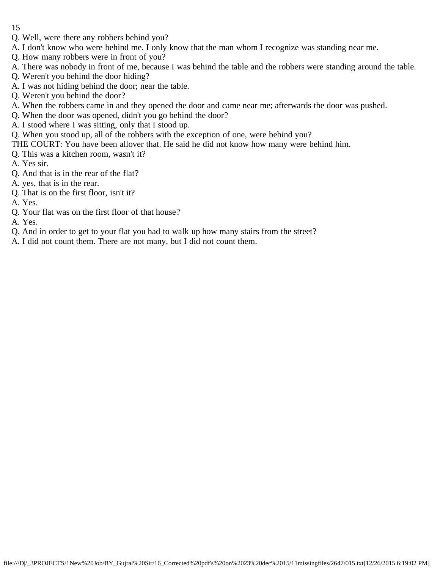- Q. Well, were there any robbers behind you?
- A. I don't know who were behind me. I only know that the man whom I recognize was standing near me.
- Q. How many robbers were in front of you?
- A. There was nobody in front of me, because I was behind the table and the robbers were standing around the table.
- Q. Weren't you behind the door hiding?
- A. I was not hiding behind the door; near the table.
- Q. Weren't you behind the door?
- A. When the robbers came in and they opened the door and came near me; afterwards the door was pushed.
- Q. When the door was opened, didn't you go behind the door?
- A. I stood where I was sitting, only that I stood up.
- Q. When you stood up, all of the robbers with the exception of one, were behind you?
- THE COURT: You have been allover that. He said he did not know how many were behind him.
- Q. This was a kitchen room, wasn't it?
- A. Yes sir.
- Q. And that is in the rear of the flat?
- A. yes, that is in the rear.
- Q. That is on the first floor, isn't it?
- A. Yes.
- Q. Your flat was on the first floor of that house?

A. Yes.

- Q. And in order to get to your flat you had to walk up how many stairs from the street?
- A. I did not count them. There are not many, but I did not count them.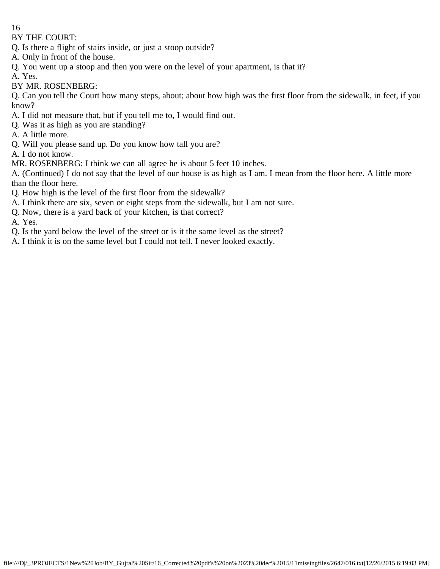BY THE COURT:

- Q. Is there a flight of stairs inside, or just a stoop outside?
- A. Only in front of the house.
- Q. You went up a stoop and then you were on the level of your apartment, is that it?
- A. Yes.
- BY MR. ROSENBERG:

Q. Can you tell the Court how many steps, about; about how high was the first floor from the sidewalk, in feet, if you know?

- A. I did not measure that, but if you tell me to, I would find out.
- Q. Was it as high as you are standing?
- A. A little more.
- Q. Will you please sand up. Do you know how tall you are?

A. I do not know.

MR. ROSENBERG: I think we can all agree he is about 5 feet 10 inches.

A. (Continued) I do not say that the level of our house is as high as I am. I mean from the floor here. A little more than the floor here.

- Q. How high is the level of the first floor from the sidewalk?
- A. I think there are six, seven or eight steps from the sidewalk, but I am not sure.
- Q. Now, there is a yard back of your kitchen, is that correct?

A. Yes.

- Q. Is the yard below the level of the street or is it the same level as the street?
- A. I think it is on the same level but I could not tell. I never looked exactly.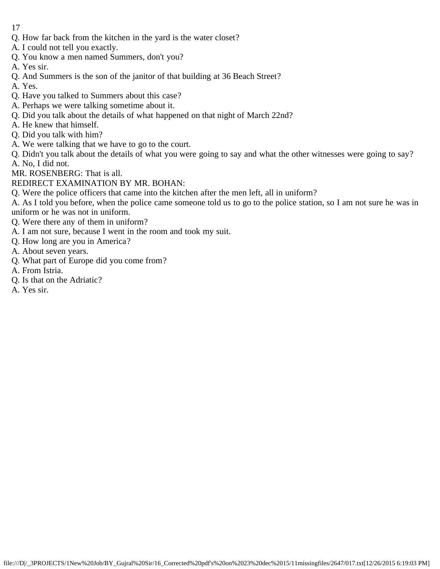- 17
- Q. How far back from the kitchen in the yard is the water closet?
- A. I could not tell you exactly.
- Q. You know a men named Summers, don't you?
- A. Yes sir.
- Q. And Summers is the son of the janitor of that building at 36 Beach Street?
- A. Yes.
- Q. Have you talked to Summers about this case?
- A. Perhaps we were talking sometime about it.
- Q. Did you talk about the details of what happened on that night of March 22nd?
- A. He knew that himself.
- Q. Did you talk with him?
- A. We were talking that we have to go to the court.
- Q. Didn't you talk about the details of what you were going to say and what the other witnesses were going to say? A. No, I did not.
- MR. ROSENBERG: That is all.
- REDIRECT EXAMINATION BY MR. BOHAN:
- Q. Were the police officers that came into the kitchen after the men left, all in uniform?
- A. As I told you before, when the police came someone told us to go to the police station, so I am not sure he was in uniform or he was not in uniform.
- Q. Were there any of them in uniform?
- A. I am not sure, because I went in the room and took my suit.
- Q. How long are you in America?
- A. About seven years.
- Q. What part of Europe did you come from?
- A. From Istria.
- Q. Is that on the Adriatic?
- A. Yes sir.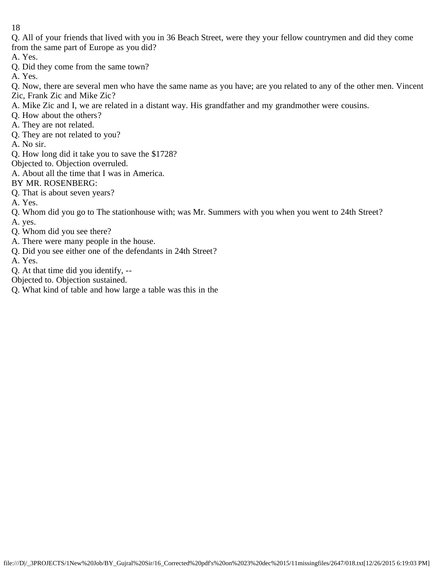Q. All of your friends that lived with you in 36 Beach Street, were they your fellow countrymen and did they come from the same part of Europe as you did?

A. Yes.

Q. Did they come from the same town?

A. Yes.

Q. Now, there are several men who have the same name as you have; are you related to any of the other men. Vincent Zic, Frank Zic and Mike Zic?

- A. Mike Zic and I, we are related in a distant way. His grandfather and my grandmother were cousins.
- Q. How about the others?
- A. They are not related.
- Q. They are not related to you?
- A. No sir.
- Q. How long did it take you to save the \$1728?
- Objected to. Objection overruled.
- A. About all the time that I was in America.
- BY MR. ROSENBERG:
- Q. That is about seven years?
- A. Yes.
- Q. Whom did you go to The stationhouse with; was Mr. Summers with you when you went to 24th Street?
- A. yes.
- Q. Whom did you see there?
- A. There were many people in the house.
- Q. Did you see either one of the defendants in 24th Street?
- A. Yes.
- Q. At that time did you identify, --
- Objected to. Objection sustained.
- Q. What kind of table and how large a table was this in the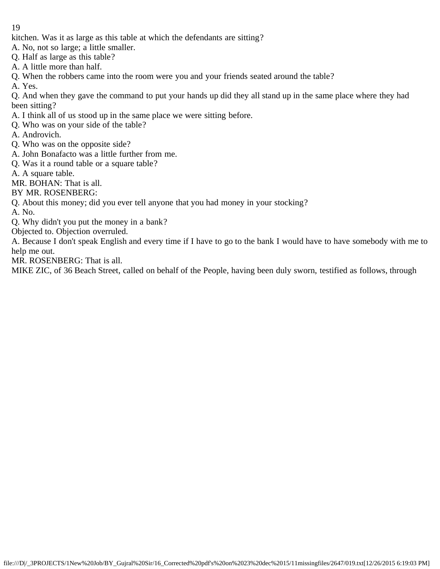- kitchen. Was it as large as this table at which the defendants are sitting?
- A. No, not so large; a little smaller.
- Q. Half as large as this table?
- A. A little more than half.
- Q. When the robbers came into the room were you and your friends seated around the table?
- A. Yes.

Q. And when they gave the command to put your hands up did they all stand up in the same place where they had been sitting?

- A. I think all of us stood up in the same place we were sitting before.
- Q. Who was on your side of the table?
- A. Androvich.
- Q. Who was on the opposite side?
- A. John Bonafacto was a little further from me.
- Q. Was it a round table or a square table?
- A. A square table.
- MR. BOHAN: That is all.
- BY MR. ROSENBERG:
- Q. About this money; did you ever tell anyone that you had money in your stocking?
- A. No.
- Q. Why didn't you put the money in a bank?
- Objected to. Objection overruled.

A. Because I don't speak English and every time if I have to go to the bank I would have to have somebody with me to help me out.

MR. ROSENBERG: That is all.

MIKE ZIC, of 36 Beach Street, called on behalf of the People, having been duly sworn, testified as follows, through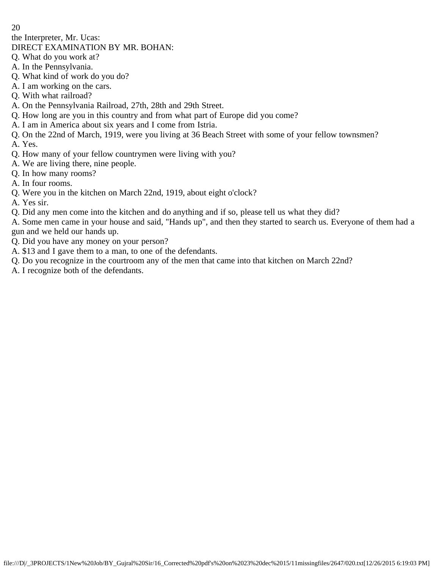the Interpreter, Mr. Ucas:

## DIRECT EXAMINATION BY MR. BOHAN:

- Q. What do you work at?
- A. In the Pennsylvania.
- Q. What kind of work do you do?
- A. I am working on the cars.
- Q. With what railroad?
- A. On the Pennsylvania Railroad, 27th, 28th and 29th Street.
- Q. How long are you in this country and from what part of Europe did you come?
- A. I am in America about six years and I come from Istria.
- Q. On the 22nd of March, 1919, were you living at 36 Beach Street with some of your fellow townsmen?
- A. Yes.
- Q. How many of your fellow countrymen were living with you?
- A. We are living there, nine people.
- Q. In how many rooms?
- A. In four rooms.
- Q. Were you in the kitchen on March 22nd, 1919, about eight o'clock?
- A. Yes sir.
- Q. Did any men come into the kitchen and do anything and if so, please tell us what they did?

A. Some men came in your house and said, "Hands up", and then they started to search us. Everyone of them had a gun and we held our hands up.

- Q. Did you have any money on your person?
- A. \$13 and I gave them to a man, to one of the defendants.
- Q. Do you recognize in the courtroom any of the men that came into that kitchen on March 22nd?
- A. I recognize both of the defendants.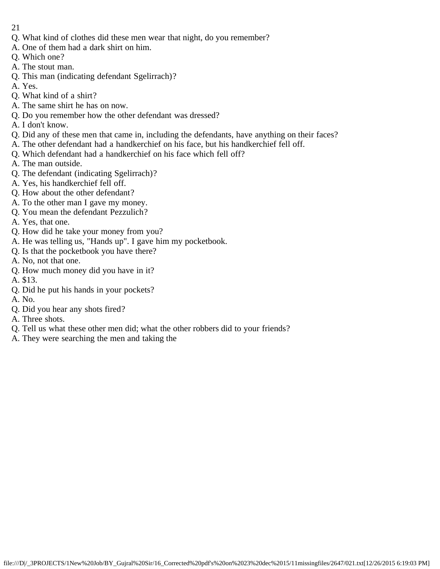- 21
- Q. What kind of clothes did these men wear that night, do you remember?
- A. One of them had a dark shirt on him.
- Q. Which one?
- A. The stout man.
- Q. This man (indicating defendant Sgelirrach)?
- A. Yes.
- Q. What kind of a shirt?
- A. The same shirt he has on now.
- Q. Do you remember how the other defendant was dressed?
- A. I don't know.
- Q. Did any of these men that came in, including the defendants, have anything on their faces?
- A. The other defendant had a handkerchief on his face, but his handkerchief fell off.
- Q. Which defendant had a handkerchief on his face which fell off?
- A. The man outside.
- Q. The defendant (indicating Sgelirrach)?
- A. Yes, his handkerchief fell off.
- Q. How about the other defendant?
- A. To the other man I gave my money.
- Q. You mean the defendant Pezzulich?
- A. Yes, that one.
- Q. How did he take your money from you?
- A. He was telling us, "Hands up". I gave him my pocketbook.
- Q. Is that the pocketbook you have there?
- A. No, not that one.
- Q. How much money did you have in it?
- A. \$13.
- Q. Did he put his hands in your pockets?
- A. No.
- Q. Did you hear any shots fired?
- A. Three shots.
- Q. Tell us what these other men did; what the other robbers did to your friends?
- A. They were searching the men and taking the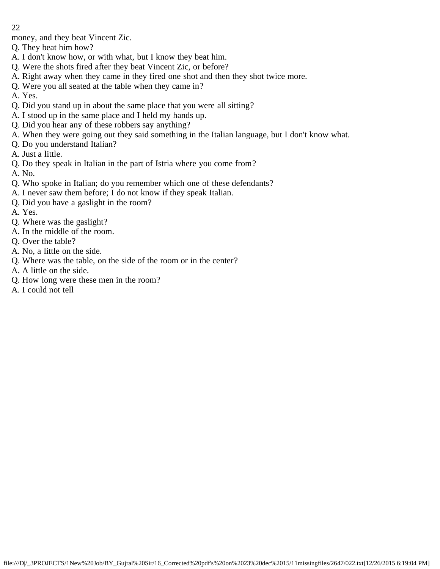money, and they beat Vincent Zic.

- Q. They beat him how?
- A. I don't know how, or with what, but I know they beat him.
- Q. Were the shots fired after they beat Vincent Zic, or before?
- A. Right away when they came in they fired one shot and then they shot twice more.
- Q. Were you all seated at the table when they came in?
- A. Yes.
- Q. Did you stand up in about the same place that you were all sitting?
- A. I stood up in the same place and I held my hands up.
- Q. Did you hear any of these robbers say anything?
- A. When they were going out they said something in the Italian language, but I don't know what.
- Q. Do you understand Italian?
- A. Just a little.
- Q. Do they speak in Italian in the part of Istria where you come from?
- A. No.
- Q. Who spoke in Italian; do you remember which one of these defendants?
- A. I never saw them before; I do not know if they speak Italian.
- Q. Did you have a gaslight in the room?
- A. Yes.
- Q. Where was the gaslight?
- A. In the middle of the room.
- Q. Over the table?
- A. No, a little on the side.
- Q. Where was the table, on the side of the room or in the center?
- A. A little on the side.
- Q. How long were these men in the room?
- A. I could not tell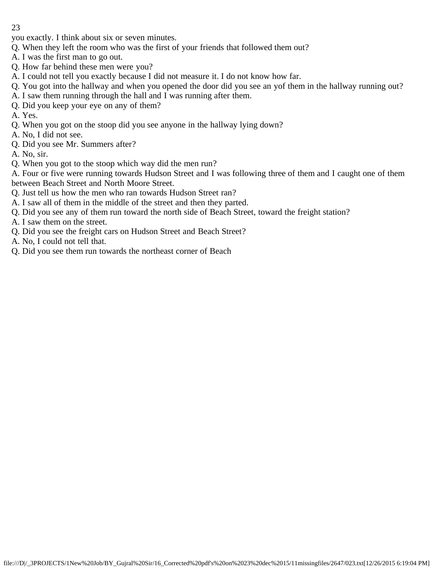you exactly. I think about six or seven minutes.

- Q. When they left the room who was the first of your friends that followed them out?
- A. I was the first man to go out.
- Q. How far behind these men were you?
- A. I could not tell you exactly because I did not measure it. I do not know how far.
- Q. You got into the hallway and when you opened the door did you see an yof them in the hallway running out?
- A. I saw them running through the hall and I was running after them.
- Q. Did you keep your eye on any of them?

A. Yes.

- Q. When you got on the stoop did you see anyone in the hallway lying down?
- A. No, I did not see.
- Q. Did you see Mr. Summers after?
- A. No, sir.
- Q. When you got to the stoop which way did the men run?

A. Four or five were running towards Hudson Street and I was following three of them and I caught one of them between Beach Street and North Moore Street.

- Q. Just tell us how the men who ran towards Hudson Street ran?
- A. I saw all of them in the middle of the street and then they parted.
- Q. Did you see any of them run toward the north side of Beach Street, toward the freight station?

A. I saw them on the street.

- Q. Did you see the freight cars on Hudson Street and Beach Street?
- A. No, I could not tell that.
- Q. Did you see them run towards the northeast corner of Beach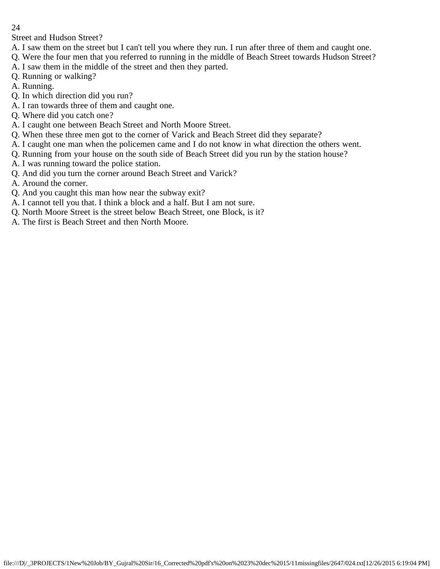Street and Hudson Street?

- A. I saw them on the street but I can't tell you where they run. I run after three of them and caught one.
- Q. Were the four men that you referred to running in the middle of Beach Street towards Hudson Street?
- A. I saw them in the middle of the street and then they parted.
- Q. Running or walking?
- A. Running.
- Q. In which direction did you run?
- A. I ran towards three of them and caught one.
- Q. Where did you catch one?
- A. I caught one between Beach Street and North Moore Street.
- Q. When these three men got to the corner of Varick and Beach Street did they separate?
- A. I caught one man when the policemen came and I do not know in what direction the others went.
- Q. Running from your house on the south side of Beach Street did you run by the station house?
- A. I was running toward the police station.
- Q. And did you turn the corner around Beach Street and Varick?
- A. Around the corner.
- Q. And you caught this man how near the subway exit?
- A. I cannot tell you that. I think a block and a half. But I am not sure.
- Q. North Moore Street is the street below Beach Street, one Block, is it?
- A. The first is Beach Street and then North Moore.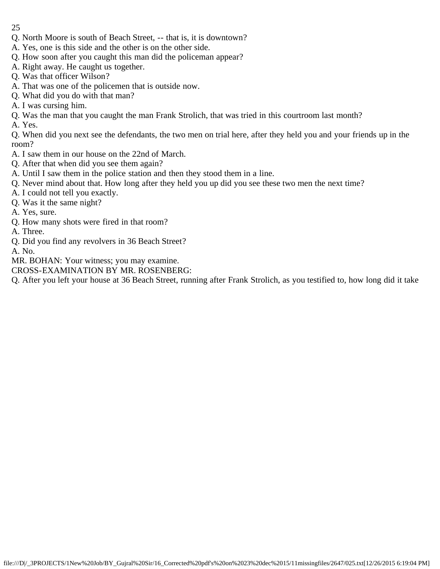- 25
- Q. North Moore is south of Beach Street, -- that is, it is downtown?
- A. Yes, one is this side and the other is on the other side.
- Q. How soon after you caught this man did the policeman appear?
- A. Right away. He caught us together.
- Q. Was that officer Wilson?
- A. That was one of the policemen that is outside now.
- Q. What did you do with that man?
- A. I was cursing him.
- Q. Was the man that you caught the man Frank Strolich, that was tried in this courtroom last month?
- A. Yes.

Q. When did you next see the defendants, the two men on trial here, after they held you and your friends up in the room?

- A. I saw them in our house on the 22nd of March.
- Q. After that when did you see them again?
- A. Until I saw them in the police station and then they stood them in a line.
- Q. Never mind about that. How long after they held you up did you see these two men the next time?
- A. I could not tell you exactly.
- Q. Was it the same night?
- A. Yes, sure.
- Q. How many shots were fired in that room?
- A. Three.
- Q. Did you find any revolvers in 36 Beach Street?
- A. No.
- MR. BOHAN: Your witness; you may examine.
- CROSS-EXAMINATION BY MR. ROSENBERG:
- Q. After you left your house at 36 Beach Street, running after Frank Strolich, as you testified to, how long did it take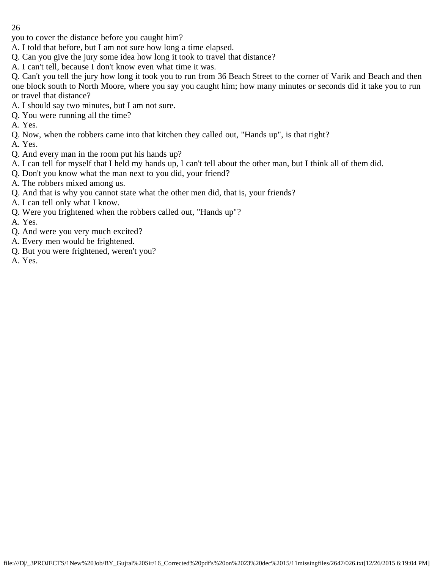you to cover the distance before you caught him?

- A. I told that before, but I am not sure how long a time elapsed.
- Q. Can you give the jury some idea how long it took to travel that distance?
- A. I can't tell, because I don't know even what time it was.

Q. Can't you tell the jury how long it took you to run from 36 Beach Street to the corner of Varik and Beach and then one block south to North Moore, where you say you caught him; how many minutes or seconds did it take you to run or travel that distance?

- A. I should say two minutes, but I am not sure.
- Q. You were running all the time?
- A. Yes.
- Q. Now, when the robbers came into that kitchen they called out, "Hands up", is that right?
- A. Yes.
- Q. And every man in the room put his hands up?
- A. I can tell for myself that I held my hands up, I can't tell about the other man, but I think all of them did.
- Q. Don't you know what the man next to you did, your friend?
- A. The robbers mixed among us.
- Q. And that is why you cannot state what the other men did, that is, your friends?
- A. I can tell only what I know.
- Q. Were you frightened when the robbers called out, "Hands up"?
- A. Yes.
- Q. And were you very much excited?
- A. Every men would be frightened.
- Q. But you were frightened, weren't you?
- A. Yes.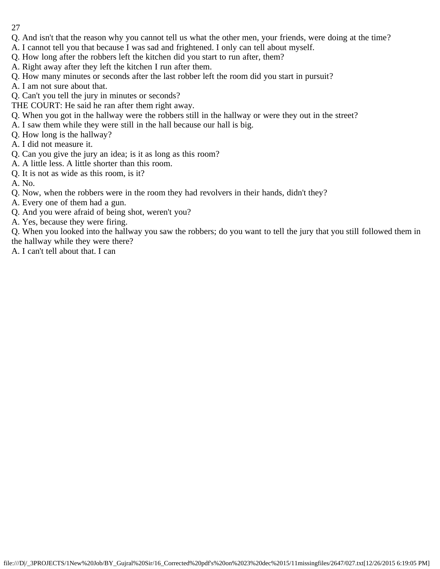- 27
- Q. And isn't that the reason why you cannot tell us what the other men, your friends, were doing at the time?
- A. I cannot tell you that because I was sad and frightened. I only can tell about myself.
- Q. How long after the robbers left the kitchen did you start to run after, them?
- A. Right away after they left the kitchen I run after them.
- Q. How many minutes or seconds after the last robber left the room did you start in pursuit?
- A. I am not sure about that.
- Q. Can't you tell the jury in minutes or seconds?
- THE COURT: He said he ran after them right away.
- Q. When you got in the hallway were the robbers still in the hallway or were they out in the street?
- A. I saw them while they were still in the hall because our hall is big.
- Q. How long is the hallway?
- A. I did not measure it.
- Q. Can you give the jury an idea; is it as long as this room?
- A. A little less. A little shorter than this room.
- Q. It is not as wide as this room, is it?
- A. No.
- Q. Now, when the robbers were in the room they had revolvers in their hands, didn't they?
- A. Every one of them had a gun.
- Q. And you were afraid of being shot, weren't you?
- A. Yes, because they were firing.

Q. When you looked into the hallway you saw the robbers; do you want to tell the jury that you still followed them in the hallway while they were there?

A. I can't tell about that. I can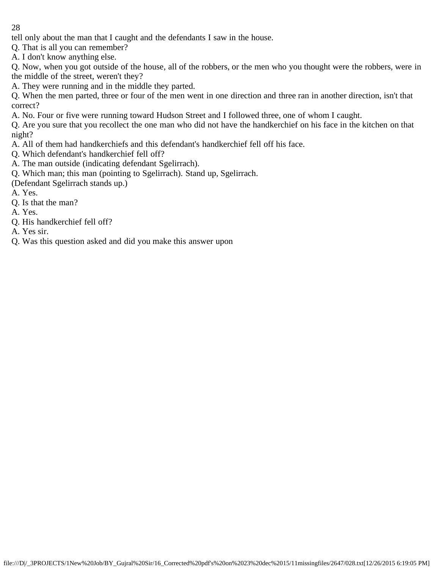tell only about the man that I caught and the defendants I saw in the house.

Q. That is all you can remember?

A. I don't know anything else.

Q. Now, when you got outside of the house, all of the robbers, or the men who you thought were the robbers, were in the middle of the street, weren't they?

A. They were running and in the middle they parted.

Q. When the men parted, three or four of the men went in one direction and three ran in another direction, isn't that correct?

A. No. Four or five were running toward Hudson Street and I followed three, one of whom I caught.

Q. Are you sure that you recollect the one man who did not have the handkerchief on his face in the kitchen on that night?

A. All of them had handkerchiefs and this defendant's handkerchief fell off his face.

Q. Which defendant's handkerchief fell off?

A. The man outside (indicating defendant Sgelirrach).

Q. Which man; this man (pointing to Sgelirrach). Stand up, Sgelirrach.

(Defendant Sgelirrach stands up.)

A. Yes.

Q. Is that the man?

A. Yes.

Q. His handkerchief fell off?

A. Yes sir.

Q. Was this question asked and did you make this answer upon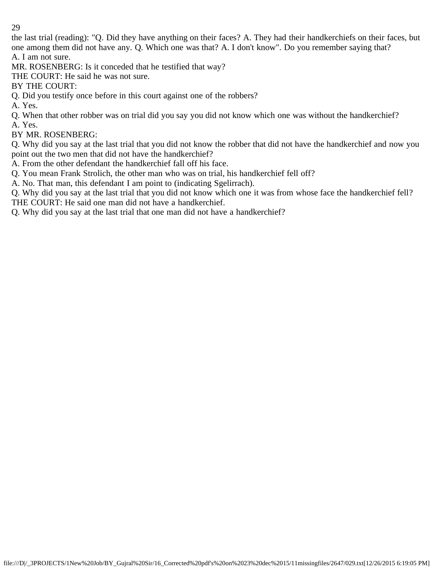the last trial (reading): "Q. Did they have anything on their faces? A. They had their handkerchiefs on their faces, but one among them did not have any. Q. Which one was that? A. I don't know". Do you remember saying that? A. I am not sure.

MR. ROSENBERG: Is it conceded that he testified that way?

THE COURT: He said he was not sure.

BY THE COURT:

Q. Did you testify once before in this court against one of the robbers?

A. Yes.

Q. When that other robber was on trial did you say you did not know which one was without the handkerchief? A. Yes.

BY MR. ROSENBERG:

Q. Why did you say at the last trial that you did not know the robber that did not have the handkerchief and now you point out the two men that did not have the handkerchief?

A. From the other defendant the handkerchief fall off his face.

Q. You mean Frank Strolich, the other man who was on trial, his handkerchief fell off?

A. No. That man, this defendant I am point to (indicating Sgelirrach).

Q. Why did you say at the last trial that you did not know which one it was from whose face the handkerchief fell? THE COURT: He said one man did not have a handkerchief.

Q. Why did you say at the last trial that one man did not have a handkerchief?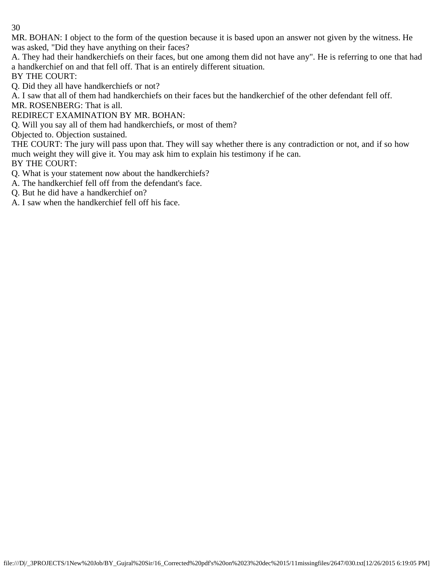MR. BOHAN: I object to the form of the question because it is based upon an answer not given by the witness. He was asked, "Did they have anything on their faces?

A. They had their handkerchiefs on their faces, but one among them did not have any". He is referring to one that had a handkerchief on and that fell off. That is an entirely different situation.

BY THE COURT:

Q. Did they all have handkerchiefs or not?

A. I saw that all of them had handkerchiefs on their faces but the handkerchief of the other defendant fell off.

MR. ROSENBERG: That is all.

REDIRECT EXAMINATION BY MR. BOHAN:

Q. Will you say all of them had handkerchiefs, or most of them?

Objected to. Objection sustained.

THE COURT: The jury will pass upon that. They will say whether there is any contradiction or not, and if so how much weight they will give it. You may ask him to explain his testimony if he can.

BY THE COURT:

Q. What is your statement now about the handkerchiefs?

A. The handkerchief fell off from the defendant's face.

Q. But he did have a handkerchief on?

A. I saw when the handkerchief fell off his face.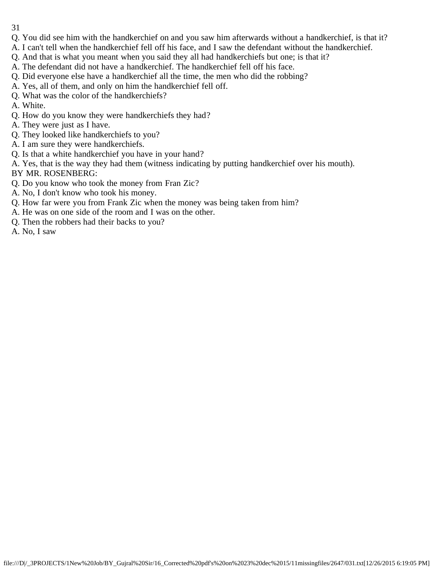- 31
- Q. You did see him with the handkerchief on and you saw him afterwards without a handkerchief, is that it?
- A. I can't tell when the handkerchief fell off his face, and I saw the defendant without the handkerchief.
- Q. And that is what you meant when you said they all had handkerchiefs but one; is that it?
- A. The defendant did not have a handkerchief. The handkerchief fell off his face.
- Q. Did everyone else have a handkerchief all the time, the men who did the robbing?
- A. Yes, all of them, and only on him the handkerchief fell off.
- Q. What was the color of the handkerchiefs?
- A. White.
- Q. How do you know they were handkerchiefs they had?
- A. They were just as I have.
- Q. They looked like handkerchiefs to you?
- A. I am sure they were handkerchiefs.
- Q. Is that a white handkerchief you have in your hand?
- A. Yes, that is the way they had them (witness indicating by putting handkerchief over his mouth).
- BY MR. ROSENBERG:
- Q. Do you know who took the money from Fran Zic?
- A. No, I don't know who took his money.
- Q. How far were you from Frank Zic when the money was being taken from him?
- A. He was on one side of the room and I was on the other.
- Q. Then the robbers had their backs to you?
- A. No, I saw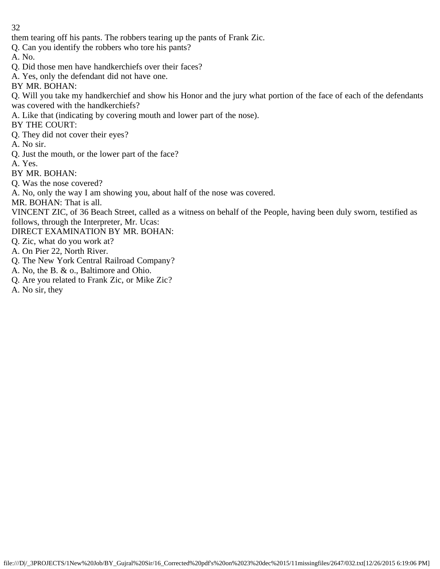them tearing off his pants. The robbers tearing up the pants of Frank Zic.

Q. Can you identify the robbers who tore his pants?

A. No.

- Q. Did those men have handkerchiefs over their faces?
- A. Yes, only the defendant did not have one.

BY MR. BOHAN:

Q. Will you take my handkerchief and show his Honor and the jury what portion of the face of each of the defendants was covered with the handkerchiefs?

A. Like that (indicating by covering mouth and lower part of the nose).

BY THE COURT:

Q. They did not cover their eyes?

A. No sir.

Q. Just the mouth, or the lower part of the face?

A. Yes.

BY MR. BOHAN:

Q. Was the nose covered?

A. No, only the way I am showing you, about half of the nose was covered.

MR. BOHAN: That is all.

VINCENT ZIC, of 36 Beach Street, called as a witness on behalf of the People, having been duly sworn, testified as follows, through the Interpreter, Mr. Ucas:

DIRECT EXAMINATION BY MR. BOHAN:

Q. Zic, what do you work at?

- A. On Pier 22, North River.
- Q. The New York Central Railroad Company?
- A. No, the B. & o., Baltimore and Ohio.
- Q. Are you related to Frank Zic, or Mike Zic?
- A. No sir, they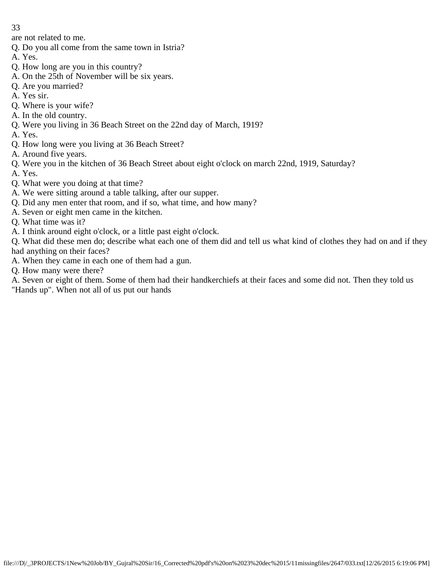are not related to me.

- Q. Do you all come from the same town in Istria?
- A. Yes.
- Q. How long are you in this country?
- A. On the 25th of November will be six years.
- Q. Are you married?
- A. Yes sir.
- Q. Where is your wife?
- A. In the old country.
- Q. Were you living in 36 Beach Street on the 22nd day of March, 1919?
- A. Yes.
- Q. How long were you living at 36 Beach Street?
- A. Around five years.
- Q. Were you in the kitchen of 36 Beach Street about eight o'clock on march 22nd, 1919, Saturday?
- A. Yes.
- Q. What were you doing at that time?
- A. We were sitting around a table talking, after our supper.
- Q. Did any men enter that room, and if so, what time, and how many?
- A. Seven or eight men came in the kitchen.
- Q. What time was it?
- A. I think around eight o'clock, or a little past eight o'clock.

Q. What did these men do; describe what each one of them did and tell us what kind of clothes they had on and if they had anything on their faces?

- A. When they came in each one of them had a gun.
- Q. How many were there?

A. Seven or eight of them. Some of them had their handkerchiefs at their faces and some did not. Then they told us "Hands up". When not all of us put our hands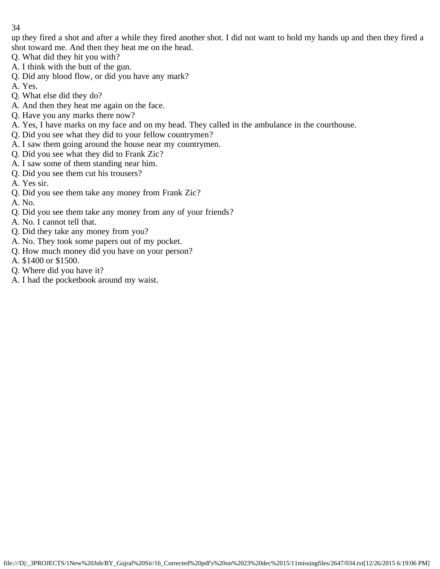up they fired a shot and after a while they fired another shot. I did not want to hold my hands up and then they fired a shot toward me. And then they heat me on the head.

- Q. What did they hit you with?
- A. I think with the butt of the gun.
- Q. Did any blood flow, or did you have any mark?
- A. Yes.
- Q. What else did they do?
- A. And then they heat me again on the face.
- Q. Have you any marks there now?
- A. Yes, I have marks on my face and on my head. They called in the ambulance in the courthouse.
- Q. Did you see what they did to your fellow countrymen?
- A. I saw them going around the house near my countrymen.
- Q. Did you see what they did to Frank Zic?
- A. I saw some of them standing near him.
- Q. Did you see them cut his trousers?
- A. Yes sir.
- Q. Did you see them take any money from Frank Zic?
- A. No.
- Q. Did you see them take any money from any of your friends?
- A. No. I cannot tell that.
- Q. Did they take any money from you?
- A. No. They took some papers out of my pocket.
- Q. How much money did you have on your person?
- A. \$1400 or \$1500.
- Q. Where did you have it?
- A. I had the pocketbook around my waist.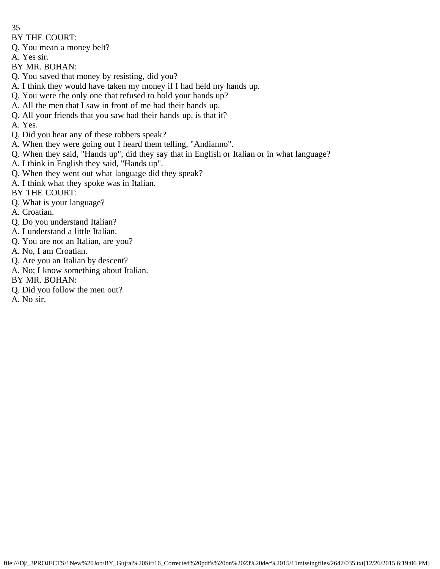- 35
- BY THE COURT:
- Q. You mean a money belt?
- A. Yes sir.
- BY MR. BOHAN:
- Q. You saved that money by resisting, did you?
- A. I think they would have taken my money if I had held my hands up.
- Q. You were the only one that refused to hold your hands up?
- A. All the men that I saw in front of me had their hands up.
- Q. All your friends that you saw had their hands up, is that it?
- A. Yes.
- Q. Did you hear any of these robbers speak?
- A. When they were going out I heard them telling, "Andianno".
- Q. When they said, "Hands up", did they say that in English or Italian or in what language?
- A. I think in English they said, "Hands up".
- Q. When they went out what language did they speak?
- A. I think what they spoke was in Italian.
- BY THE COURT:
- Q. What is your language?
- A. Croatian.
- Q. Do you understand Italian?
- A. I understand a little Italian.
- Q. You are not an Italian, are you?
- A. No, I am Croatian.
- Q. Are you an Italian by descent?
- A. No; I know something about Italian.
- BY MR. BOHAN:
- Q. Did you follow the men out?
- A. No sir.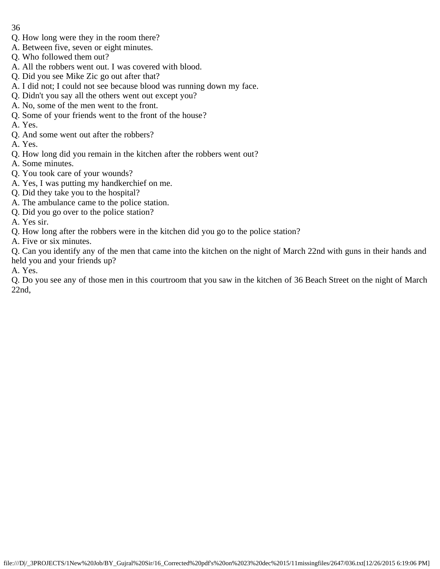- Q. How long were they in the room there?
- A. Between five, seven or eight minutes.
- Q. Who followed them out?
- A. All the robbers went out. I was covered with blood.
- Q. Did you see Mike Zic go out after that?
- A. I did not; I could not see because blood was running down my face.
- Q. Didn't you say all the others went out except you?
- A. No, some of the men went to the front.
- Q. Some of your friends went to the front of the house?
- A. Yes.
- Q. And some went out after the robbers?
- A. Yes.
- Q. How long did you remain in the kitchen after the robbers went out?
- A. Some minutes.
- Q. You took care of your wounds?
- A. Yes, I was putting my handkerchief on me.
- Q. Did they take you to the hospital?
- A. The ambulance came to the police station.
- Q. Did you go over to the police station?
- A. Yes sir.
- Q. How long after the robbers were in the kitchen did you go to the police station?
- A. Five or six minutes.

Q. Can you identify any of the men that came into the kitchen on the night of March 22nd with guns in their hands and held you and your friends up?

A. Yes.

Q. Do you see any of those men in this courtroom that you saw in the kitchen of 36 Beach Street on the night of March 22nd,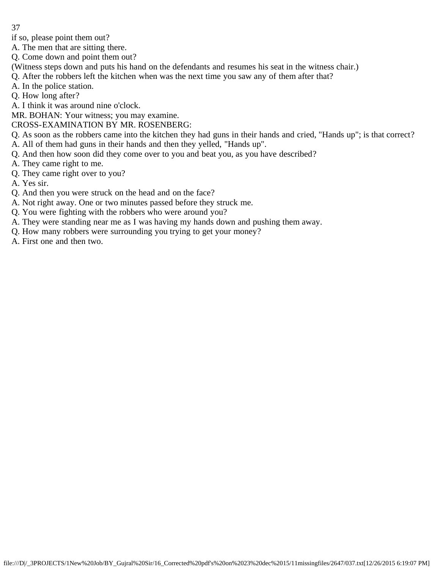if so, please point them out?

A. The men that are sitting there.

Q. Come down and point them out?

- (Witness steps down and puts his hand on the defendants and resumes his seat in the witness chair.)
- Q. After the robbers left the kitchen when was the next time you saw any of them after that?
- A. In the police station.
- Q. How long after?

A. I think it was around nine o'clock.

MR. BOHAN: Your witness; you may examine.

CROSS-EXAMINATION BY MR. ROSENBERG:

Q. As soon as the robbers came into the kitchen they had guns in their hands and cried, "Hands up"; is that correct?

- A. All of them had guns in their hands and then they yelled, "Hands up".
- Q. And then how soon did they come over to you and beat you, as you have described?
- A. They came right to me.
- Q. They came right over to you?
- A. Yes sir.
- Q. And then you were struck on the head and on the face?
- A. Not right away. One or two minutes passed before they struck me.
- Q. You were fighting with the robbers who were around you?
- A. They were standing near me as I was having my hands down and pushing them away.
- Q. How many robbers were surrounding you trying to get your money?
- A. First one and then two.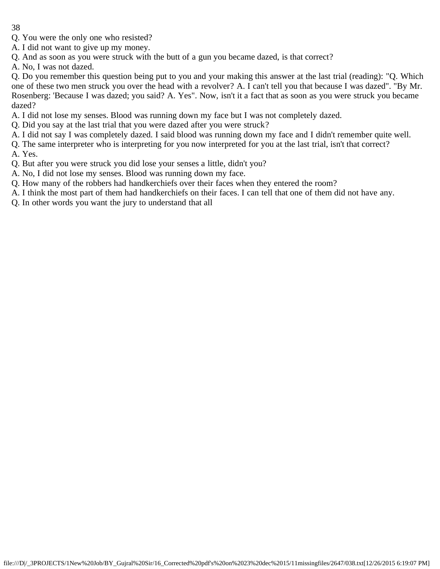- Q. You were the only one who resisted?
- A. I did not want to give up my money.
- Q. And as soon as you were struck with the butt of a gun you became dazed, is that correct?
- A. No, I was not dazed.

Q. Do you remember this question being put to you and your making this answer at the last trial (reading): "Q. Which one of these two men struck you over the head with a revolver? A. I can't tell you that because I was dazed". "By Mr. Rosenberg: 'Because I was dazed; you said? A. Yes". Now, isn't it a fact that as soon as you were struck you became dazed?

- A. I did not lose my senses. Blood was running down my face but I was not completely dazed.
- Q. Did you say at the last trial that you were dazed after you were struck?
- A. I did not say I was completely dazed. I said blood was running down my face and I didn't remember quite well.
- Q. The same interpreter who is interpreting for you now interpreted for you at the last trial, isn't that correct?
- A. Yes.
- Q. But after you were struck you did lose your senses a little, didn't you?
- A. No, I did not lose my senses. Blood was running down my face.
- Q. How many of the robbers had handkerchiefs over their faces when they entered the room?
- A. I think the most part of them had handkerchiefs on their faces. I can tell that one of them did not have any.
- Q. In other words you want the jury to understand that all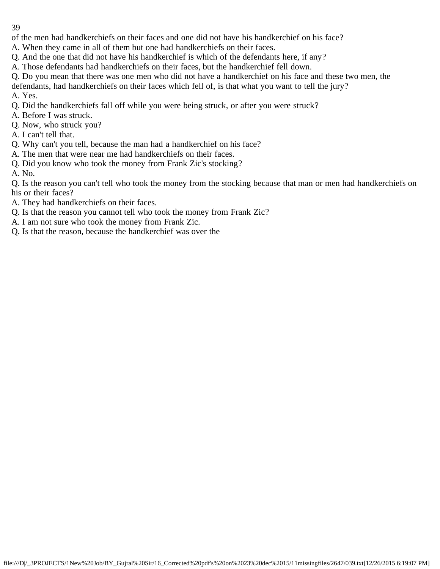of the men had handkerchiefs on their faces and one did not have his handkerchief on his face?

- A. When they came in all of them but one had handkerchiefs on their faces.
- Q. And the one that did not have his handkerchief is which of the defendants here, if any?
- A. Those defendants had handkerchiefs on their faces, but the handkerchief fell down.
- Q. Do you mean that there was one men who did not have a handkerchief on his face and these two men, the defendants, had handkerchiefs on their faces which fell of, is that what you want to tell the jury? A. Yes.
- Q. Did the handkerchiefs fall off while you were being struck, or after you were struck?
- A. Before I was struck.
- Q. Now, who struck you?
- A. I can't tell that.
- Q. Why can't you tell, because the man had a handkerchief on his face?
- A. The men that were near me had handkerchiefs on their faces.
- Q. Did you know who took the money from Frank Zic's stocking?
- A. No.
- Q. Is the reason you can't tell who took the money from the stocking because that man or men had handkerchiefs on his or their faces?
- A. They had handkerchiefs on their faces.
- Q. Is that the reason you cannot tell who took the money from Frank Zic?
- A. I am not sure who took the money from Frank Zic.
- Q. Is that the reason, because the handkerchief was over the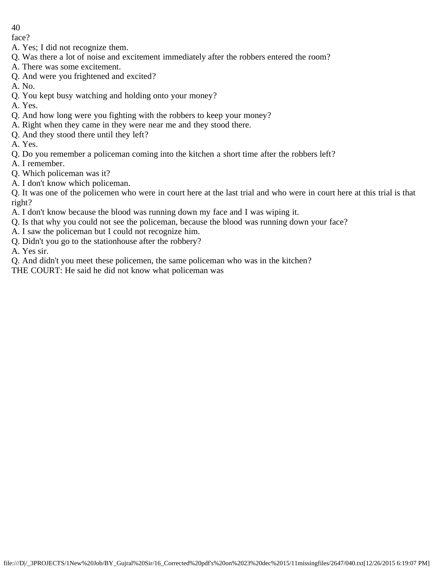face?

- A. Yes; I did not recognize them.
- Q. Was there a lot of noise and excitement immediately after the robbers entered the room?
- A. There was some excitement.
- Q. And were you frightened and excited?
- A. No.
- Q. You kept busy watching and holding onto your money?

A. Yes.

- Q. And how long were you fighting with the robbers to keep your money?
- A. Right when they came in they were near me and they stood there.
- Q. And they stood there until they left?
- A. Yes.
- Q. Do you remember a policeman coming into the kitchen a short time after the robbers left?
- A. I remember.
- Q. Which policeman was it?
- A. I don't know which policeman.

Q. It was one of the policemen who were in court here at the last trial and who were in court here at this trial is that right?

- A. I don't know because the blood was running down my face and I was wiping it.
- Q. Is that why you could not see the policeman, because the blood was running down your face?
- A. I saw the policeman but I could not recognize him.
- Q. Didn't you go to the stationhouse after the robbery?

A. Yes sir.

Q. And didn't you meet these policemen, the same policeman who was in the kitchen?

THE COURT: He said he did not know what policeman was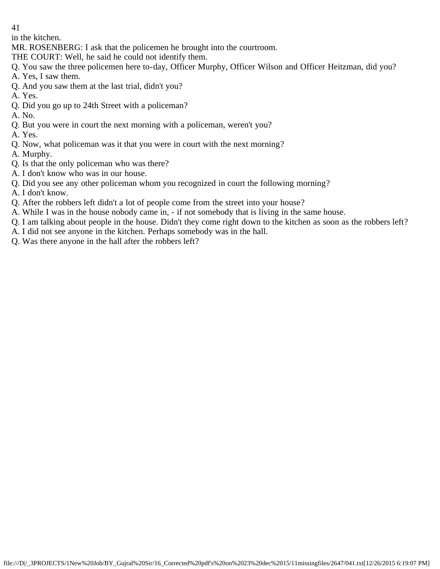in the kitchen.

MR. ROSENBERG: I ask that the policemen he brought into the courtroom.

THE COURT: Well, he said he could not identify them.

Q. You saw the three policemen here to-day, Officer Murphy, Officer Wilson and Officer Heitzman, did you?

- A. Yes, I saw them.
- Q. And you saw them at the last trial, didn't you?
- A. Yes.
- Q. Did you go up to 24th Street with a policeman?
- A. No.
- Q. But you were in court the next morning with a policeman, weren't you?
- A. Yes.
- Q. Now, what policeman was it that you were in court with the next morning?
- A. Murphy.
- Q. Is that the only policeman who was there?
- A. I don't know who was in our house.
- Q. Did you see any other policeman whom you recognized in court the following morning?
- A. I don't know.
- Q. After the robbers left didn't a lot of people come from the street into your house?
- A. While I was in the house nobody came in, if not somebody that is living in the same house.
- Q. I am talking about people in the house. Didn't they come right down to the kitchen as soon as the robbers left?
- A. I did not see anyone in the kitchen. Perhaps somebody was in the hall.
- Q. Was there anyone in the hall after the robbers left?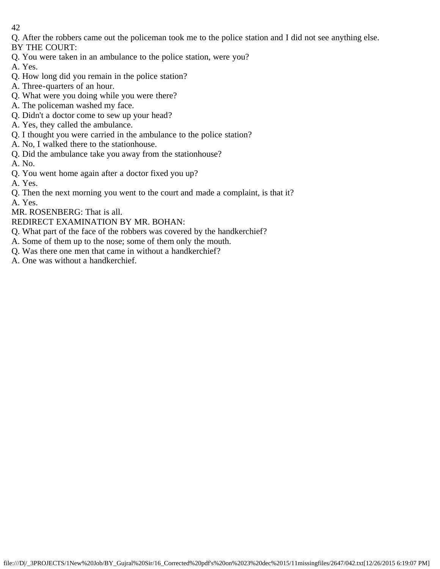Q. After the robbers came out the policeman took me to the police station and I did not see anything else. BY THE COURT:

- Q. You were taken in an ambulance to the police station, were you?
- A. Yes.
- Q. How long did you remain in the police station?
- A. Three-quarters of an hour.
- Q. What were you doing while you were there?
- A. The policeman washed my face.
- Q. Didn't a doctor come to sew up your head?
- A. Yes, they called the ambulance.
- Q. I thought you were carried in the ambulance to the police station?
- A. No, I walked there to the stationhouse.
- Q. Did the ambulance take you away from the stationhouse?
- A. No.
- Q. You went home again after a doctor fixed you up?
- A. Yes.
- Q. Then the next morning you went to the court and made a complaint, is that it?
- A. Yes.
- MR. ROSENBERG: That is all.
- REDIRECT EXAMINATION BY MR. BOHAN:
- Q. What part of the face of the robbers was covered by the handkerchief?
- A. Some of them up to the nose; some of them only the mouth.
- Q. Was there one men that came in without a handkerchief?
- A. One was without a handkerchief.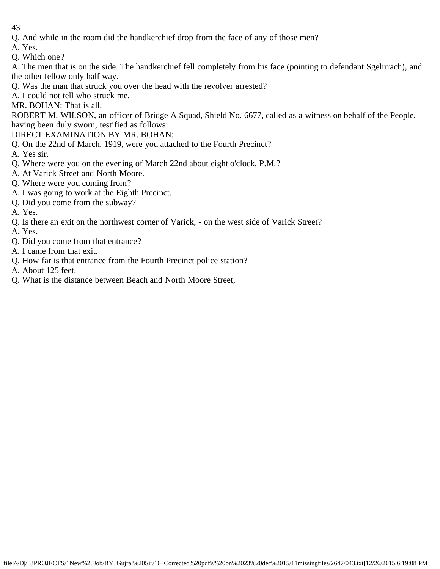- 43
- Q. And while in the room did the handkerchief drop from the face of any of those men?
- A. Yes.
- Q. Which one?

A. The men that is on the side. The handkerchief fell completely from his face (pointing to defendant Sgelirrach), and the other fellow only half way.

- Q. Was the man that struck you over the head with the revolver arrested?
- A. I could not tell who struck me.
- MR. BOHAN: That is all.

ROBERT M. WILSON, an officer of Bridge A Squad, Shield No. 6677, called as a witness on behalf of the People, having been duly sworn, testified as follows:

DIRECT EXAMINATION BY MR. BOHAN:

- Q. On the 22nd of March, 1919, were you attached to the Fourth Precinct?
- A. Yes sir.
- Q. Where were you on the evening of March 22nd about eight o'clock, P.M.?
- A. At Varick Street and North Moore.
- Q. Where were you coming from?
- A. I was going to work at the Eighth Precinct.
- Q. Did you come from the subway?
- A. Yes.
- Q. Is there an exit on the northwest corner of Varick, on the west side of Varick Street?
- A. Yes.
- Q. Did you come from that entrance?
- A. I came from that exit.
- Q. How far is that entrance from the Fourth Precinct police station?
- A. About 125 feet.
- Q. What is the distance between Beach and North Moore Street,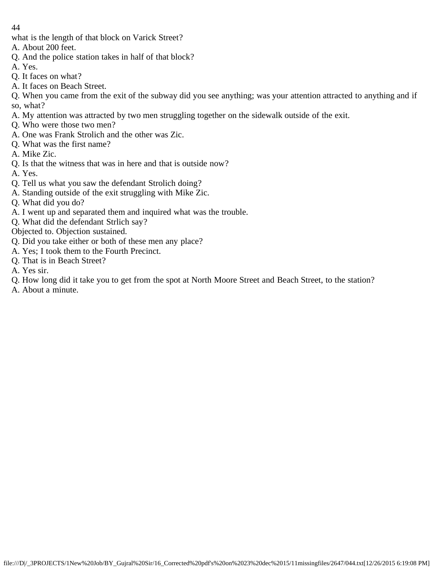what is the length of that block on Varick Street?

- A. About 200 feet.
- Q. And the police station takes in half of that block?
- A. Yes.
- Q. It faces on what?
- A. It faces on Beach Street.
- Q. When you came from the exit of the subway did you see anything; was your attention attracted to anything and if so, what?
- A. My attention was attracted by two men struggling together on the sidewalk outside of the exit.
- Q. Who were those two men?
- A. One was Frank Strolich and the other was Zic.
- Q. What was the first name?
- A. Mike Zic.
- Q. Is that the witness that was in here and that is outside now?
- A. Yes.
- Q. Tell us what you saw the defendant Strolich doing?
- A. Standing outside of the exit struggling with Mike Zic.
- Q. What did you do?
- A. I went up and separated them and inquired what was the trouble.
- Q. What did the defendant Strlich say?
- Objected to. Objection sustained.
- Q. Did you take either or both of these men any place?
- A. Yes; I took them to the Fourth Precinct.
- Q. That is in Beach Street?
- A. Yes sir.
- Q. How long did it take you to get from the spot at North Moore Street and Beach Street, to the station?
- A. About a minute.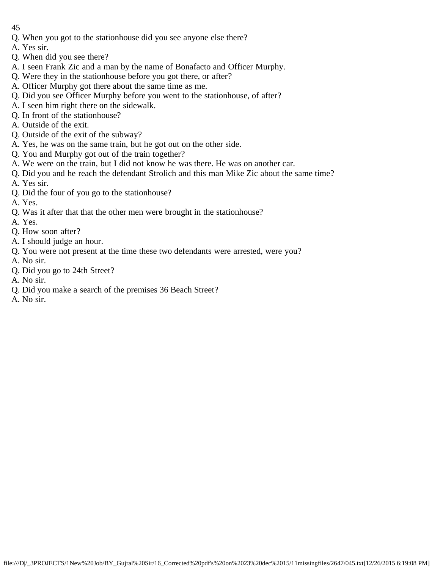- 45
- Q. When you got to the stationhouse did you see anyone else there?
- A. Yes sir.
- Q. When did you see there?
- A. I seen Frank Zic and a man by the name of Bonafacto and Officer Murphy.
- Q. Were they in the stationhouse before you got there, or after?
- A. Officer Murphy got there about the same time as me.
- Q. Did you see Officer Murphy before you went to the stationhouse, of after?
- A. I seen him right there on the sidewalk.
- Q. In front of the stationhouse?
- A. Outside of the exit.
- Q. Outside of the exit of the subway?
- A. Yes, he was on the same train, but he got out on the other side.
- Q. You and Murphy got out of the train together?
- A. We were on the train, but I did not know he was there. He was on another car.
- Q. Did you and he reach the defendant Strolich and this man Mike Zic about the same time?
- A. Yes sir.
- Q. Did the four of you go to the stationhouse?
- A. Yes.
- Q. Was it after that that the other men were brought in the stationhouse?
- A. Yes.
- Q. How soon after?
- A. I should judge an hour.
- Q. You were not present at the time these two defendants were arrested, were you?
- A. No sir.
- Q. Did you go to 24th Street?
- A. No sir.
- Q. Did you make a search of the premises 36 Beach Street?
- A. No sir.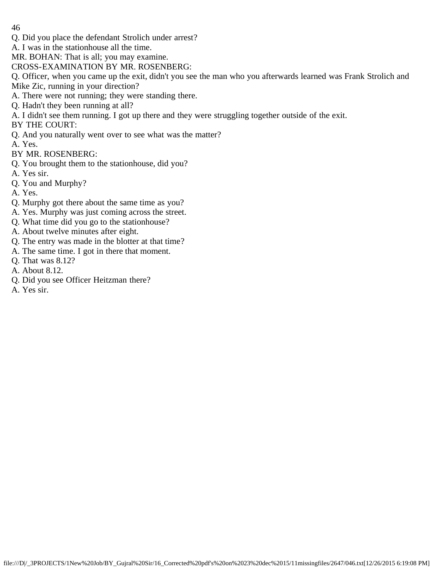- Q. Did you place the defendant Strolich under arrest?
- A. I was in the stationhouse all the time.
- MR. BOHAN: That is all; you may examine.
- CROSS-EXAMINATION BY MR. ROSENBERG:
- Q. Officer, when you came up the exit, didn't you see the man who you afterwards learned was Frank Strolich and Mike Zic, running in your direction?
- A. There were not running; they were standing there.
- Q. Hadn't they been running at all?
- A. I didn't see them running. I got up there and they were struggling together outside of the exit.
- BY THE COURT:
- Q. And you naturally went over to see what was the matter?
- A. Yes.
- BY MR. ROSENBERG:
- Q. You brought them to the stationhouse, did you?
- A. Yes sir.
- Q. You and Murphy?
- A. Yes.
- Q. Murphy got there about the same time as you?
- A. Yes. Murphy was just coming across the street.
- Q. What time did you go to the stationhouse?
- A. About twelve minutes after eight.
- Q. The entry was made in the blotter at that time?
- A. The same time. I got in there that moment.
- Q. That was 8.12?
- A. About 8.12.
- Q. Did you see Officer Heitzman there?
- A. Yes sir.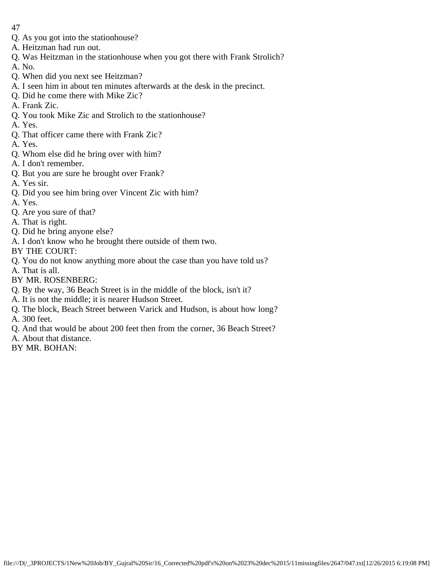- 47
- Q. As you got into the stationhouse?
- A. Heitzman had run out.
- Q. Was Heitzman in the stationhouse when you got there with Frank Strolich?
- A. No.
- Q. When did you next see Heitzman?
- A. I seen him in about ten minutes afterwards at the desk in the precinct.
- Q. Did he come there with Mike Zic?
- A. Frank Zic.
- Q. You took Mike Zic and Strolich to the stationhouse?
- A. Yes.
- Q. That officer came there with Frank Zic?
- A. Yes.
- Q. Whom else did he bring over with him?
- A. I don't remember.
- Q. But you are sure he brought over Frank?
- A. Yes sir.
- Q. Did you see him bring over Vincent Zic with him?
- A. Yes.
- Q. Are you sure of that?
- A. That is right.
- Q. Did he bring anyone else?
- A. I don't know who he brought there outside of them two.
- BY THE COURT:
- Q. You do not know anything more about the case than you have told us?
- A. That is all.
- BY MR. ROSENBERG:
- Q. By the way, 36 Beach Street is in the middle of the block, isn't it?
- A. It is not the middle; it is nearer Hudson Street.
- Q. The block, Beach Street between Varick and Hudson, is about how long? A. 300 feet.
- Q. And that would be about 200 feet then from the corner, 36 Beach Street?
- A. About that distance.
- BY MR. BOHAN: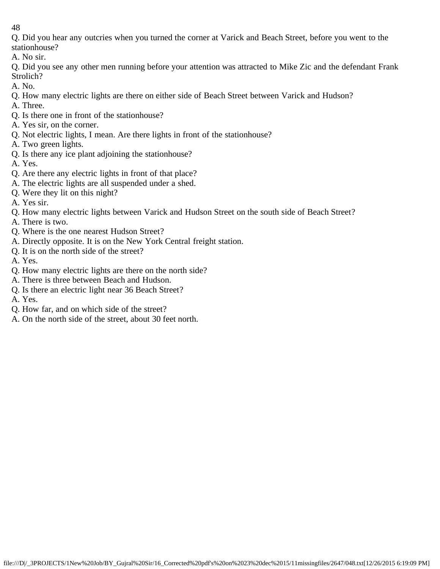Q. Did you hear any outcries when you turned the corner at Varick and Beach Street, before you went to the stationhouse?

A. No sir.

Q. Did you see any other men running before your attention was attracted to Mike Zic and the defendant Frank Strolich?

- A. No.
- Q. How many electric lights are there on either side of Beach Street between Varick and Hudson?
- A. Three.
- Q. Is there one in front of the stationhouse?
- A. Yes sir, on the corner.
- Q. Not electric lights, I mean. Are there lights in front of the stationhouse?
- A. Two green lights.
- Q. Is there any ice plant adjoining the stationhouse?
- A. Yes.
- Q. Are there any electric lights in front of that place?
- A. The electric lights are all suspended under a shed.
- Q. Were they lit on this night?
- A. Yes sir.
- Q. How many electric lights between Varick and Hudson Street on the south side of Beach Street?
- A. There is two.
- Q. Where is the one nearest Hudson Street?
- A. Directly opposite. It is on the New York Central freight station.
- Q. It is on the north side of the street?
- A. Yes.
- Q. How many electric lights are there on the north side?
- A. There is three between Beach and Hudson.
- Q. Is there an electric light near 36 Beach Street?
- A. Yes.
- Q. How far, and on which side of the street?
- A. On the north side of the street, about 30 feet north.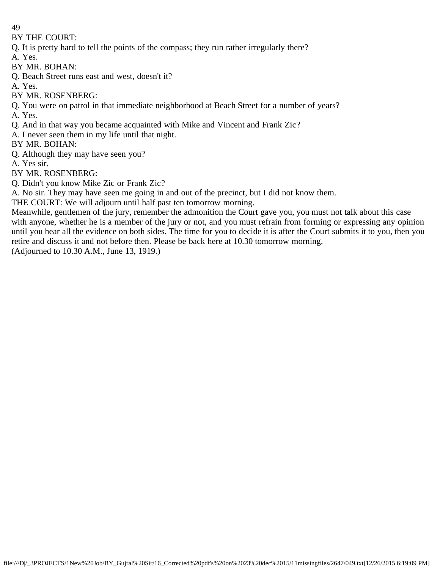BY THE COURT:

Q. It is pretty hard to tell the points of the compass; they run rather irregularly there?

A. Yes.

BY MR. BOHAN:

Q. Beach Street runs east and west, doesn't it?

A. Yes.

BY MR. ROSENBERG:

Q. You were on patrol in that immediate neighborhood at Beach Street for a number of years? A. Yes.

Q. And in that way you became acquainted with Mike and Vincent and Frank Zic?

A. I never seen them in my life until that night.

BY MR. BOHAN:

Q. Although they may have seen you?

A. Yes sir.

BY MR. ROSENBERG:

Q. Didn't you know Mike Zic or Frank Zic?

A. No sir. They may have seen me going in and out of the precinct, but I did not know them.

THE COURT: We will adjourn until half past ten tomorrow morning.

Meanwhile, gentlemen of the jury, remember the admonition the Court gave you, you must not talk about this case with anyone, whether he is a member of the jury or not, and you must refrain from forming or expressing any opinion until you hear all the evidence on both sides. The time for you to decide it is after the Court submits it to you, then you retire and discuss it and not before then. Please be back here at 10.30 tomorrow morning.

(Adjourned to 10.30 A.M., June 13, 1919.)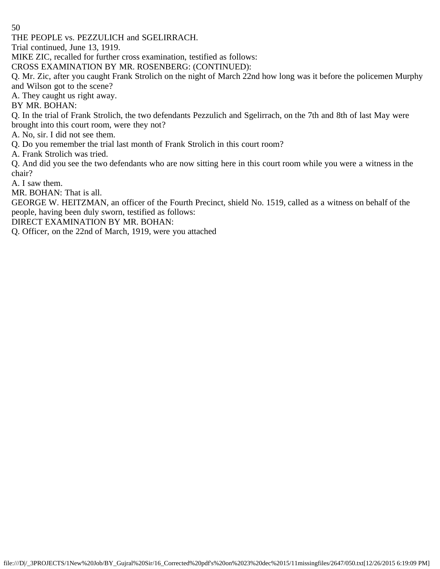THE PEOPLE vs. PEZZULICH and SGELIRRACH.

Trial continued, June 13, 1919.

MIKE ZIC, recalled for further cross examination, testified as follows:

CROSS EXAMINATION BY MR. ROSENBERG: (CONTINUED):

Q. Mr. Zic, after you caught Frank Strolich on the night of March 22nd how long was it before the policemen Murphy and Wilson got to the scene?

A. They caught us right away.

BY MR. BOHAN:

Q. In the trial of Frank Strolich, the two defendants Pezzulich and Sgelirrach, on the 7th and 8th of last May were brought into this court room, were they not?

A. No, sir. I did not see them.

Q. Do you remember the trial last month of Frank Strolich in this court room?

A. Frank Strolich was tried.

Q. And did you see the two defendants who are now sitting here in this court room while you were a witness in the chair?

A. I saw them.

MR. BOHAN: That is all.

GEORGE W. HEITZMAN, an officer of the Fourth Precinct, shield No. 1519, called as a witness on behalf of the people, having been duly sworn, testified as follows:

DIRECT EXAMINATION BY MR. BOHAN:

Q. Officer, on the 22nd of March, 1919, were you attached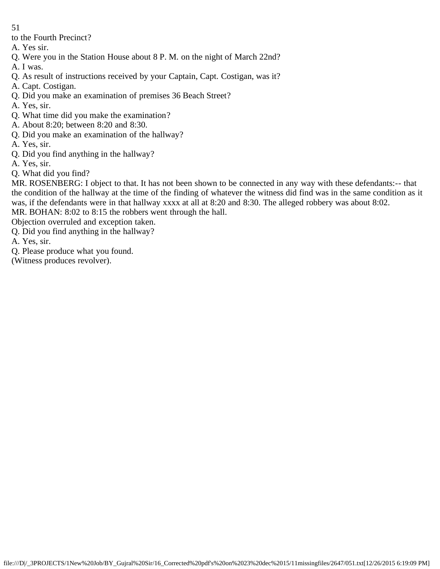- 51
- to the Fourth Precinct?
- A. Yes sir.
- Q. Were you in the Station House about 8 P. M. on the night of March 22nd?
- A. I was.
- Q. As result of instructions received by your Captain, Capt. Costigan, was it?
- A. Capt. Costigan.
- Q. Did you make an examination of premises 36 Beach Street?
- A. Yes, sir.
- Q. What time did you make the examination?
- A. About 8:20; between 8:20 and 8:30.
- Q. Did you make an examination of the hallway?
- A. Yes, sir.
- Q. Did you find anything in the hallway?
- A. Yes, sir.
- Q. What did you find?

MR. ROSENBERG: I object to that. It has not been shown to be connected in any way with these defendants:-- that the condition of the hallway at the time of the finding of whatever the witness did find was in the same condition as it was, if the defendants were in that hallway xxxx at all at 8:20 and 8:30. The alleged robbery was about 8:02. MR. BOHAN: 8:02 to 8:15 the robbers went through the hall.

Objection overruled and exception taken.

- Q. Did you find anything in the hallway?
- A. Yes, sir.
- Q. Please produce what you found.

(Witness produces revolver).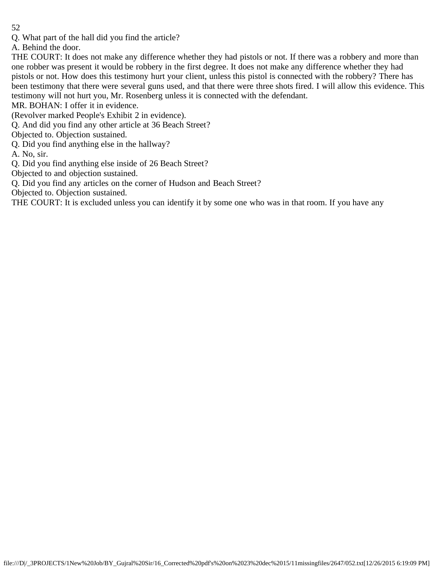Q. What part of the hall did you find the article?

A. Behind the door.

THE COURT: It does not make any difference whether they had pistols or not. If there was a robbery and more than one robber was present it would be robbery in the first degree. It does not make any difference whether they had pistols or not. How does this testimony hurt your client, unless this pistol is connected with the robbery? There has been testimony that there were several guns used, and that there were three shots fired. I will allow this evidence. This testimony will not hurt you, Mr. Rosenberg unless it is connected with the defendant.

MR. BOHAN: I offer it in evidence.

(Revolver marked People's Exhibit 2 in evidence).

Q. And did you find any other article at 36 Beach Street?

Objected to. Objection sustained.

Q. Did you find anything else in the hallway?

A. No, sir.

Q. Did you find anything else inside of 26 Beach Street?

Objected to and objection sustained.

Q. Did you find any articles on the corner of Hudson and Beach Street?

Objected to. Objection sustained.

THE COURT: It is excluded unless you can identify it by some one who was in that room. If you have any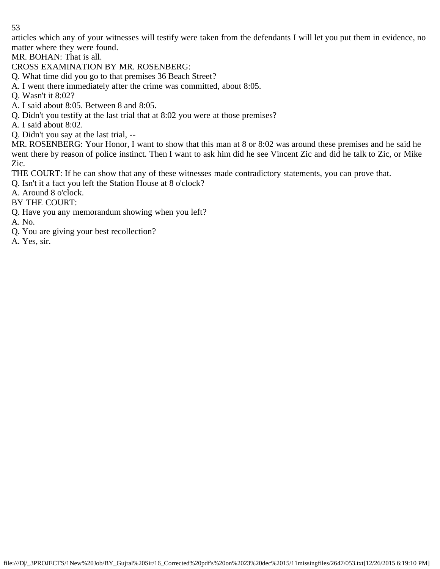articles which any of your witnesses will testify were taken from the defendants I will let you put them in evidence, no matter where they were found.

MR. BOHAN: That is all.

CROSS EXAMINATION BY MR. ROSENBERG:

Q. What time did you go to that premises 36 Beach Street?

A. I went there immediately after the crime was committed, about 8:05.

Q. Wasn't it 8:02?

A. I said about 8:05. Between 8 and 8:05.

Q. Didn't you testify at the last trial that at 8:02 you were at those premises?

A. I said about 8:02.

Q. Didn't you say at the last trial, --

MR. ROSENBERG: Your Honor, I want to show that this man at 8 or 8:02 was around these premises and he said he went there by reason of police instinct. Then I want to ask him did he see Vincent Zic and did he talk to Zic, or Mike Zic.

THE COURT: If he can show that any of these witnesses made contradictory statements, you can prove that.

Q. Isn't it a fact you left the Station House at 8 o'clock?

A. Around 8 o'clock.

BY THE COURT:

Q. Have you any memorandum showing when you left?

A. No.

- Q. You are giving your best recollection?
- A. Yes, sir.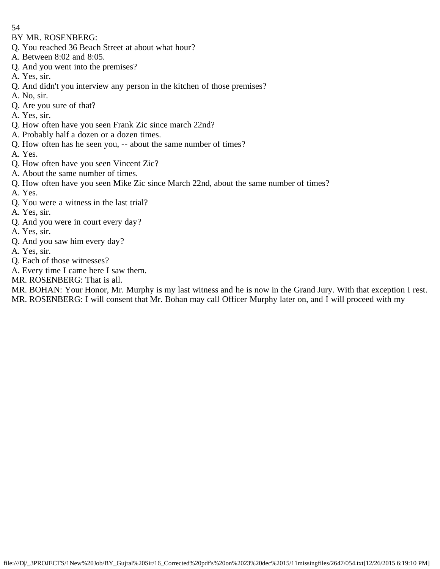BY MR. ROSENBERG:

- Q. You reached 36 Beach Street at about what hour?
- A. Between 8:02 and 8:05.
- Q. And you went into the premises?
- A. Yes, sir.
- Q. And didn't you interview any person in the kitchen of those premises?
- A. No, sir.
- Q. Are you sure of that?
- A. Yes, sir.
- Q. How often have you seen Frank Zic since march 22nd?
- A. Probably half a dozen or a dozen times.
- Q. How often has he seen you, -- about the same number of times?
- A. Yes.
- Q. How often have you seen Vincent Zic?
- A. About the same number of times.
- Q. How often have you seen Mike Zic since March 22nd, about the same number of times?
- A. Yes.
- Q. You were a witness in the last trial?
- A. Yes, sir.
- Q. And you were in court every day?
- A. Yes, sir.
- Q. And you saw him every day?
- A. Yes, sir.
- Q. Each of those witnesses?
- A. Every time I came here I saw them.
- MR. ROSENBERG: That is all.

MR. BOHAN: Your Honor, Mr. Murphy is my last witness and he is now in the Grand Jury. With that exception I rest. MR. ROSENBERG: I will consent that Mr. Bohan may call Officer Murphy later on, and I will proceed with my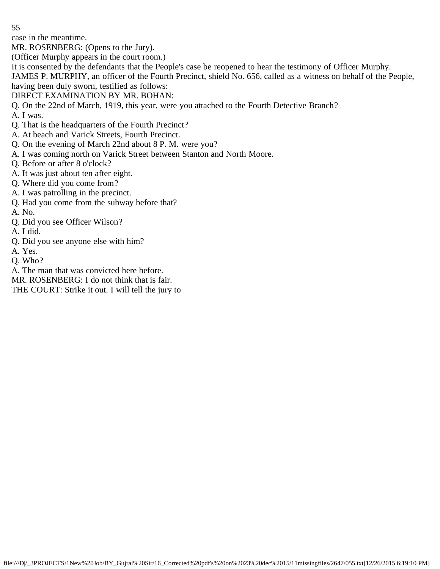case in the meantime.

MR. ROSENBERG: (Opens to the Jury).

(Officer Murphy appears in the court room.)

It is consented by the defendants that the People's case be reopened to hear the testimony of Officer Murphy.

JAMES P. MURPHY, an officer of the Fourth Precinct, shield No. 656, called as a witness on behalf of the People, having been duly sworn, testified as follows:

## DIRECT EXAMINATION BY MR. BOHAN:

Q. On the 22nd of March, 1919, this year, were you attached to the Fourth Detective Branch?

- A. I was. Q. That is the headquarters of the Fourth Precinct?
- A. At beach and Varick Streets, Fourth Precinct.
- Q. On the evening of March 22nd about 8 P. M. were you?
- A. I was coming north on Varick Street between Stanton and North Moore.
- Q. Before or after 8 o'clock?
- A. It was just about ten after eight.
- Q. Where did you come from?
- A. I was patrolling in the precinct.
- Q. Had you come from the subway before that?
- A. No.
- Q. Did you see Officer Wilson?
- A. I did.
- Q. Did you see anyone else with him?
- A. Yes.
- Q. Who?
- A. The man that was convicted here before.

MR. ROSENBERG: I do not think that is fair.

THE COURT: Strike it out. I will tell the jury to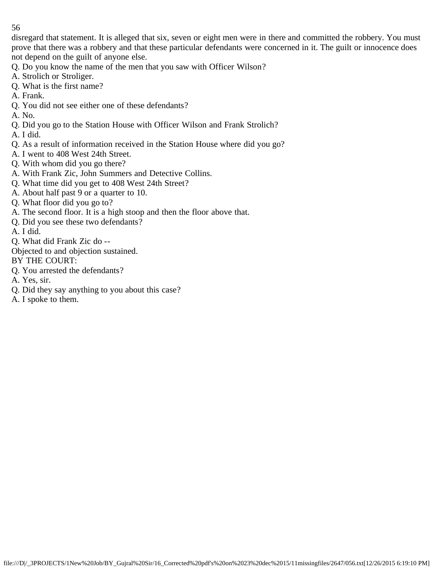disregard that statement. It is alleged that six, seven or eight men were in there and committed the robbery. You must prove that there was a robbery and that these particular defendants were concerned in it. The guilt or innocence does not depend on the guilt of anyone else.

Q. Do you know the name of the men that you saw with Officer Wilson?

- A. Strolich or Stroliger.
- Q. What is the first name?
- A. Frank.
- Q. You did not see either one of these defendants?
- A. No.
- Q. Did you go to the Station House with Officer Wilson and Frank Strolich?
- A. I did.
- Q. As a result of information received in the Station House where did you go?
- A. I went to 408 West 24th Street.
- Q. With whom did you go there?
- A. With Frank Zic, John Summers and Detective Collins.
- Q. What time did you get to 408 West 24th Street?
- A. About half past 9 or a quarter to 10.
- Q. What floor did you go to?
- A. The second floor. It is a high stoop and then the floor above that.
- Q. Did you see these two defendants?
- A. I did.
- Q. What did Frank Zic do --
- Objected to and objection sustained.
- BY THE COURT:
- Q. You arrested the defendants?
- A. Yes, sir.
- Q. Did they say anything to you about this case?
- A. I spoke to them.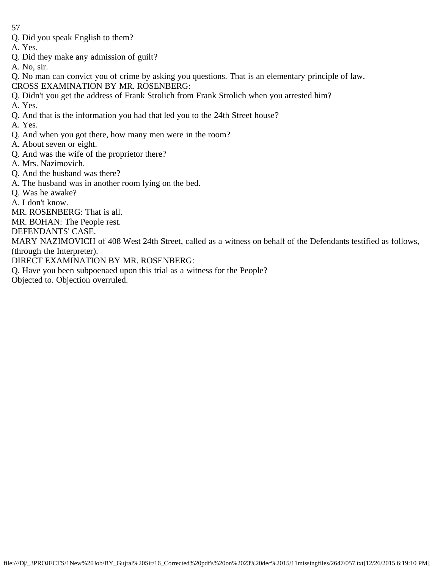- Q. Did you speak English to them?
- A. Yes.
- Q. Did they make any admission of guilt?
- A. No, sir.

Q. No man can convict you of crime by asking you questions. That is an elementary principle of law. CROSS EXAMINATION BY MR. ROSENBERG:

Q. Didn't you get the address of Frank Strolich from Frank Strolich when you arrested him?

A. Yes.

Q. And that is the information you had that led you to the 24th Street house?

A. Yes.

- Q. And when you got there, how many men were in the room?
- A. About seven or eight.
- Q. And was the wife of the proprietor there?
- A. Mrs. Nazimovich.
- Q. And the husband was there?
- A. The husband was in another room lying on the bed.
- Q. Was he awake?

A. I don't know.

MR. ROSENBERG: That is all.

MR. BOHAN: The People rest.

DEFENDANTS' CASE.

MARY NAZIMOVICH of 408 West 24th Street, called as a witness on behalf of the Defendants testified as follows, (through the Interpreter).

DIRECT EXAMINATION BY MR. ROSENBERG:

Q. Have you been subpoenaed upon this trial as a witness for the People?

Objected to. Objection overruled.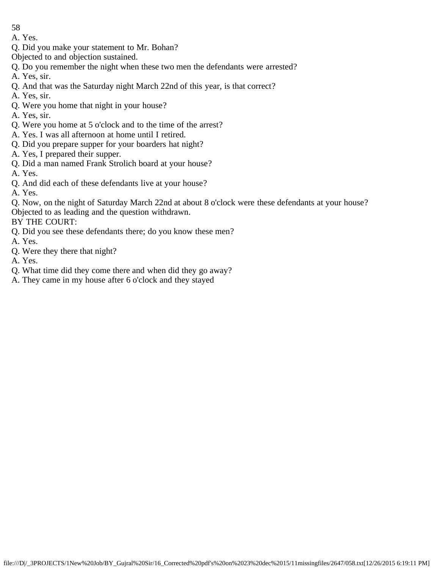- 58
- A. Yes.
- Q. Did you make your statement to Mr. Bohan?
- Objected to and objection sustained.
- Q. Do you remember the night when these two men the defendants were arrested?
- A. Yes, sir.
- Q. And that was the Saturday night March 22nd of this year, is that correct?
- A. Yes, sir.
- Q. Were you home that night in your house?
- A. Yes, sir.
- Q. Were you home at 5 o'clock and to the time of the arrest?
- A. Yes. I was all afternoon at home until I retired.
- Q. Did you prepare supper for your boarders hat night?
- A. Yes, I prepared their supper.
- Q. Did a man named Frank Strolich board at your house?
- A. Yes.
- Q. And did each of these defendants live at your house?
- A. Yes.
- Q. Now, on the night of Saturday March 22nd at about 8 o'clock were these defendants at your house? Objected to as leading and the question withdrawn.
- BY THE COURT:
- Q. Did you see these defendants there; do you know these men?
- A. Yes.
- Q. Were they there that night?
- A. Yes.
- Q. What time did they come there and when did they go away?
- A. They came in my house after 6 o'clock and they stayed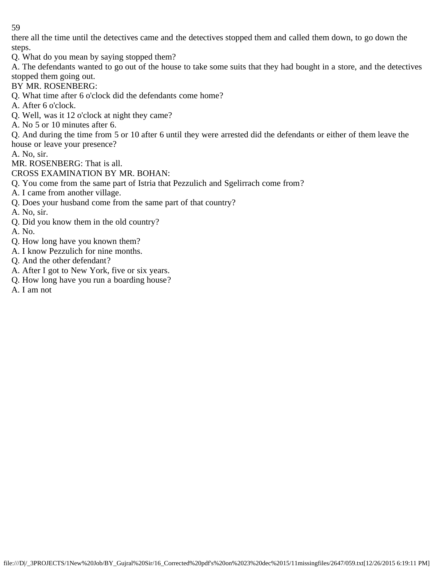there all the time until the detectives came and the detectives stopped them and called them down, to go down the steps.

Q. What do you mean by saying stopped them?

A. The defendants wanted to go out of the house to take some suits that they had bought in a store, and the detectives stopped them going out.

BY MR. ROSENBERG:

Q. What time after 6 o'clock did the defendants come home?

- A. After 6 o'clock.
- Q. Well, was it 12 o'clock at night they came?
- A. No 5 or 10 minutes after 6.

Q. And during the time from 5 or 10 after 6 until they were arrested did the defendants or either of them leave the house or leave your presence?

A. No, sir.

MR. ROSENBERG: That is all.

CROSS EXAMINATION BY MR. BOHAN:

Q. You come from the same part of Istria that Pezzulich and Sgelirrach come from?

A. I came from another village.

Q. Does your husband come from the same part of that country?

A. No, sir.

- Q. Did you know them in the old country?
- A. No.
- Q. How long have you known them?
- A. I know Pezzulich for nine months.
- Q. And the other defendant?
- A. After I got to New York, five or six years.
- Q. How long have you run a boarding house?
- A. I am not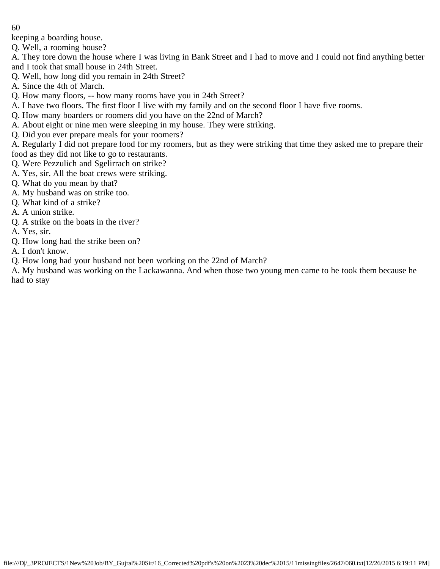keeping a boarding house.

Q. Well, a rooming house?

- A. They tore down the house where I was living in Bank Street and I had to move and I could not find anything better and I took that small house in 24th Street.
- Q. Well, how long did you remain in 24th Street?
- A. Since the 4th of March.
- Q. How many floors, -- how many rooms have you in 24th Street?
- A. I have two floors. The first floor I live with my family and on the second floor I have five rooms.
- Q. How many boarders or roomers did you have on the 22nd of March?
- A. About eight or nine men were sleeping in my house. They were striking.
- Q. Did you ever prepare meals for your roomers?

A. Regularly I did not prepare food for my roomers, but as they were striking that time they asked me to prepare their food as they did not like to go to restaurants.

- Q. Were Pezzulich and Sgelirrach on strike?
- A. Yes, sir. All the boat crews were striking.
- Q. What do you mean by that?
- A. My husband was on strike too.
- Q. What kind of a strike?
- A. A union strike.
- Q. A strike on the boats in the river?
- A. Yes, sir.
- Q. How long had the strike been on?
- A. I don't know.

Q. How long had your husband not been working on the 22nd of March?

A. My husband was working on the Lackawanna. And when those two young men came to he took them because he had to stay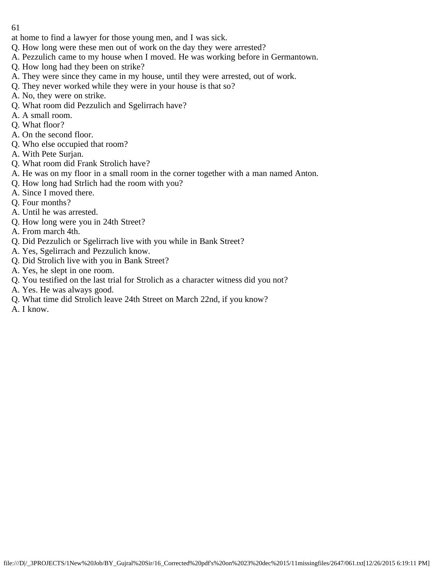- at home to find a lawyer for those young men, and I was sick.
- Q. How long were these men out of work on the day they were arrested?
- A. Pezzulich came to my house when I moved. He was working before in Germantown.
- Q. How long had they been on strike?
- A. They were since they came in my house, until they were arrested, out of work.
- Q. They never worked while they were in your house is that so?
- A. No, they were on strike.
- Q. What room did Pezzulich and Sgelirrach have?
- A. A small room.
- Q. What floor?
- A. On the second floor.
- Q. Who else occupied that room?
- A. With Pete Surjan.
- Q. What room did Frank Strolich have?
- A. He was on my floor in a small room in the corner together with a man named Anton.
- Q. How long had Strlich had the room with you?
- A. Since I moved there.
- Q. Four months?
- A. Until he was arrested.
- Q. How long were you in 24th Street?
- A. From march 4th.
- Q. Did Pezzulich or Sgelirrach live with you while in Bank Street?
- A. Yes, Sgelirrach and Pezzulich know.
- Q. Did Strolich live with you in Bank Street?
- A. Yes, he slept in one room.
- Q. You testified on the last trial for Strolich as a character witness did you not?
- A. Yes. He was always good.
- Q. What time did Strolich leave 24th Street on March 22nd, if you know?
- A. I know.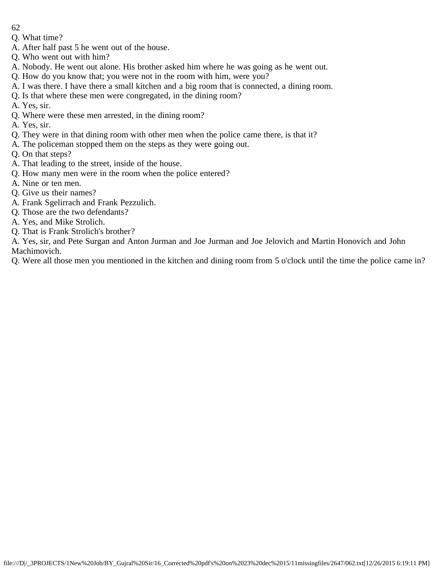- 62
- Q. What time?
- A. After half past 5 he went out of the house.
- Q. Who went out with him?
- A. Nobody. He went out alone. His brother asked him where he was going as he went out.
- Q. How do you know that; you were not in the room with him, were you?
- A. I was there. I have there a small kitchen and a big room that is connected, a dining room.
- Q. Is that where these men were congregated, in the dining room?
- A. Yes, sir.
- Q. Where were these men arrested, in the dining room?
- A. Yes, sir.
- Q. They were in that dining room with other men when the police came there, is that it?
- A. The policeman stopped them on the steps as they were going out.
- Q. On that steps?
- A. That leading to the street, inside of the house.
- Q. How many men were in the room when the police entered?
- A. Nine or ten men.
- Q. Give us their names?
- A. Frank Sgelirrach and Frank Pezzulich.
- Q. Those are the two defendants?
- A. Yes, and Mike Strolich.
- Q. That is Frank Strolich's brother?

A. Yes, sir, and Pete Surgan and Anton Jurman and Joe Jurman and Joe Jelovich and Martin Honovich and John Machimovich.

Q. Were all those men you mentioned in the kitchen and dining room from 5 o'clock until the time the police came in?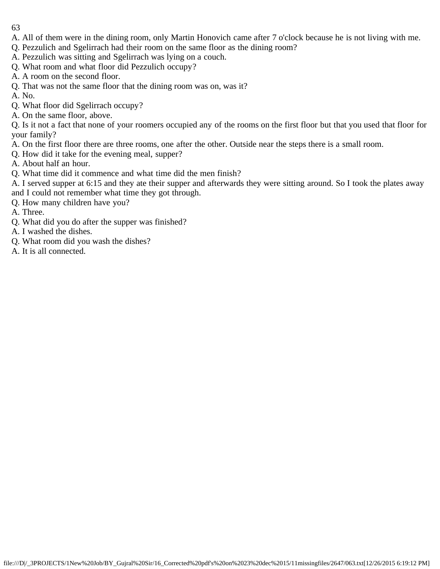- 63
- A. All of them were in the dining room, only Martin Honovich came after 7 o'clock because he is not living with me.
- Q. Pezzulich and Sgelirrach had their room on the same floor as the dining room?
- A. Pezzulich was sitting and Sgelirrach was lying on a couch.
- Q. What room and what floor did Pezzulich occupy?
- A. A room on the second floor.
- Q. That was not the same floor that the dining room was on, was it?
- A. No.
- Q. What floor did Sgelirrach occupy?
- A. On the same floor, above.

Q. Is it not a fact that none of your roomers occupied any of the rooms on the first floor but that you used that floor for your family?

- A. On the first floor there are three rooms, one after the other. Outside near the steps there is a small room.
- Q. How did it take for the evening meal, supper?
- A. About half an hour.
- Q. What time did it commence and what time did the men finish?
- A. I served supper at 6:15 and they ate their supper and afterwards they were sitting around. So I took the plates away and I could not remember what time they got through.
- Q. How many children have you?
- A. Three.
- Q. What did you do after the supper was finished?
- A. I washed the dishes.
- Q. What room did you wash the dishes?
- A. It is all connected.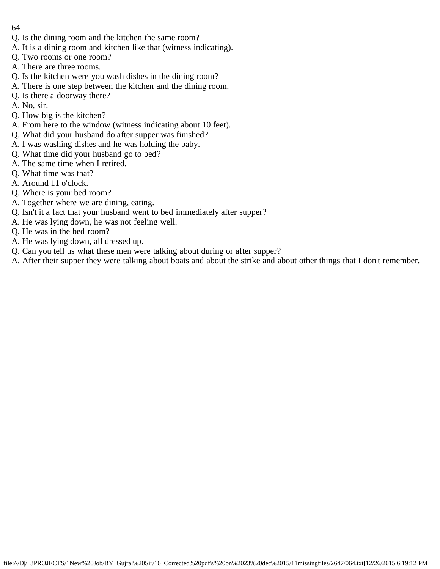- 64
- Q. Is the dining room and the kitchen the same room?
- A. It is a dining room and kitchen like that (witness indicating).
- Q. Two rooms or one room?
- A. There are three rooms.
- Q. Is the kitchen were you wash dishes in the dining room?
- A. There is one step between the kitchen and the dining room.
- Q. Is there a doorway there?
- A. No, sir.
- Q. How big is the kitchen?
- A. From here to the window (witness indicating about 10 feet).
- Q. What did your husband do after supper was finished?
- A. I was washing dishes and he was holding the baby.
- Q. What time did your husband go to bed?
- A. The same time when I retired.
- Q. What time was that?
- A. Around 11 o'clock.
- Q. Where is your bed room?
- A. Together where we are dining, eating.
- Q. Isn't it a fact that your husband went to bed immediately after supper?
- A. He was lying down, he was not feeling well.
- Q. He was in the bed room?
- A. He was lying down, all dressed up.
- Q. Can you tell us what these men were talking about during or after supper?
- A. After their supper they were talking about boats and about the strike and about other things that I don't remember.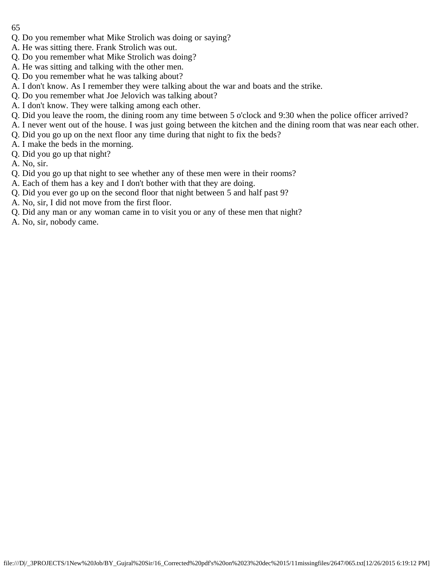- 65
- Q. Do you remember what Mike Strolich was doing or saying?
- A. He was sitting there. Frank Strolich was out.
- Q. Do you remember what Mike Strolich was doing?
- A. He was sitting and talking with the other men.
- Q. Do you remember what he was talking about?
- A. I don't know. As I remember they were talking about the war and boats and the strike.
- Q. Do you remember what Joe Jelovich was talking about?
- A. I don't know. They were talking among each other.
- Q. Did you leave the room, the dining room any time between 5 o'clock and 9:30 when the police officer arrived?
- A. I never went out of the house. I was just going between the kitchen and the dining room that was near each other.
- Q. Did you go up on the next floor any time during that night to fix the beds?
- A. I make the beds in the morning.
- Q. Did you go up that night?
- A. No, sir.
- Q. Did you go up that night to see whether any of these men were in their rooms?
- A. Each of them has a key and I don't bother with that they are doing.
- Q. Did you ever go up on the second floor that night between 5 and half past 9?
- A. No, sir, I did not move from the first floor.
- Q. Did any man or any woman came in to visit you or any of these men that night?
- A. No, sir, nobody came.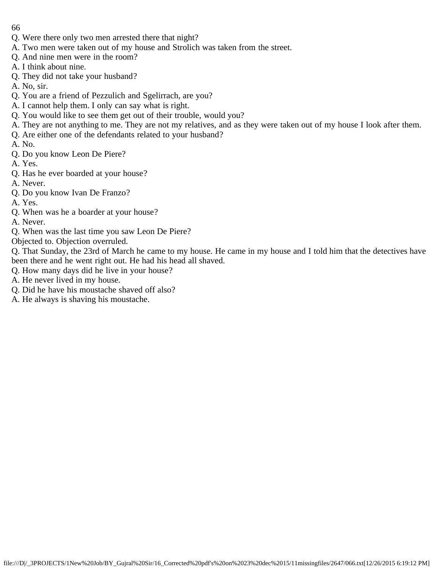- 66
- Q. Were there only two men arrested there that night?
- A. Two men were taken out of my house and Strolich was taken from the street.
- Q. And nine men were in the room?
- A. I think about nine.
- Q. They did not take your husband?
- A. No, sir.
- Q. You are a friend of Pezzulich and Sgelirrach, are you?
- A. I cannot help them. I only can say what is right.
- Q. You would like to see them get out of their trouble, would you?
- A. They are not anything to me. They are not my relatives, and as they were taken out of my house I look after them.
- Q. Are either one of the defendants related to your husband?
- A. No.
- Q. Do you know Leon De Piere?
- A. Yes.
- Q. Has he ever boarded at your house?
- A. Never.
- Q. Do you know Ivan De Franzo?
- A. Yes.
- Q. When was he a boarder at your house?
- A. Never.
- Q. When was the last time you saw Leon De Piere?
- Objected to. Objection overruled.
- Q. That Sunday, the 23rd of March he came to my house. He came in my house and I told him that the detectives have been there and he went right out. He had his head all shaved.
- Q. How many days did he live in your house?
- A. He never lived in my house.
- Q. Did he have his moustache shaved off also?
- A. He always is shaving his moustache.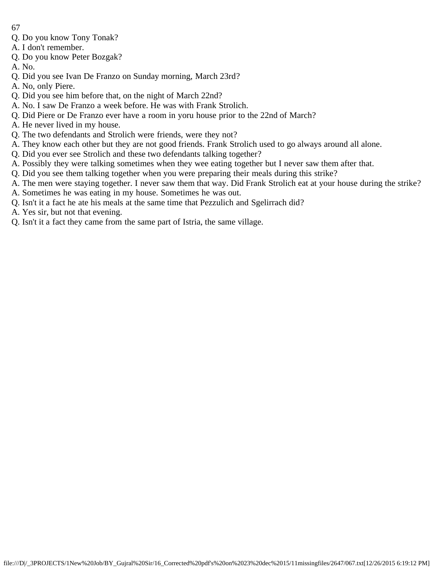- 67
- Q. Do you know Tony Tonak?
- A. I don't remember.
- Q. Do you know Peter Bozgak?
- A. No.
- Q. Did you see Ivan De Franzo on Sunday morning, March 23rd?
- A. No, only Piere.
- Q. Did you see him before that, on the night of March 22nd?
- A. No. I saw De Franzo a week before. He was with Frank Strolich.
- Q. Did Piere or De Franzo ever have a room in yoru house prior to the 22nd of March?
- A. He never lived in my house.
- Q. The two defendants and Strolich were friends, were they not?
- A. They know each other but they are not good friends. Frank Strolich used to go always around all alone.
- Q. Did you ever see Strolich and these two defendants talking together?
- A. Possibly they were talking sometimes when they wee eating together but I never saw them after that.
- Q. Did you see them talking together when you were preparing their meals during this strike?
- A. The men were staying together. I never saw them that way. Did Frank Strolich eat at your house during the strike?
- A. Sometimes he was eating in my house. Sometimes he was out.
- Q. Isn't it a fact he ate his meals at the same time that Pezzulich and Sgelirrach did?
- A. Yes sir, but not that evening.
- Q. Isn't it a fact they came from the same part of Istria, the same village.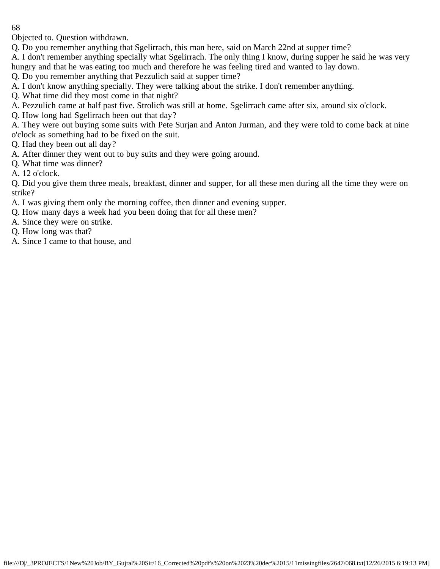Objected to. Question withdrawn.

Q. Do you remember anything that Sgelirrach, this man here, said on March 22nd at supper time?

A. I don't remember anything specially what Sgelirrach. The only thing I know, during supper he said he was very hungry and that he was eating too much and therefore he was feeling tired and wanted to lay down.

Q. Do you remember anything that Pezzulich said at supper time?

A. I don't know anything specially. They were talking about the strike. I don't remember anything.

Q. What time did they most come in that night?

A. Pezzulich came at half past five. Strolich was still at home. Sgelirrach came after six, around six o'clock.

Q. How long had Sgelirrach been out that day?

A. They were out buying some suits with Pete Surjan and Anton Jurman, and they were told to come back at nine o'clock as something had to be fixed on the suit.

Q. Had they been out all day?

A. After dinner they went out to buy suits and they were going around.

Q. What time was dinner?

A. 12 o'clock.

Q. Did you give them three meals, breakfast, dinner and supper, for all these men during all the time they were on strike?

- A. I was giving them only the morning coffee, then dinner and evening supper.
- Q. How many days a week had you been doing that for all these men?

A. Since they were on strike.

Q. How long was that?

A. Since I came to that house, and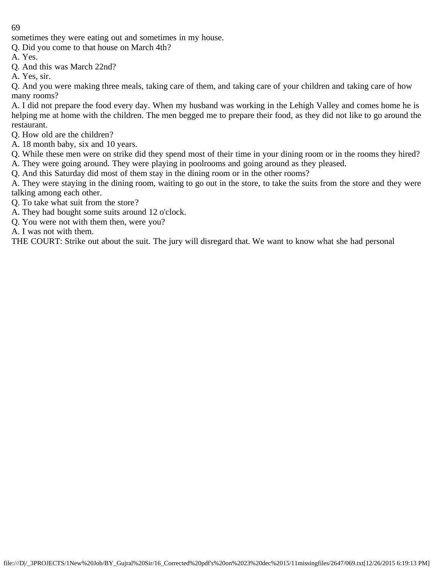sometimes they were eating out and sometimes in my house.

Q. Did you come to that house on March 4th?

- A. Yes.
- Q. And this was March 22nd?

A. Yes, sir.

Q. And you were making three meals, taking care of them, and taking care of your children and taking care of how many rooms?

A. I did not prepare the food every day. When my husband was working in the Lehigh Valley and comes home he is helping me at home with the children. The men begged me to prepare their food, as they did not like to go around the restaurant.

- Q. How old are the children?
- A. 18 month baby, six and 10 years.

Q. While these men were on strike did they spend most of their time in your dining room or in the rooms they hired? A. They were going around. They were playing in poolrooms and going around as they pleased.

Q. And this Saturday did most of them stay in the dining room or in the other rooms?

A. They were staying in the dining room, waiting to go out in the store, to take the suits from the store and they were talking among each other.

Q. To take what suit from the store?

- A. They had bought some suits around 12 o'clock.
- Q. You were not with them then, were you?

A. I was not with them.

THE COURT: Strike out about the suit. The jury will disregard that. We want to know what she had personal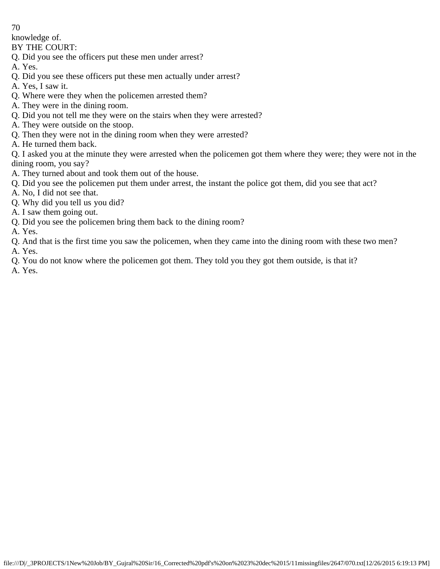knowledge of.

BY THE COURT:

- Q. Did you see the officers put these men under arrest?
- A. Yes.
- Q. Did you see these officers put these men actually under arrest?
- A. Yes, I saw it.
- Q. Where were they when the policemen arrested them?
- A. They were in the dining room.
- Q. Did you not tell me they were on the stairs when they were arrested?
- A. They were outside on the stoop.
- Q. Then they were not in the dining room when they were arrested?
- A. He turned them back.

Q. I asked you at the minute they were arrested when the policemen got them where they were; they were not in the dining room, you say?

- A. They turned about and took them out of the house.
- Q. Did you see the policemen put them under arrest, the instant the police got them, did you see that act?
- A. No, I did not see that.
- Q. Why did you tell us you did?
- A. I saw them going out.
- Q. Did you see the policemen bring them back to the dining room?
- A. Yes.
- Q. And that is the first time you saw the policemen, when they came into the dining room with these two men? A. Yes.
- Q. You do not know where the policemen got them. They told you they got them outside, is that it?

A. Yes.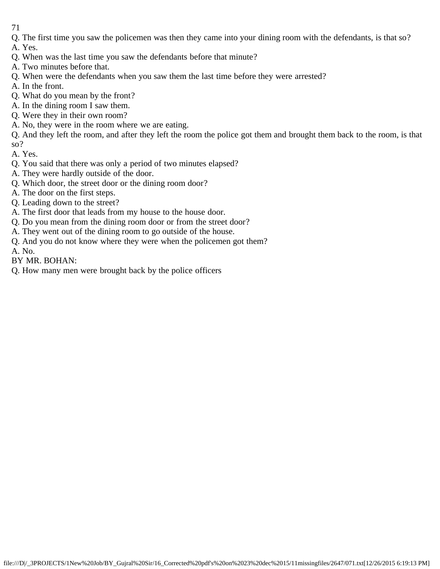- 71
- Q. The first time you saw the policemen was then they came into your dining room with the defendants, is that so?
- A. Yes.
- Q. When was the last time you saw the defendants before that minute?
- A. Two minutes before that.
- Q. When were the defendants when you saw them the last time before they were arrested?
- A. In the front.
- Q. What do you mean by the front?
- A. In the dining room I saw them.
- Q. Were they in their own room?
- A. No, they were in the room where we are eating.

Q. And they left the room, and after they left the room the police got them and brought them back to the room, is that so?

A. Yes.

- Q. You said that there was only a period of two minutes elapsed?
- A. They were hardly outside of the door.
- Q. Which door, the street door or the dining room door?
- A. The door on the first steps.
- Q. Leading down to the street?
- A. The first door that leads from my house to the house door.
- Q. Do you mean from the dining room door or from the street door?
- A. They went out of the dining room to go outside of the house.
- Q. And you do not know where they were when the policemen got them? A. No.
- BY MR. BOHAN:
- Q. How many men were brought back by the police officers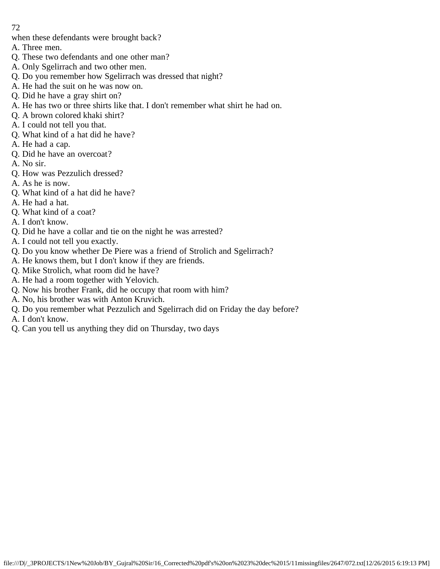when these defendants were brought back?

- A. Three men.
- Q. These two defendants and one other man?
- A. Only Sgelirrach and two other men.
- Q. Do you remember how Sgelirrach was dressed that night?
- A. He had the suit on he was now on.
- Q. Did he have a gray shirt on?
- A. He has two or three shirts like that. I don't remember what shirt he had on.
- Q. A brown colored khaki shirt?
- A. I could not tell you that.
- Q. What kind of a hat did he have?
- A. He had a cap.
- Q. Did he have an overcoat?
- A. No sir.
- Q. How was Pezzulich dressed?
- A. As he is now.
- Q. What kind of a hat did he have?
- A. He had a hat.
- Q. What kind of a coat?
- A. I don't know.
- Q. Did he have a collar and tie on the night he was arrested?
- A. I could not tell you exactly.
- Q. Do you know whether De Piere was a friend of Strolich and Sgelirrach?
- A. He knows them, but I don't know if they are friends.
- Q. Mike Strolich, what room did he have?
- A. He had a room together with Yelovich.
- Q. Now his brother Frank, did he occupy that room with him?
- A. No, his brother was with Anton Kruvich.
- Q. Do you remember what Pezzulich and Sgelirrach did on Friday the day before?
- A. I don't know.
- Q. Can you tell us anything they did on Thursday, two days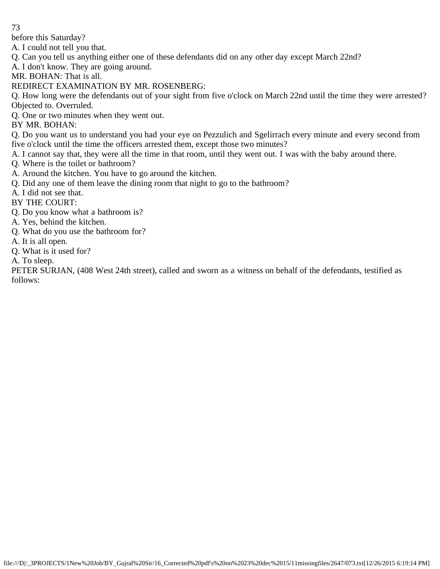before this Saturday?

A. I could not tell you that.

Q. Can you tell us anything either one of these defendants did on any other day except March 22nd?

A. I don't know. They are going around.

MR. BOHAN: That is all.

REDIRECT EXAMINATION BY MR. ROSENBERG:

Q. How long were the defendants out of your sight from five o'clock on March 22nd until the time they were arrested? Objected to. Overruled.

Q. One or two minutes when they went out.

BY MR. BOHAN:

Q. Do you want us to understand you had your eye on Pezzulich and Sgelirrach every minute and every second from five o'clock until the time the officers arrested them, except those two minutes?

A. I cannot say that, they were all the time in that room, until they went out. I was with the baby around there.

Q. Where is the toilet or bathroom?

A. Around the kitchen. You have to go around the kitchen.

Q. Did any one of them leave the dining room that night to go to the bathroom?

A. I did not see that.

BY THE COURT:

Q. Do you know what a bathroom is?

A. Yes, behind the kitchen.

- Q. What do you use the bathroom for?
- A. It is all open.
- Q. What is it used for?

A. To sleep.

PETER SURJAN, (408 West 24th street), called and sworn as a witness on behalf of the defendants, testified as follows: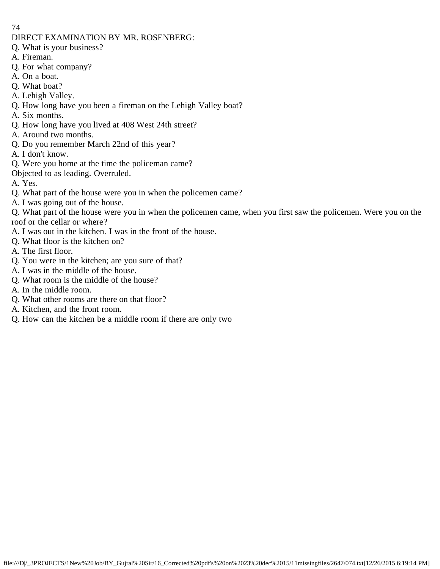#### DIRECT EXAMINATION BY MR. ROSENBERG:

- Q. What is your business?
- A. Fireman.
- Q. For what company?
- A. On a boat.
- Q. What boat?
- A. Lehigh Valley.
- Q. How long have you been a fireman on the Lehigh Valley boat?
- A. Six months.
- Q. How long have you lived at 408 West 24th street?
- A. Around two months.
- Q. Do you remember March 22nd of this year?
- A. I don't know.
- Q. Were you home at the time the policeman came?
- Objected to as leading. Overruled.
- A. Yes.
- Q. What part of the house were you in when the policemen came?
- A. I was going out of the house.
- Q. What part of the house were you in when the policemen came, when you first saw the policemen. Were you on the roof or the cellar or where?
- A. I was out in the kitchen. I was in the front of the house.
- Q. What floor is the kitchen on?
- A. The first floor.
- Q. You were in the kitchen; are you sure of that?
- A. I was in the middle of the house.
- Q. What room is the middle of the house?
- A. In the middle room.
- Q. What other rooms are there on that floor?
- A. Kitchen, and the front room.
- Q. How can the kitchen be a middle room if there are only two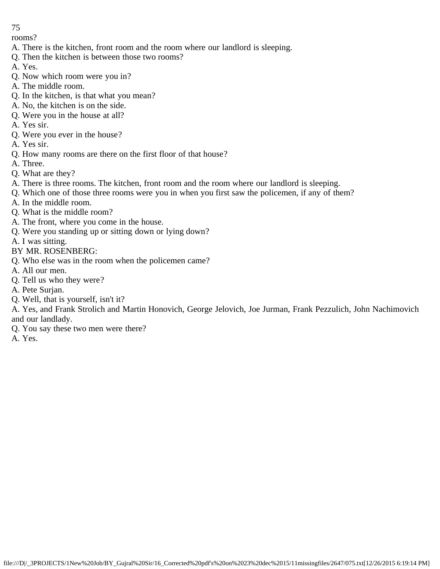rooms?

- A. There is the kitchen, front room and the room where our landlord is sleeping.
- Q. Then the kitchen is between those two rooms?
- A. Yes.
- Q. Now which room were you in?
- A. The middle room.
- Q. In the kitchen, is that what you mean?
- A. No, the kitchen is on the side.
- Q. Were you in the house at all?
- A. Yes sir.
- Q. Were you ever in the house?
- A. Yes sir.
- Q. How many rooms are there on the first floor of that house?
- A. Three.
- Q. What are they?
- A. There is three rooms. The kitchen, front room and the room where our landlord is sleeping.
- Q. Which one of those three rooms were you in when you first saw the policemen, if any of them?
- A. In the middle room.
- Q. What is the middle room?
- A. The front, where you come in the house.
- Q. Were you standing up or sitting down or lying down?
- A. I was sitting.
- BY MR. ROSENBERG:
- Q. Who else was in the room when the policemen came?
- A. All our men.
- Q. Tell us who they were?
- A. Pete Surjan.
- Q. Well, that is yourself, isn't it?

A. Yes, and Frank Strolich and Martin Honovich, George Jelovich, Joe Jurman, Frank Pezzulich, John Nachimovich and our landlady.

- Q. You say these two men were there?
- A. Yes.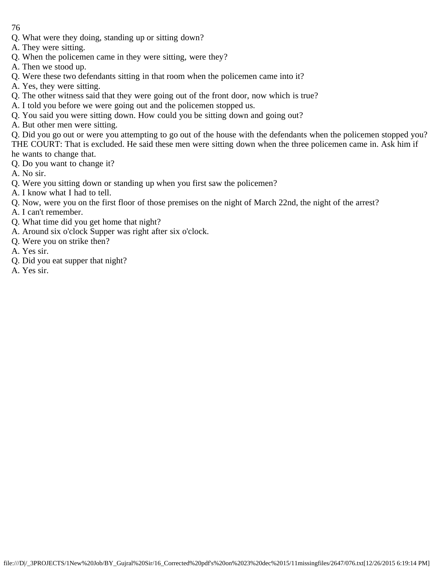- Q. What were they doing, standing up or sitting down?
- A. They were sitting.
- Q. When the policemen came in they were sitting, were they?
- A. Then we stood up.
- Q. Were these two defendants sitting in that room when the policemen came into it?
- A. Yes, they were sitting.
- Q. The other witness said that they were going out of the front door, now which is true?
- A. I told you before we were going out and the policemen stopped us.
- Q. You said you were sitting down. How could you be sitting down and going out?
- A. But other men were sitting.

Q. Did you go out or were you attempting to go out of the house with the defendants when the policemen stopped you? THE COURT: That is excluded. He said these men were sitting down when the three policemen came in. Ask him if he wants to change that.

- Q. Do you want to change it?
- A. No sir.
- Q. Were you sitting down or standing up when you first saw the policemen?
- A. I know what I had to tell.
- Q. Now, were you on the first floor of those premises on the night of March 22nd, the night of the arrest?
- A. I can't remember.
- Q. What time did you get home that night?
- A. Around six o'clock Supper was right after six o'clock.
- Q. Were you on strike then?
- A. Yes sir.
- Q. Did you eat supper that night?
- A. Yes sir.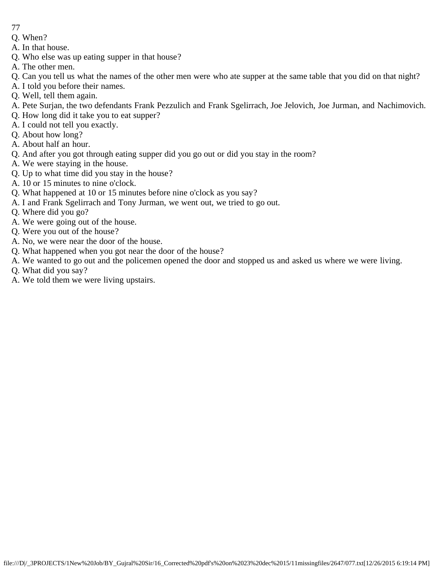- 77
- Q. When?
- A. In that house.
- Q. Who else was up eating supper in that house?
- A. The other men.
- Q. Can you tell us what the names of the other men were who ate supper at the same table that you did on that night?
- A. I told you before their names.
- Q. Well, tell them again.
- A. Pete Surjan, the two defendants Frank Pezzulich and Frank Sgelirrach, Joe Jelovich, Joe Jurman, and Nachimovich.
- Q. How long did it take you to eat supper?
- A. I could not tell you exactly.
- Q. About how long?
- A. About half an hour.
- Q. And after you got through eating supper did you go out or did you stay in the room?
- A. We were staying in the house.
- Q. Up to what time did you stay in the house?
- A. 10 or 15 minutes to nine o'clock.
- Q. What happened at 10 or 15 minutes before nine o'clock as you say?
- A. I and Frank Sgelirrach and Tony Jurman, we went out, we tried to go out.
- Q. Where did you go?
- A. We were going out of the house.
- Q. Were you out of the house?
- A. No, we were near the door of the house.
- Q. What happened when you got near the door of the house?
- A. We wanted to go out and the policemen opened the door and stopped us and asked us where we were living.
- Q. What did you say?
- A. We told them we were living upstairs.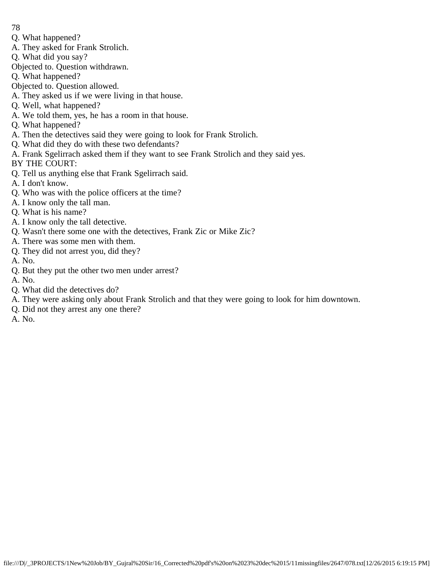- 78
- Q. What happened?
- A. They asked for Frank Strolich.
- Q. What did you say?
- Objected to. Question withdrawn.
- Q. What happened?
- Objected to. Question allowed.
- A. They asked us if we were living in that house.
- Q. Well, what happened?
- A. We told them, yes, he has a room in that house.
- Q. What happened?
- A. Then the detectives said they were going to look for Frank Strolich.
- Q. What did they do with these two defendants?
- A. Frank Sgelirrach asked them if they want to see Frank Strolich and they said yes.
- BY THE COURT:
- Q. Tell us anything else that Frank Sgelirrach said.
- A. I don't know.
- Q. Who was with the police officers at the time?
- A. I know only the tall man.
- Q. What is his name?
- A. I know only the tall detective.
- Q. Wasn't there some one with the detectives, Frank Zic or Mike Zic?
- A. There was some men with them.
- Q. They did not arrest you, did they?
- A. No.
- Q. But they put the other two men under arrest?
- A. No.
- Q. What did the detectives do?
- A. They were asking only about Frank Strolich and that they were going to look for him downtown.
- Q. Did not they arrest any one there?
- A. No.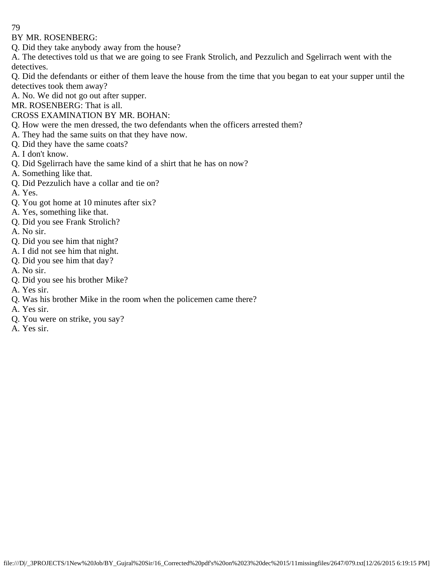BY MR. ROSENBERG:

Q. Did they take anybody away from the house?

A. The detectives told us that we are going to see Frank Strolich, and Pezzulich and Sgelirrach went with the detectives.

Q. Did the defendants or either of them leave the house from the time that you began to eat your supper until the detectives took them away?

A. No. We did not go out after supper.

MR. ROSENBERG: That is all.

## CROSS EXAMINATION BY MR. BOHAN:

- Q. How were the men dressed, the two defendants when the officers arrested them?
- A. They had the same suits on that they have now.
- Q. Did they have the same coats?
- A. I don't know.
- Q. Did Sgelirrach have the same kind of a shirt that he has on now?
- A. Something like that.
- Q. Did Pezzulich have a collar and tie on?
- A. Yes.
- Q. You got home at 10 minutes after six?
- A. Yes, something like that.
- Q. Did you see Frank Strolich?
- A. No sir.
- Q. Did you see him that night?
- A. I did not see him that night.
- Q. Did you see him that day?
- A. No sir.
- Q. Did you see his brother Mike?
- A. Yes sir.
- Q. Was his brother Mike in the room when the policemen came there?
- A. Yes sir.
- Q. You were on strike, you say?
- A. Yes sir.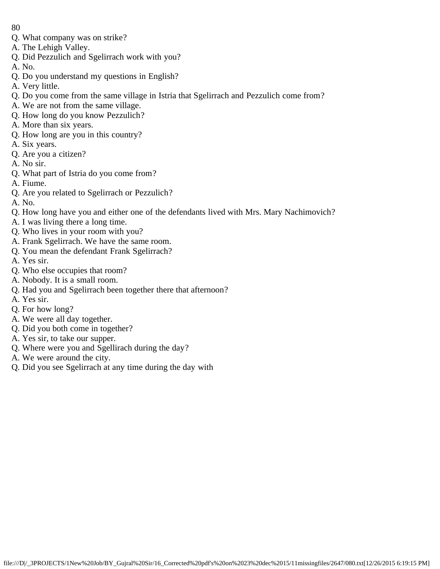- 80
- Q. What company was on strike?
- A. The Lehigh Valley.
- Q. Did Pezzulich and Sgelirrach work with you?
- A. No.
- Q. Do you understand my questions in English?
- A. Very little.
- Q. Do you come from the same village in Istria that Sgelirrach and Pezzulich come from?
- A. We are not from the same village.
- Q. How long do you know Pezzulich?
- A. More than six years.
- Q. How long are you in this country?
- A. Six years.
- Q. Are you a citizen?
- A. No sir.
- Q. What part of Istria do you come from?
- A. Fiume.
- Q. Are you related to Sgelirrach or Pezzulich?
- A. No.
- Q. How long have you and either one of the defendants lived with Mrs. Mary Nachimovich?
- A. I was living there a long time.
- Q. Who lives in your room with you?
- A. Frank Sgelirrach. We have the same room.
- Q. You mean the defendant Frank Sgelirrach?
- A. Yes sir.
- Q. Who else occupies that room?
- A. Nobody. It is a small room.
- Q. Had you and Sgelirrach been together there that afternoon?
- A. Yes sir.
- Q. For how long?
- A. We were all day together.
- Q. Did you both come in together?
- A. Yes sir, to take our supper.
- Q. Where were you and Sgellirach during the day?
- A. We were around the city.
- Q. Did you see Sgelirrach at any time during the day with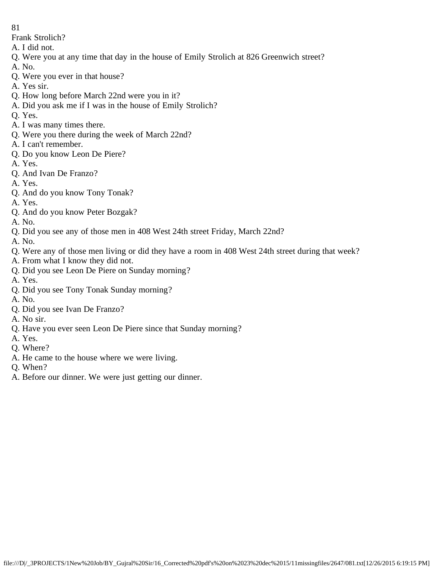Frank Strolich?

- A. I did not.
- Q. Were you at any time that day in the house of Emily Strolich at 826 Greenwich street?
- A. No.
- Q. Were you ever in that house?
- A. Yes sir.
- Q. How long before March 22nd were you in it?
- A. Did you ask me if I was in the house of Emily Strolich?
- Q. Yes.
- A. I was many times there.
- Q. Were you there during the week of March 22nd?
- A. I can't remember.
- Q. Do you know Leon De Piere?
- A. Yes.
- Q. And Ivan De Franzo?
- A. Yes.
- Q. And do you know Tony Tonak?
- A. Yes.
- Q. And do you know Peter Bozgak?
- A. No.
- Q. Did you see any of those men in 408 West 24th street Friday, March 22nd?
- A. No.
- Q. Were any of those men living or did they have a room in 408 West 24th street during that week?
- A. From what I know they did not.
- Q. Did you see Leon De Piere on Sunday morning?
- A. Yes.
- Q. Did you see Tony Tonak Sunday morning?
- A. No.
- Q. Did you see Ivan De Franzo?
- A. No sir.
- Q. Have you ever seen Leon De Piere since that Sunday morning?
- A. Yes.
- Q. Where?
- A. He came to the house where we were living.
- Q. When?
- A. Before our dinner. We were just getting our dinner.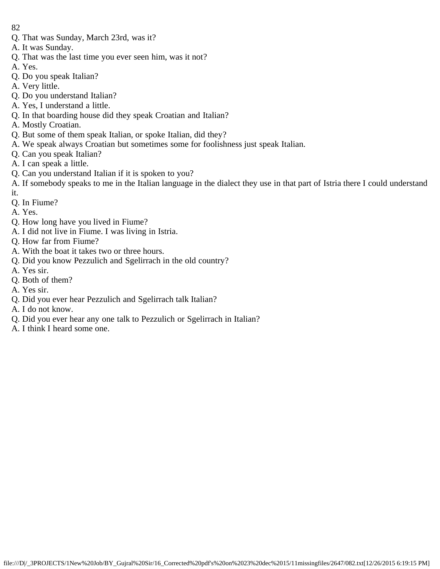- 82
- Q. That was Sunday, March 23rd, was it?
- A. It was Sunday.
- Q. That was the last time you ever seen him, was it not?
- A. Yes.
- Q. Do you speak Italian?
- A. Very little.
- Q. Do you understand Italian?
- A. Yes, I understand a little.
- Q. In that boarding house did they speak Croatian and Italian?
- A. Mostly Croatian.
- Q. But some of them speak Italian, or spoke Italian, did they?
- A. We speak always Croatian but sometimes some for foolishness just speak Italian.
- Q. Can you speak Italian?
- A. I can speak a little.
- Q. Can you understand Italian if it is spoken to you?
- A. If somebody speaks to me in the Italian language in the dialect they use in that part of Istria there I could understand it.
- Q. In Fiume?
- A. Yes.
- Q. How long have you lived in Fiume?
- A. I did not live in Fiume. I was living in Istria.
- Q. How far from Fiume?
- A. With the boat it takes two or three hours.
- Q. Did you know Pezzulich and Sgelirrach in the old country?
- A. Yes sir.
- Q. Both of them?
- A. Yes sir.
- Q. Did you ever hear Pezzulich and Sgelirrach talk Italian?
- A. I do not know.
- Q. Did you ever hear any one talk to Pezzulich or Sgelirrach in Italian?
- A. I think I heard some one.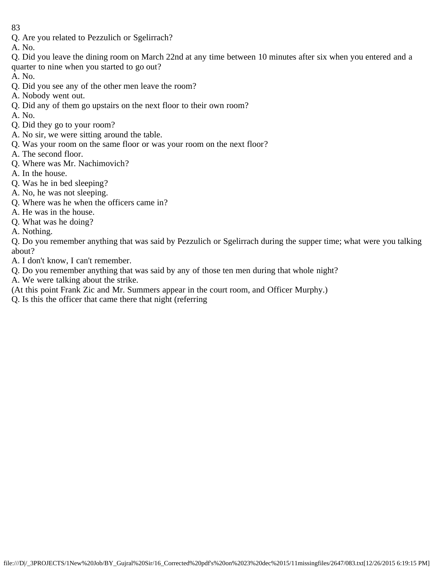- Q. Are you related to Pezzulich or Sgelirrach?
- A. No.
- Q. Did you leave the dining room on March 22nd at any time between 10 minutes after six when you entered and a quarter to nine when you started to go out?
- A. No.
- Q. Did you see any of the other men leave the room?
- A. Nobody went out.
- Q. Did any of them go upstairs on the next floor to their own room?
- A. No.
- Q. Did they go to your room?
- A. No sir, we were sitting around the table.
- Q. Was your room on the same floor or was your room on the next floor?
- A. The second floor.
- Q. Where was Mr. Nachimovich?
- A. In the house.
- Q. Was he in bed sleeping?
- A. No, he was not sleeping.
- Q. Where was he when the officers came in?
- A. He was in the house.
- Q. What was he doing?
- A. Nothing.

Q. Do you remember anything that was said by Pezzulich or Sgelirrach during the supper time; what were you talking about?

- A. I don't know, I can't remember.
- Q. Do you remember anything that was said by any of those ten men during that whole night?
- A. We were talking about the strike.
- (At this point Frank Zic and Mr. Summers appear in the court room, and Officer Murphy.)
- Q. Is this the officer that came there that night (referring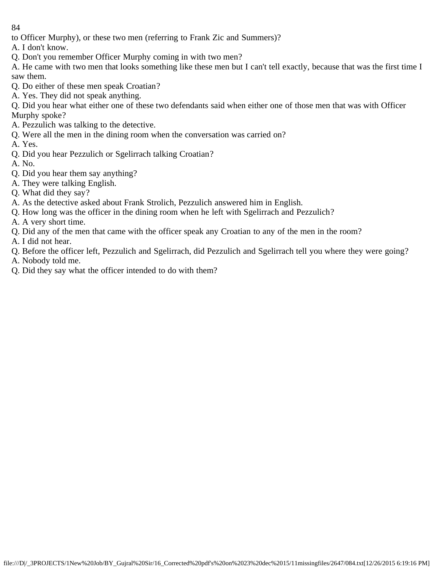to Officer Murphy), or these two men (referring to Frank Zic and Summers)?

A. I don't know.

- Q. Don't you remember Officer Murphy coming in with two men?
- A. He came with two men that looks something like these men but I can't tell exactly, because that was the first time I saw them.
- Q. Do either of these men speak Croatian?
- A. Yes. They did not speak anything.

Q. Did you hear what either one of these two defendants said when either one of those men that was with Officer Murphy spoke?

- A. Pezzulich was talking to the detective.
- Q. Were all the men in the dining room when the conversation was carried on?
- A. Yes.
- Q. Did you hear Pezzulich or Sgelirrach talking Croatian?
- A. No.
- Q. Did you hear them say anything?
- A. They were talking English.
- Q. What did they say?
- A. As the detective asked about Frank Strolich, Pezzulich answered him in English.
- Q. How long was the officer in the dining room when he left with Sgelirrach and Pezzulich?
- A. A very short time.
- Q. Did any of the men that came with the officer speak any Croatian to any of the men in the room?
- A. I did not hear.
- Q. Before the officer left, Pezzulich and Sgelirrach, did Pezzulich and Sgelirrach tell you where they were going? A. Nobody told me.
- Q. Did they say what the officer intended to do with them?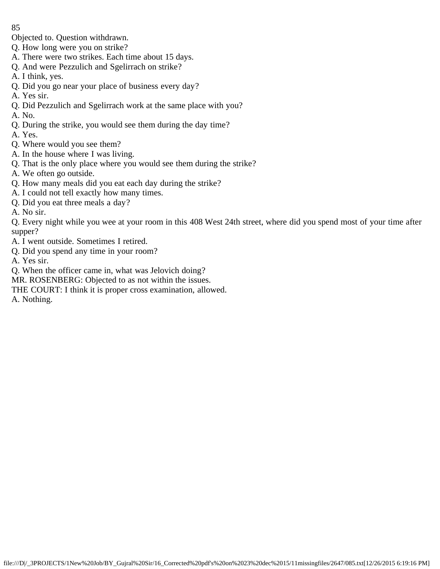Objected to. Question withdrawn.

- Q. How long were you on strike?
- A. There were two strikes. Each time about 15 days.
- Q. And were Pezzulich and Sgelirrach on strike?
- A. I think, yes.
- Q. Did you go near your place of business every day?
- A. Yes sir.
- Q. Did Pezzulich and Sgelirrach work at the same place with you?
- A. No.
- Q. During the strike, you would see them during the day time?
- A. Yes.
- Q. Where would you see them?
- A. In the house where I was living.
- Q. That is the only place where you would see them during the strike?
- A. We often go outside.
- Q. How many meals did you eat each day during the strike?
- A. I could not tell exactly how many times.
- Q. Did you eat three meals a day?
- A. No sir.
- Q. Every night while you wee at your room in this 408 West 24th street, where did you spend most of your time after supper?
- A. I went outside. Sometimes I retired.
- Q. Did you spend any time in your room?
- A. Yes sir.
- Q. When the officer came in, what was Jelovich doing?
- MR. ROSENBERG: Objected to as not within the issues.
- THE COURT: I think it is proper cross examination, allowed.
- A. Nothing.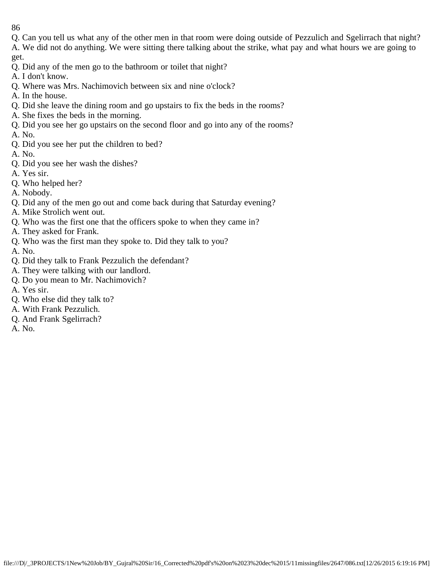Q. Can you tell us what any of the other men in that room were doing outside of Pezzulich and Sgelirrach that night? A. We did not do anything. We were sitting there talking about the strike, what pay and what hours we are going to

get.

- Q. Did any of the men go to the bathroom or toilet that night?
- A. I don't know.
- Q. Where was Mrs. Nachimovich between six and nine o'clock?
- A. In the house.
- Q. Did she leave the dining room and go upstairs to fix the beds in the rooms?
- A. She fixes the beds in the morning.
- Q. Did you see her go upstairs on the second floor and go into any of the rooms?
- A. No.
- Q. Did you see her put the children to bed?
- A. No.
- Q. Did you see her wash the dishes?
- A. Yes sir.
- Q. Who helped her?
- A. Nobody.
- Q. Did any of the men go out and come back during that Saturday evening?
- A. Mike Strolich went out.
- Q. Who was the first one that the officers spoke to when they came in?
- A. They asked for Frank.
- Q. Who was the first man they spoke to. Did they talk to you?
- A. No.
- Q. Did they talk to Frank Pezzulich the defendant?
- A. They were talking with our landlord.
- Q. Do you mean to Mr. Nachimovich?
- A. Yes sir.
- Q. Who else did they talk to?
- A. With Frank Pezzulich.
- Q. And Frank Sgelirrach?
- A. No.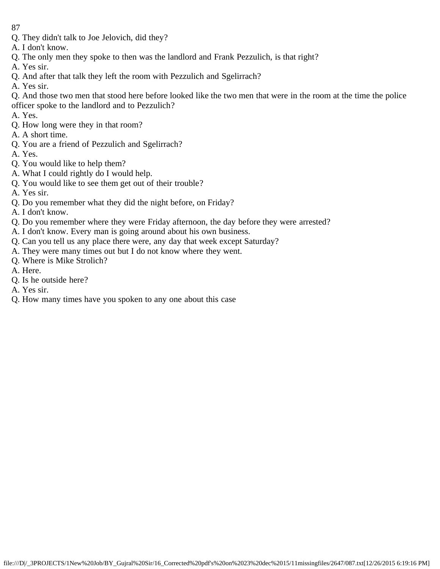- 87
- Q. They didn't talk to Joe Jelovich, did they?
- A. I don't know.
- Q. The only men they spoke to then was the landlord and Frank Pezzulich, is that right?
- A. Yes sir.
- Q. And after that talk they left the room with Pezzulich and Sgelirrach?
- A. Yes sir.
- Q. And those two men that stood here before looked like the two men that were in the room at the time the police officer spoke to the landlord and to Pezzulich?
- A. Yes.
- Q. How long were they in that room?
- A. A short time.
- Q. You are a friend of Pezzulich and Sgelirrach?
- A. Yes.
- Q. You would like to help them?
- A. What I could rightly do I would help.
- Q. You would like to see them get out of their trouble?
- A. Yes sir.
- Q. Do you remember what they did the night before, on Friday?
- A. I don't know.
- Q. Do you remember where they were Friday afternoon, the day before they were arrested?
- A. I don't know. Every man is going around about his own business.
- Q. Can you tell us any place there were, any day that week except Saturday?
- A. They were many times out but I do not know where they went.
- Q. Where is Mike Strolich?
- A. Here.
- Q. Is he outside here?
- A. Yes sir.
- Q. How many times have you spoken to any one about this case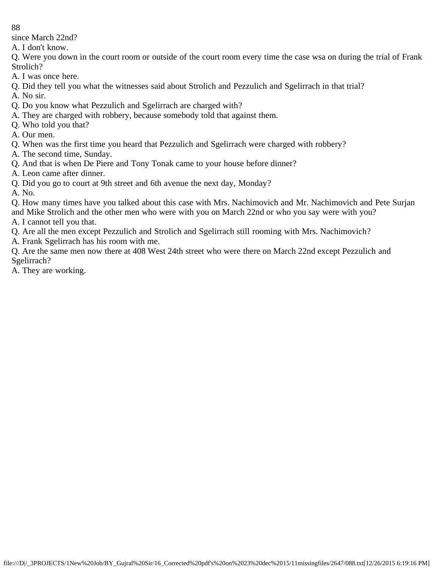since March 22nd?

A. I don't know.

Q. Were you down in the court room or outside of the court room every time the case wsa on during the trial of Frank Strolich?

- A. I was once here.
- Q. Did they tell you what the witnesses said about Strolich and Pezzulich and Sgelirrach in that trial?
- A. No sir.
- Q. Do you know what Pezzulich and Sgelirrach are charged with?
- A. They are charged with robbery, because somebody told that against them.
- Q. Who told you that?
- A. Our men.
- Q. When was the first time you heard that Pezzulich and Sgelirrach were charged with robbery?
- A. The second time, Sunday.
- Q. And that is when De Piere and Tony Tonak came to your house before dinner?
- A. Leon came after dinner.
- Q. Did you go to court at 9th street and 6th avenue the next day, Monday?
- A. No.

Q. How many times have you talked about this case with Mrs. Nachimovich and Mr. Nachimovich and Pete Surjan and Mike Strolich and the other men who were with you on March 22nd or who you say were with you?

- A. I cannot tell you that.
- Q. Are all the men except Pezzulich and Strolich and Sgelirrach still rooming with Mrs. Nachimovich?
- A. Frank Sgelirrach has his room with me.
- Q. Are the same men now there at 408 West 24th street who were there on March 22nd except Pezzulich and Sgelirrach?
- A. They are working.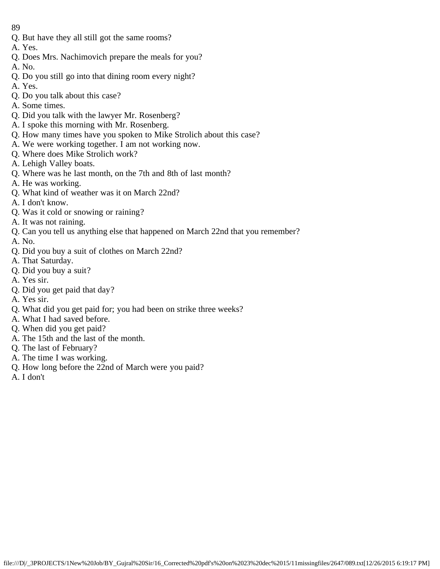- 89
- Q. But have they all still got the same rooms?
- A. Yes.
- Q. Does Mrs. Nachimovich prepare the meals for you?
- A. No.
- Q. Do you still go into that dining room every night?
- A. Yes.
- Q. Do you talk about this case?
- A. Some times.
- Q. Did you talk with the lawyer Mr. Rosenberg?
- A. I spoke this morning with Mr. Rosenberg.
- Q. How many times have you spoken to Mike Strolich about this case?
- A. We were working together. I am not working now.
- Q. Where does Mike Strolich work?
- A. Lehigh Valley boats.
- Q. Where was he last month, on the 7th and 8th of last month?
- A. He was working.
- Q. What kind of weather was it on March 22nd?
- A. I don't know.
- Q. Was it cold or snowing or raining?
- A. It was not raining.
- Q. Can you tell us anything else that happened on March 22nd that you remember?
- A. No.
- Q. Did you buy a suit of clothes on March 22nd?
- A. That Saturday.
- Q. Did you buy a suit?
- A. Yes sir.
- Q. Did you get paid that day?
- A. Yes sir.
- Q. What did you get paid for; you had been on strike three weeks?
- A. What I had saved before.
- Q. When did you get paid?
- A. The 15th and the last of the month.
- Q. The last of February?
- A. The time I was working.
- Q. How long before the 22nd of March were you paid?
- A. I don't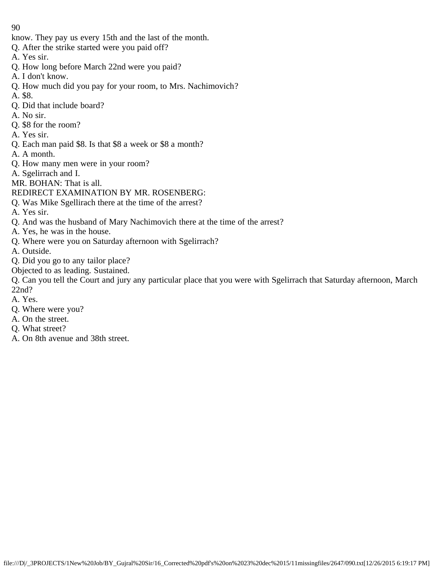- know. They pay us every 15th and the last of the month.
- Q. After the strike started were you paid off?
- A. Yes sir.
- Q. How long before March 22nd were you paid?
- A. I don't know.
- Q. How much did you pay for your room, to Mrs. Nachimovich?
- A. \$8.
- Q. Did that include board?
- A. No sir.
- Q. \$8 for the room?
- A. Yes sir.
- Q. Each man paid \$8. Is that \$8 a week or \$8 a month?
- A. A month.
- Q. How many men were in your room?
- A. Sgelirrach and I.
- MR. BOHAN: That is all.
- REDIRECT EXAMINATION BY MR. ROSENBERG:
- Q. Was Mike Sgellirach there at the time of the arrest?
- A. Yes sir.
- Q. And was the husband of Mary Nachimovich there at the time of the arrest?
- A. Yes, he was in the house.
- Q. Where were you on Saturday afternoon with Sgelirrach?
- A. Outside.
- Q. Did you go to any tailor place?
- Objected to as leading. Sustained.
- Q. Can you tell the Court and jury any particular place that you were with Sgelirrach that Saturday afternoon, March 22nd?
- A. Yes.
- Q. Where were you?
- A. On the street.
- Q. What street?
- A. On 8th avenue and 38th street.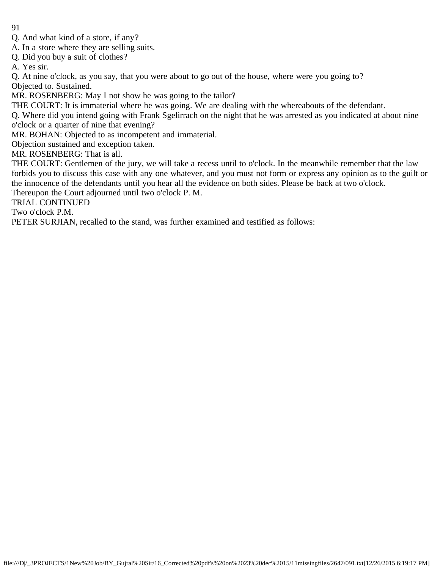- 91
- Q. And what kind of a store, if any?
- A. In a store where they are selling suits.
- Q. Did you buy a suit of clothes?
- A. Yes sir.

Q. At nine o'clock, as you say, that you were about to go out of the house, where were you going to? Objected to. Sustained.

MR. ROSENBERG: May I not show he was going to the tailor?

THE COURT: It is immaterial where he was going. We are dealing with the whereabouts of the defendant.

Q. Where did you intend going with Frank Sgelirrach on the night that he was arrested as you indicated at about nine o'clock or a quarter of nine that evening?

MR. BOHAN: Objected to as incompetent and immaterial.

Objection sustained and exception taken.

MR. ROSENBERG: That is all.

THE COURT: Gentlemen of the jury, we will take a recess until to o'clock. In the meanwhile remember that the law forbids you to discuss this case with any one whatever, and you must not form or express any opinion as to the guilt or the innocence of the defendants until you hear all the evidence on both sides. Please be back at two o'clock.

Thereupon the Court adjourned until two o'clock P. M.

TRIAL CONTINUED

Two o'clock P.M.

PETER SURJIAN, recalled to the stand, was further examined and testified as follows: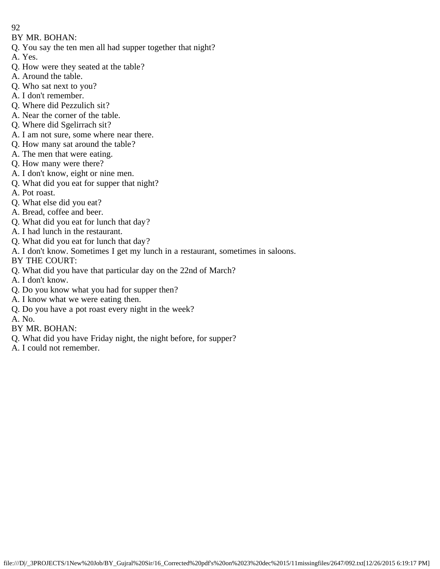- 92
- BY MR. BOHAN:
- Q. You say the ten men all had supper together that night?
- A. Yes.
- Q. How were they seated at the table?
- A. Around the table.
- Q. Who sat next to you?
- A. I don't remember.
- Q. Where did Pezzulich sit?
- A. Near the corner of the table.
- Q. Where did Sgelirrach sit?
- A. I am not sure, some where near there.
- Q. How many sat around the table?
- A. The men that were eating.
- Q. How many were there?
- A. I don't know, eight or nine men.
- Q. What did you eat for supper that night?
- A. Pot roast.
- Q. What else did you eat?
- A. Bread, coffee and beer.
- Q. What did you eat for lunch that day?
- A. I had lunch in the restaurant.
- Q. What did you eat for lunch that day?
- A. I don't know. Sometimes I get my lunch in a restaurant, sometimes in saloons.
- BY THE COURT:
- Q. What did you have that particular day on the 22nd of March?
- A. I don't know.
- Q. Do you know what you had for supper then?
- A. I know what we were eating then.
- Q. Do you have a pot roast every night in the week?
- A. No.
- BY MR. BOHAN:
- Q. What did you have Friday night, the night before, for supper?
- A. I could not remember.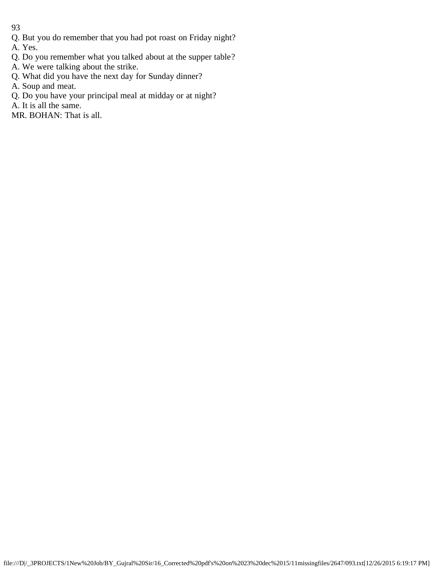Q. But you do remember that you had pot roast on Friday night?

A. Yes.

- Q. Do you remember what you talked about at the supper table?
- A. We were talking about the strike.
- Q. What did you have the next day for Sunday dinner?
- A. Soup and meat.
- Q. Do you have your principal meal at midday or at night?
- A. It is all the same.
- MR. BOHAN: That is all.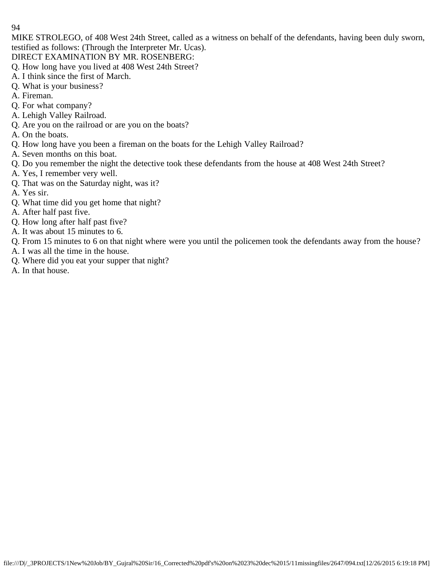MIKE STROLEGO, of 408 West 24th Street, called as a witness on behalf of the defendants, having been duly sworn, testified as follows: (Through the Interpreter Mr. Ucas).

DIRECT EXAMINATION BY MR. ROSENBERG:

- Q. How long have you lived at 408 West 24th Street?
- A. I think since the first of March.
- Q. What is your business?
- A. Fireman.
- Q. For what company?
- A. Lehigh Valley Railroad.
- Q. Are you on the railroad or are you on the boats?
- A. On the boats.
- Q. How long have you been a fireman on the boats for the Lehigh Valley Railroad?
- A. Seven months on this boat.
- Q. Do you remember the night the detective took these defendants from the house at 408 West 24th Street?
- A. Yes, I remember very well.
- Q. That was on the Saturday night, was it?
- A. Yes sir.
- Q. What time did you get home that night?
- A. After half past five.
- Q. How long after half past five?
- A. It was about 15 minutes to 6.
- Q. From 15 minutes to 6 on that night where were you until the policemen took the defendants away from the house?
- A. I was all the time in the house.
- Q. Where did you eat your supper that night?
- A. In that house.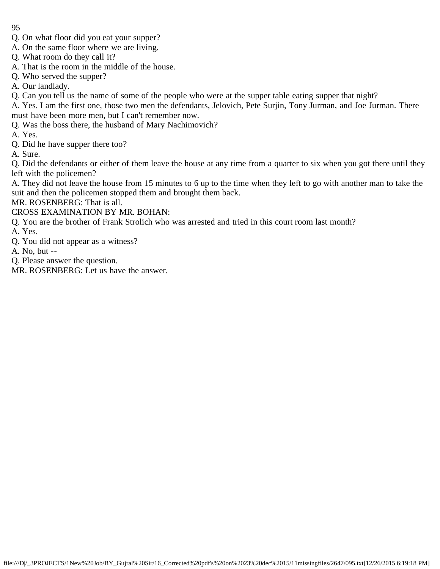- 95
- Q. On what floor did you eat your supper?
- A. On the same floor where we are living.
- Q. What room do they call it?
- A. That is the room in the middle of the house.
- Q. Who served the supper?
- A. Our landlady.
- Q. Can you tell us the name of some of the people who were at the supper table eating supper that night?

A. Yes. I am the first one, those two men the defendants, Jelovich, Pete Surjin, Tony Jurman, and Joe Jurman. There must have been more men, but I can't remember now.

- Q. Was the boss there, the husband of Mary Nachimovich?
- A. Yes.
- Q. Did he have supper there too?
- A. Sure.

Q. Did the defendants or either of them leave the house at any time from a quarter to six when you got there until they left with the policemen?

A. They did not leave the house from 15 minutes to 6 up to the time when they left to go with another man to take the suit and then the policemen stopped them and brought them back.

MR. ROSENBERG: That is all.

CROSS EXAMINATION BY MR. BOHAN:

- Q. You are the brother of Frank Strolich who was arrested and tried in this court room last month?
- A. Yes.
- Q. You did not appear as a witness?
- A. No, but --
- Q. Please answer the question.
- MR. ROSENBERG: Let us have the answer.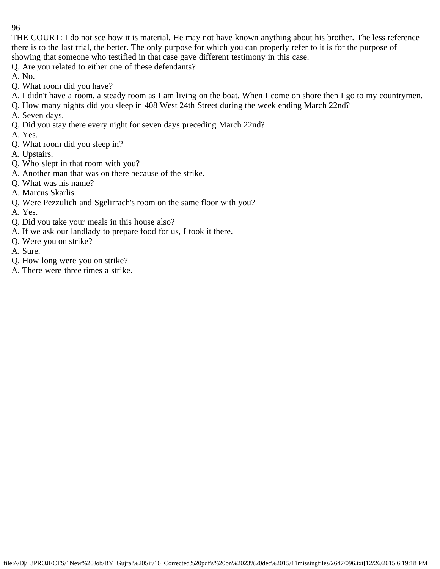THE COURT: I do not see how it is material. He may not have known anything about his brother. The less reference there is to the last trial, the better. The only purpose for which you can properly refer to it is for the purpose of showing that someone who testified in that case gave different testimony in this case.

Q. Are you related to either one of these defendants?

- A. No.
- Q. What room did you have?
- A. I didn't have a room, a steady room as I am living on the boat. When I come on shore then I go to my countrymen.
- Q. How many nights did you sleep in 408 West 24th Street during the week ending March 22nd?
- A. Seven days.
- Q. Did you stay there every night for seven days preceding March 22nd?
- A. Yes.
- Q. What room did you sleep in?
- A. Upstairs.
- Q. Who slept in that room with you?
- A. Another man that was on there because of the strike.
- Q. What was his name?
- A. Marcus Skarlis.
- Q. Were Pezzulich and Sgelirrach's room on the same floor with you?
- A. Yes.
- Q. Did you take your meals in this house also?
- A. If we ask our landlady to prepare food for us, I took it there.
- Q. Were you on strike?
- A. Sure.
- Q. How long were you on strike?
- A. There were three times a strike.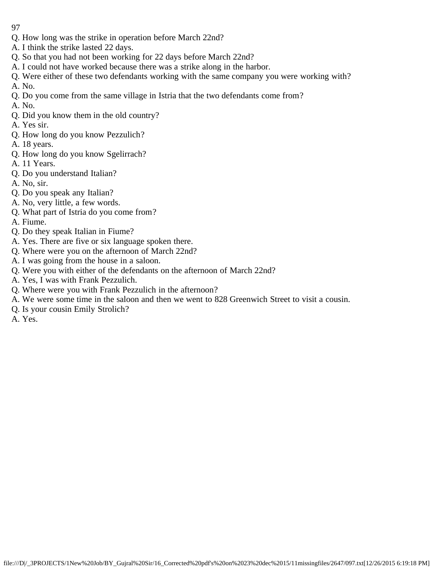- 97
- Q. How long was the strike in operation before March 22nd?
- A. I think the strike lasted 22 days.
- Q. So that you had not been working for 22 days before March 22nd?
- A. I could not have worked because there was a strike along in the harbor.
- Q. Were either of these two defendants working with the same company you were working with?
- A. No.
- Q. Do you come from the same village in Istria that the two defendants come from?
- A. No.
- Q. Did you know them in the old country?
- A. Yes sir.
- Q. How long do you know Pezzulich?
- A. 18 years.
- Q. How long do you know Sgelirrach?
- A. 11 Years.
- Q. Do you understand Italian?
- A. No, sir.
- Q. Do you speak any Italian?
- A. No, very little, a few words.
- Q. What part of Istria do you come from?
- A. Fiume.
- Q. Do they speak Italian in Fiume?
- A. Yes. There are five or six language spoken there.
- Q. Where were you on the afternoon of March 22nd?
- A. I was going from the house in a saloon.
- Q. Were you with either of the defendants on the afternoon of March 22nd?
- A. Yes, I was with Frank Pezzulich.
- Q. Where were you with Frank Pezzulich in the afternoon?
- A. We were some time in the saloon and then we went to 828 Greenwich Street to visit a cousin.
- Q. Is your cousin Emily Strolich?
- A. Yes.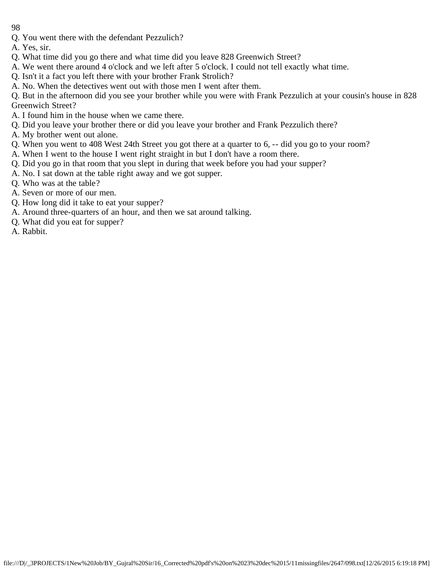- 98
- Q. You went there with the defendant Pezzulich?
- A. Yes, sir.
- Q. What time did you go there and what time did you leave 828 Greenwich Street?
- A. We went there around 4 o'clock and we left after 5 o'clock. I could not tell exactly what time.
- Q. Isn't it a fact you left there with your brother Frank Strolich?
- A. No. When the detectives went out with those men I went after them.
- Q. But in the afternoon did you see your brother while you were with Frank Pezzulich at your cousin's house in 828 Greenwich Street?
- A. I found him in the house when we came there.
- Q. Did you leave your brother there or did you leave your brother and Frank Pezzulich there?
- A. My brother went out alone.
- Q. When you went to 408 West 24th Street you got there at a quarter to 6, -- did you go to your room?
- A. When I went to the house I went right straight in but I don't have a room there.
- Q. Did you go in that room that you slept in during that week before you had your supper?
- A. No. I sat down at the table right away and we got supper.
- Q. Who was at the table?
- A. Seven or more of our men.
- Q. How long did it take to eat your supper?
- A. Around three-quarters of an hour, and then we sat around talking.
- Q. What did you eat for supper?
- A. Rabbit.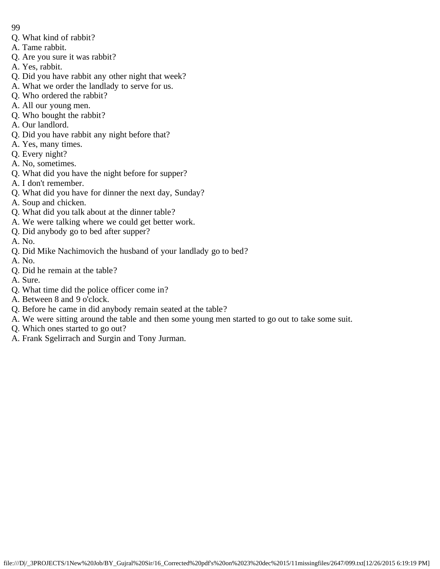- 99
- Q. What kind of rabbit?
- A. Tame rabbit.
- Q. Are you sure it was rabbit?
- A. Yes, rabbit.
- Q. Did you have rabbit any other night that week?
- A. What we order the landlady to serve for us.
- Q. Who ordered the rabbit?
- A. All our young men.
- Q. Who bought the rabbit?
- A. Our landlord.
- Q. Did you have rabbit any night before that?
- A. Yes, many times.
- Q. Every night?
- A. No, sometimes.
- Q. What did you have the night before for supper?
- A. I don't remember.
- Q. What did you have for dinner the next day, Sunday?
- A. Soup and chicken.
- Q. What did you talk about at the dinner table?
- A. We were talking where we could get better work.
- Q. Did anybody go to bed after supper?
- A. No.
- Q. Did Mike Nachimovich the husband of your landlady go to bed?
- A. No.
- Q. Did he remain at the table?
- A. Sure.
- Q. What time did the police officer come in?
- A. Between 8 and 9 o'clock.
- Q. Before he came in did anybody remain seated at the table?
- A. We were sitting around the table and then some young men started to go out to take some suit.
- Q. Which ones started to go out?
- A. Frank Sgelirrach and Surgin and Tony Jurman.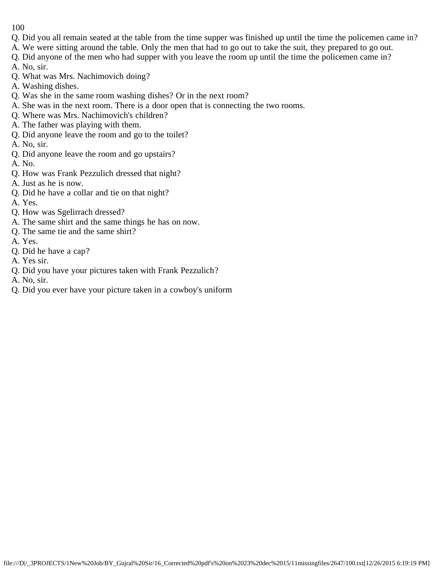- Q. Did you all remain seated at the table from the time supper was finished up until the time the policemen came in?
- A. We were sitting around the table. Only the men that had to go out to take the suit, they prepared to go out.
- Q. Did anyone of the men who had supper with you leave the room up until the time the policemen came in?
- A. No, sir.
- Q. What was Mrs. Nachimovich doing?
- A. Washing dishes.
- Q. Was she in the same room washing dishes? Or in the next room?
- A. She was in the next room. There is a door open that is connecting the two rooms.
- Q. Where was Mrs. Nachimovich's children?
- A. The father was playing with them.
- Q. Did anyone leave the room and go to the toilet?
- A. No, sir.
- Q. Did anyone leave the room and go upstairs?
- A. No.
- Q. How was Frank Pezzulich dressed that night?
- A. Just as he is now.
- Q. Did he have a collar and tie on that night?
- A. Yes.
- Q. How was Sgelirrach dressed?
- A. The same shirt and the same things he has on now.
- Q. The same tie and the same shirt?
- A. Yes.
- Q. Did he have a cap?
- A. Yes sir.
- Q. Did you have your pictures taken with Frank Pezzulich?
- A. No, sir.
- Q. Did you ever have your picture taken in a cowboy's uniform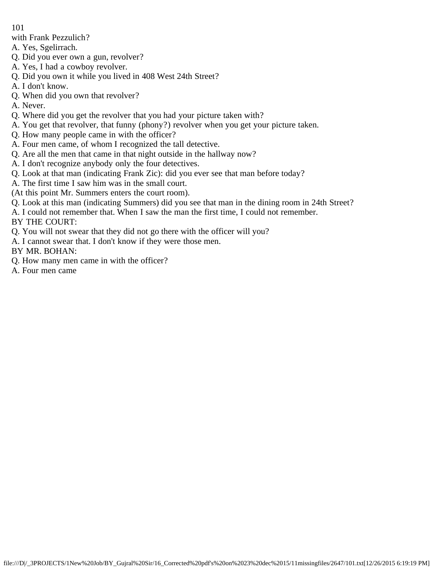- with Frank Pezzulich?
- A. Yes, Sgelirrach.
- Q. Did you ever own a gun, revolver?
- A. Yes, I had a cowboy revolver.
- Q. Did you own it while you lived in 408 West 24th Street?
- A. I don't know.
- Q. When did you own that revolver?
- A. Never.
- Q. Where did you get the revolver that you had your picture taken with?
- A. You get that revolver, that funny (phony?) revolver when you get your picture taken.
- Q. How many people came in with the officer?
- A. Four men came, of whom I recognized the tall detective.
- Q. Are all the men that came in that night outside in the hallway now?
- A. I don't recognize anybody only the four detectives.
- Q. Look at that man (indicating Frank Zic): did you ever see that man before today?
- A. The first time I saw him was in the small court.
- (At this point Mr. Summers enters the court room).
- Q. Look at this man (indicating Summers) did you see that man in the dining room in 24th Street?
- A. I could not remember that. When I saw the man the first time, I could not remember.

BY THE COURT:

- Q. You will not swear that they did not go there with the officer will you?
- A. I cannot swear that. I don't know if they were those men.

BY MR. BOHAN:

- Q. How many men came in with the officer?
- A. Four men came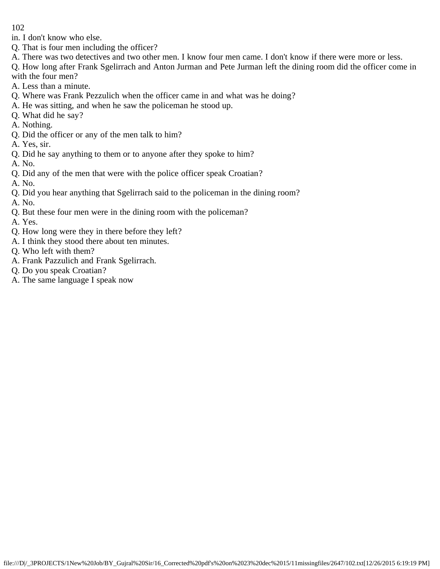in. I don't know who else.

- Q. That is four men including the officer?
- A. There was two detectives and two other men. I know four men came. I don't know if there were more or less.

Q. How long after Frank Sgelirrach and Anton Jurman and Pete Jurman left the dining room did the officer come in with the four men?

- A. Less than a minute.
- Q. Where was Frank Pezzulich when the officer came in and what was he doing?
- A. He was sitting, and when he saw the policeman he stood up.
- Q. What did he say?
- A. Nothing.
- Q. Did the officer or any of the men talk to him?
- A. Yes, sir.
- Q. Did he say anything to them or to anyone after they spoke to him?
- A. No.
- Q. Did any of the men that were with the police officer speak Croatian?
- A. No.
- Q. Did you hear anything that Sgelirrach said to the policeman in the dining room?
- A. No.
- Q. But these four men were in the dining room with the policeman?
- A. Yes.
- Q. How long were they in there before they left?
- A. I think they stood there about ten minutes.
- Q. Who left with them?
- A. Frank Pazzulich and Frank Sgelirrach.
- Q. Do you speak Croatian?
- A. The same language I speak now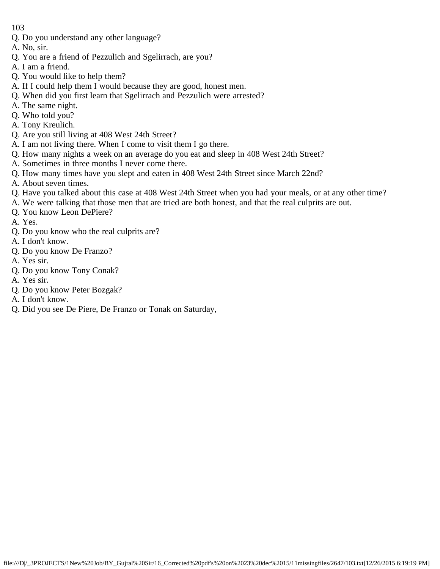- Q. Do you understand any other language?
- A. No, sir.
- Q. You are a friend of Pezzulich and Sgelirrach, are you?
- A. I am a friend.
- Q. You would like to help them?
- A. If I could help them I would because they are good, honest men.
- Q. When did you first learn that Sgelirrach and Pezzulich were arrested?
- A. The same night.
- Q. Who told you?
- A. Tony Kreulich.
- Q. Are you still living at 408 West 24th Street?
- A. I am not living there. When I come to visit them I go there.
- Q. How many nights a week on an average do you eat and sleep in 408 West 24th Street?
- A. Sometimes in three months I never come there.
- Q. How many times have you slept and eaten in 408 West 24th Street since March 22nd?
- A. About seven times.
- Q. Have you talked about this case at 408 West 24th Street when you had your meals, or at any other time?
- A. We were talking that those men that are tried are both honest, and that the real culprits are out.
- Q. You know Leon DePiere?
- A. Yes.
- Q. Do you know who the real culprits are?
- A. I don't know.
- Q. Do you know De Franzo?
- A. Yes sir.
- Q. Do you know Tony Conak?
- A. Yes sir.
- Q. Do you know Peter Bozgak?
- A. I don't know.
- Q. Did you see De Piere, De Franzo or Tonak on Saturday,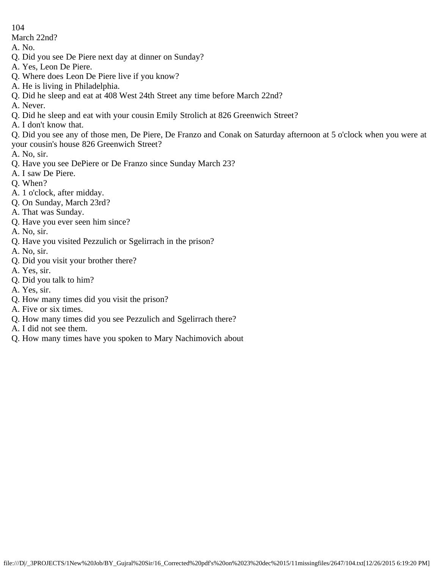March 22nd?

- A. No.
- Q. Did you see De Piere next day at dinner on Sunday?
- A. Yes, Leon De Piere.
- Q. Where does Leon De Piere live if you know?
- A. He is living in Philadelphia.
- Q. Did he sleep and eat at 408 West 24th Street any time before March 22nd?
- A. Never.
- Q. Did he sleep and eat with your cousin Emily Strolich at 826 Greenwich Street?
- A. I don't know that.

Q. Did you see any of those men, De Piere, De Franzo and Conak on Saturday afternoon at 5 o'clock when you were at your cousin's house 826 Greenwich Street?

- A. No, sir.
- Q. Have you see DePiere or De Franzo since Sunday March 23?
- A. I saw De Piere.
- Q. When?
- A. 1 o'clock, after midday.
- Q. On Sunday, March 23rd?
- A. That was Sunday.
- Q. Have you ever seen him since?
- A. No, sir.
- Q. Have you visited Pezzulich or Sgelirrach in the prison?
- A. No, sir.
- Q. Did you visit your brother there?
- A. Yes, sir.
- Q. Did you talk to him?
- A. Yes, sir.
- Q. How many times did you visit the prison?
- A. Five or six times.
- Q. How many times did you see Pezzulich and Sgelirrach there?
- A. I did not see them.
- Q. How many times have you spoken to Mary Nachimovich about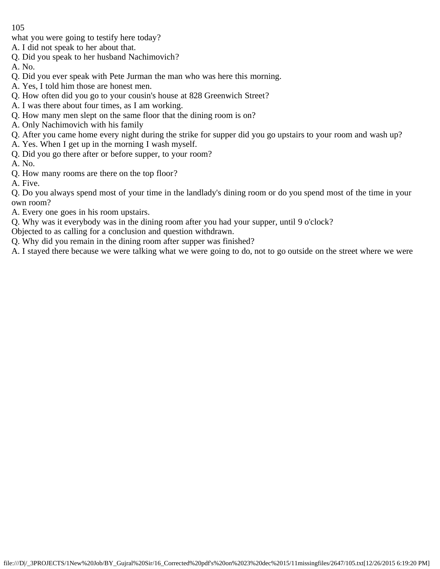what you were going to testify here today?

- A. I did not speak to her about that.
- Q. Did you speak to her husband Nachimovich?
- A. No.
- Q. Did you ever speak with Pete Jurman the man who was here this morning.
- A. Yes, I told him those are honest men.
- Q. How often did you go to your cousin's house at 828 Greenwich Street?
- A. I was there about four times, as I am working.
- Q. How many men slept on the same floor that the dining room is on?
- A. Only Nachimovich with his family
- Q. After you came home every night during the strike for supper did you go upstairs to your room and wash up?
- A. Yes. When I get up in the morning I wash myself.
- Q. Did you go there after or before supper, to your room?

A. No.

- Q. How many rooms are there on the top floor?
- A. Five.

Q. Do you always spend most of your time in the landlady's dining room or do you spend most of the time in your own room?

- A. Every one goes in his room upstairs.
- Q. Why was it everybody was in the dining room after you had your supper, until 9 o'clock?
- Objected to as calling for a conclusion and question withdrawn.
- Q. Why did you remain in the dining room after supper was finished?

A. I stayed there because we were talking what we were going to do, not to go outside on the street where we were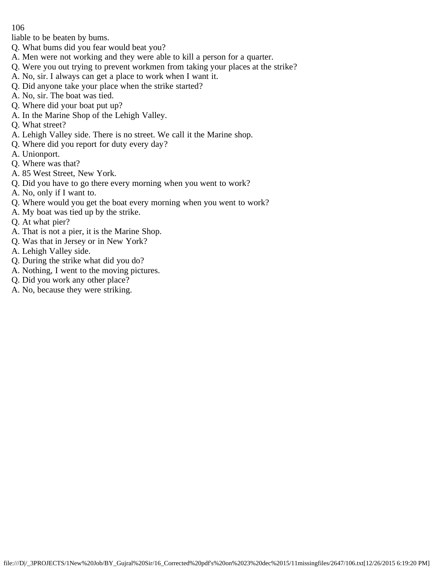liable to be beaten by bums.

- Q. What bums did you fear would beat you?
- A. Men were not working and they were able to kill a person for a quarter.
- Q. Were you out trying to prevent workmen from taking your places at the strike?
- A. No, sir. I always can get a place to work when I want it.
- Q. Did anyone take your place when the strike started?
- A. No, sir. The boat was tied.
- Q. Where did your boat put up?
- A. In the Marine Shop of the Lehigh Valley.
- Q. What street?
- A. Lehigh Valley side. There is no street. We call it the Marine shop.
- Q. Where did you report for duty every day?
- A. Unionport.
- Q. Where was that?
- A. 85 West Street, New York.
- Q. Did you have to go there every morning when you went to work?
- A. No, only if I want to.
- Q. Where would you get the boat every morning when you went to work?
- A. My boat was tied up by the strike.
- Q. At what pier?
- A. That is not a pier, it is the Marine Shop.
- Q. Was that in Jersey or in New York?
- A. Lehigh Valley side.
- Q. During the strike what did you do?
- A. Nothing, I went to the moving pictures.
- Q. Did you work any other place?
- A. No, because they were striking.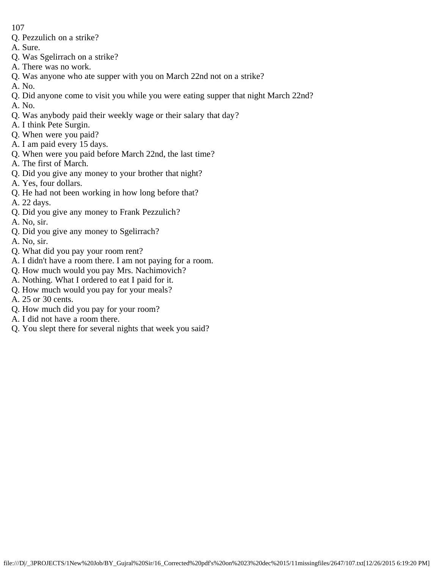- Q. Pezzulich on a strike?
- A. Sure.
- Q. Was Sgelirrach on a strike?
- A. There was no work.
- Q. Was anyone who ate supper with you on March 22nd not on a strike?
- A. No.
- Q. Did anyone come to visit you while you were eating supper that night March 22nd?
- A. No.
- Q. Was anybody paid their weekly wage or their salary that day?
- A. I think Pete Surgin.
- Q. When were you paid?
- A. I am paid every 15 days.
- Q. When were you paid before March 22nd, the last time?
- A. The first of March.
- Q. Did you give any money to your brother that night?
- A. Yes, four dollars.
- Q. He had not been working in how long before that?
- A. 22 days.
- Q. Did you give any money to Frank Pezzulich?
- A. No, sir.
- Q. Did you give any money to Sgelirrach?
- A. No, sir.
- Q. What did you pay your room rent?
- A. I didn't have a room there. I am not paying for a room.
- Q. How much would you pay Mrs. Nachimovich?
- A. Nothing. What I ordered to eat I paid for it.
- Q. How much would you pay for your meals?
- A. 25 or 30 cents.
- Q. How much did you pay for your room?
- A. I did not have a room there.
- Q. You slept there for several nights that week you said?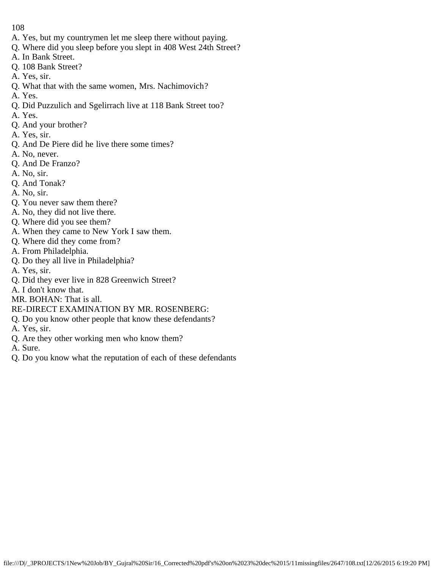- A. Yes, but my countrymen let me sleep there without paying.
- Q. Where did you sleep before you slept in 408 West 24th Street?
- A. In Bank Street.
- Q. 108 Bank Street?
- A. Yes, sir.
- Q. What that with the same women, Mrs. Nachimovich?
- A. Yes.
- Q. Did Puzzulich and Sgelirrach live at 118 Bank Street too?
- A. Yes.
- Q. And your brother?
- A. Yes, sir.
- Q. And De Piere did he live there some times?
- A. No, never.
- Q. And De Franzo?
- A. No, sir.
- Q. And Tonak?
- A. No, sir.
- Q. You never saw them there?
- A. No, they did not live there.
- Q. Where did you see them?
- A. When they came to New York I saw them.
- Q. Where did they come from?
- A. From Philadelphia.
- Q. Do they all live in Philadelphia?
- A. Yes, sir.
- Q. Did they ever live in 828 Greenwich Street?
- A. I don't know that.
- MR. BOHAN: That is all.
- RE-DIRECT EXAMINATION BY MR. ROSENBERG:
- Q. Do you know other people that know these defendants?
- A. Yes, sir.
- Q. Are they other working men who know them?
- A. Sure.
- Q. Do you know what the reputation of each of these defendants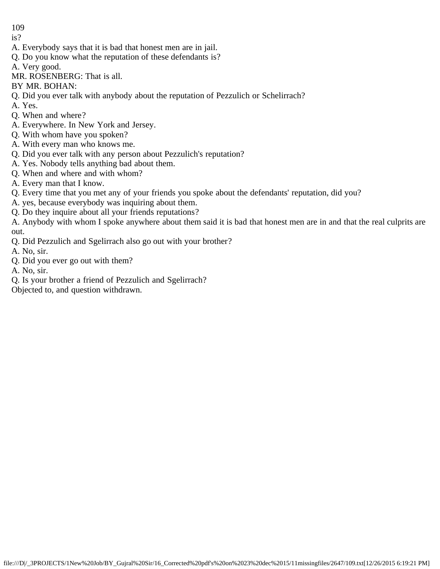- is?
- A. Everybody says that it is bad that honest men are in jail.
- Q. Do you know what the reputation of these defendants is?
- A. Very good.
- MR. ROSENBERG: That is all.
- BY MR. BOHAN:
- Q. Did you ever talk with anybody about the reputation of Pezzulich or Schelirrach?
- A. Yes.
- Q. When and where?
- A. Everywhere. In New York and Jersey.
- Q. With whom have you spoken?
- A. With every man who knows me.
- Q. Did you ever talk with any person about Pezzulich's reputation?
- A. Yes. Nobody tells anything bad about them.
- Q. When and where and with whom?
- A. Every man that I know.
- Q. Every time that you met any of your friends you spoke about the defendants' reputation, did you?
- A. yes, because everybody was inquiring about them.
- Q. Do they inquire about all your friends reputations?

A. Anybody with whom I spoke anywhere about them said it is bad that honest men are in and that the real culprits are out.

- Q. Did Pezzulich and Sgelirrach also go out with your brother?
- A. No, sir.
- Q. Did you ever go out with them?
- A. No, sir.
- Q. Is your brother a friend of Pezzulich and Sgelirrach?
- Objected to, and question withdrawn.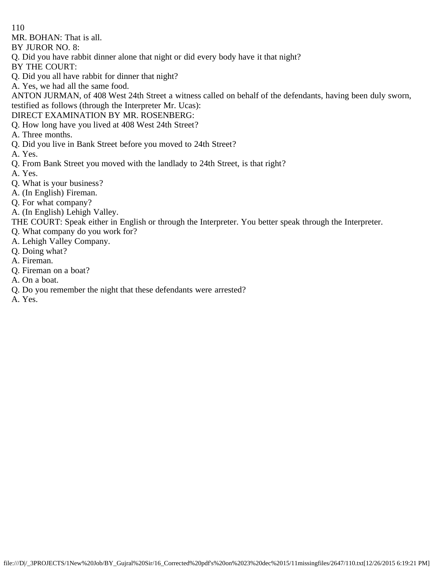MR. BOHAN: That is all.

BY JUROR NO. 8:

- Q. Did you have rabbit dinner alone that night or did every body have it that night?
- BY THE COURT:
- Q. Did you all have rabbit for dinner that night?
- A. Yes, we had all the same food.

ANTON JURMAN, of 408 West 24th Street a witness called on behalf of the defendants, having been duly sworn, testified as follows (through the Interpreter Mr. Ucas):

DIRECT EXAMINATION BY MR. ROSENBERG:

- Q. How long have you lived at 408 West 24th Street?
- A. Three months.
- Q. Did you live in Bank Street before you moved to 24th Street?
- A. Yes.
- Q. From Bank Street you moved with the landlady to 24th Street, is that right?
- A. Yes.
- Q. What is your business?
- A. (In English) Fireman.
- Q. For what company?
- A. (In English) Lehigh Valley.
- THE COURT: Speak either in English or through the Interpreter. You better speak through the Interpreter.
- Q. What company do you work for?
- A. Lehigh Valley Company.
- Q. Doing what?
- A. Fireman.
- Q. Fireman on a boat?
- A. On a boat.
- Q. Do you remember the night that these defendants were arrested?
- A. Yes.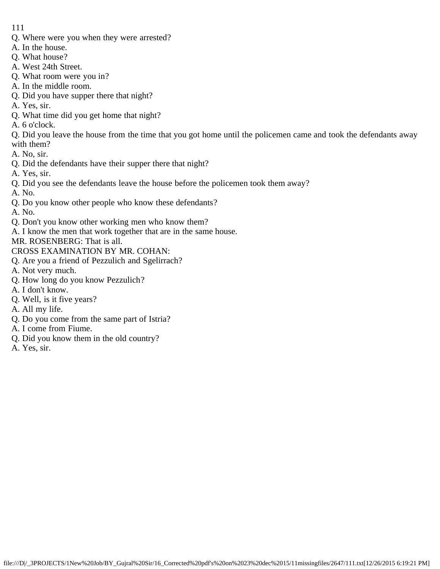- Q. Where were you when they were arrested?
- A. In the house.
- Q. What house?
- A. West 24th Street.
- Q. What room were you in?
- A. In the middle room.
- Q. Did you have supper there that night?
- A. Yes, sir.
- Q. What time did you get home that night?
- A. 6 o'clock.

Q. Did you leave the house from the time that you got home until the policemen came and took the defendants away with them?

- A. No, sir.
- Q. Did the defendants have their supper there that night?
- A. Yes, sir.
- Q. Did you see the defendants leave the house before the policemen took them away?
- A. No.
- Q. Do you know other people who know these defendants?
- A. No.
- Q. Don't you know other working men who know them?
- A. I know the men that work together that are in the same house.

MR. ROSENBERG: That is all.

- CROSS EXAMINATION BY MR. COHAN:
- Q. Are you a friend of Pezzulich and Sgelirrach?
- A. Not very much.
- Q. How long do you know Pezzulich?
- A. I don't know.
- Q. Well, is it five years?
- A. All my life.
- Q. Do you come from the same part of Istria?
- A. I come from Fiume.
- Q. Did you know them in the old country?
- A. Yes, sir.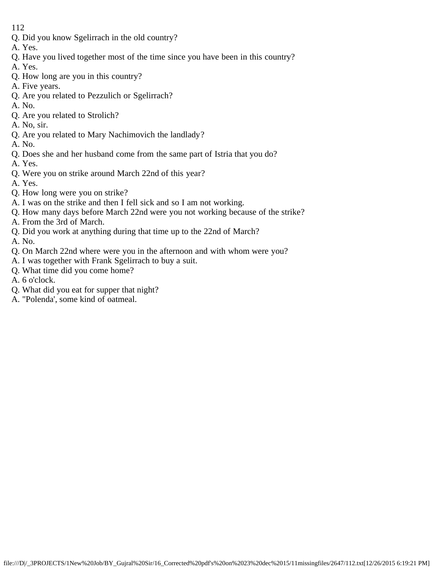- Q. Did you know Sgelirrach in the old country?
- A. Yes.
- Q. Have you lived together most of the time since you have been in this country?
- A. Yes.
- Q. How long are you in this country?
- A. Five years.
- Q. Are you related to Pezzulich or Sgelirrach?
- A. No.
- Q. Are you related to Strolich?
- A. No, sir.
- Q. Are you related to Mary Nachimovich the landlady?
- A. No.
- Q. Does she and her husband come from the same part of Istria that you do?
- A. Yes.
- Q. Were you on strike around March 22nd of this year?
- A. Yes.
- Q. How long were you on strike?
- A. I was on the strike and then I fell sick and so I am not working.
- Q. How many days before March 22nd were you not working because of the strike?
- A. From the 3rd of March.
- Q. Did you work at anything during that time up to the 22nd of March?
- A. No.
- Q. On March 22nd where were you in the afternoon and with whom were you?
- A. I was together with Frank Sgelirrach to buy a suit.
- Q. What time did you come home?
- A. 6 o'clock.
- Q. What did you eat for supper that night?
- A. "Polenda', some kind of oatmeal.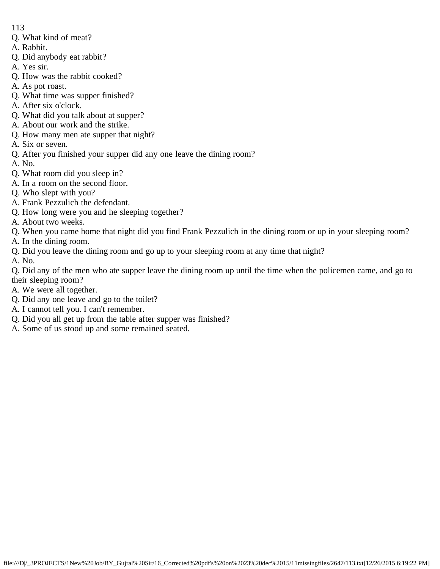- 113
- Q. What kind of meat?
- A. Rabbit.
- Q. Did anybody eat rabbit?
- A. Yes sir.
- Q. How was the rabbit cooked?
- A. As pot roast.
- Q. What time was supper finished?
- A. After six o'clock.
- Q. What did you talk about at supper?
- A. About our work and the strike.
- Q. How many men ate supper that night?
- A. Six or seven.
- Q. After you finished your supper did any one leave the dining room?
- A. No.
- Q. What room did you sleep in?
- A. In a room on the second floor.
- Q. Who slept with you?
- A. Frank Pezzulich the defendant.
- Q. How long were you and he sleeping together?
- A. About two weeks.
- Q. When you came home that night did you find Frank Pezzulich in the dining room or up in your sleeping room?
- A. In the dining room.
- Q. Did you leave the dining room and go up to your sleeping room at any time that night?
- A. No.
- Q. Did any of the men who ate supper leave the dining room up until the time when the policemen came, and go to their sleeping room?
- A. We were all together.
- Q. Did any one leave and go to the toilet?
- A. I cannot tell you. I can't remember.
- Q. Did you all get up from the table after supper was finished?
- A. Some of us stood up and some remained seated.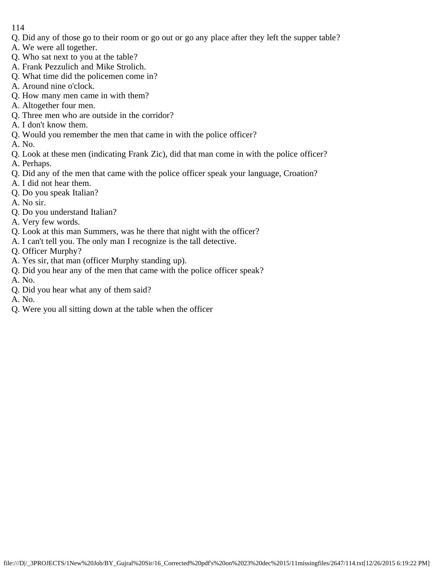- Q. Did any of those go to their room or go out or go any place after they left the supper table?
- A. We were all together.
- Q. Who sat next to you at the table?
- A. Frank Pezzulich and Mike Strolich.
- Q. What time did the policemen come in?
- A. Around nine o'clock.
- Q. How many men came in with them?
- A. Altogether four men.
- Q. Three men who are outside in the corridor?
- A. I don't know them.
- Q. Would you remember the men that came in with the police officer?
- A. No.
- Q. Look at these men (indicating Frank Zic), did that man come in with the police officer?
- A. Perhaps.
- Q. Did any of the men that came with the police officer speak your language, Croation?
- A. I did not hear them.
- Q. Do you speak Italian?
- A. No sir.
- Q. Do you understand Italian?
- A. Very few words.
- Q. Look at this man Summers, was he there that night with the officer?
- A. I can't tell you. The only man I recognize is the tall detective.
- Q. Officer Murphy?
- A. Yes sir, that man (officer Murphy standing up).
- Q. Did you hear any of the men that came with the police officer speak?
- A. No.
- Q. Did you hear what any of them said?
- A. No.
- Q. Were you all sitting down at the table when the officer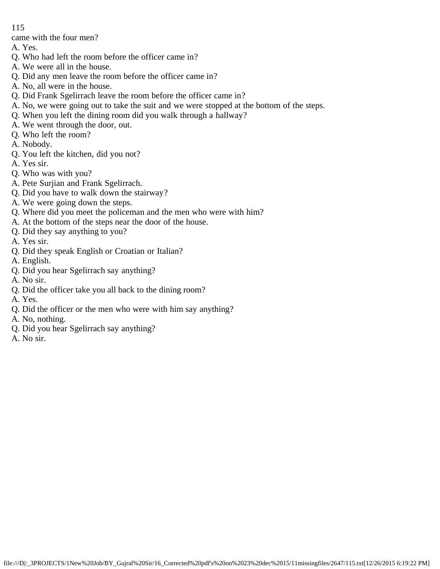came with the four men?

- A. Yes.
- Q. Who had left the room before the officer came in?
- A. We were all in the house.
- Q. Did any men leave the room before the officer came in?
- A. No, all were in the house.
- Q. Did Frank Sgelirrach leave the room before the officer came in?
- A. No, we were going out to take the suit and we were stopped at the bottom of the steps.
- Q. When you left the dining room did you walk through a hallway?
- A. We went through the door, out.
- Q. Who left the room?
- A. Nobody.
- Q. You left the kitchen, did you not?
- A. Yes sir.
- Q. Who was with you?
- A. Pete Surjian and Frank Sgelirrach.
- Q. Did you have to walk down the stairway?
- A. We were going down the steps.
- Q. Where did you meet the policeman and the men who were with him?
- A. At the bottom of the steps near the door of the house.
- Q. Did they say anything to you?
- A. Yes sir.
- Q. Did they speak English or Croatian or Italian?
- A. English.
- Q. Did you hear Sgelirrach say anything?
- A. No sir.
- Q. Did the officer take you all back to the dining room?
- A. Yes.
- Q. Did the officer or the men who were with him say anything?
- A. No, nothing.
- Q. Did you hear Sgelirrach say anything?
- A. No sir.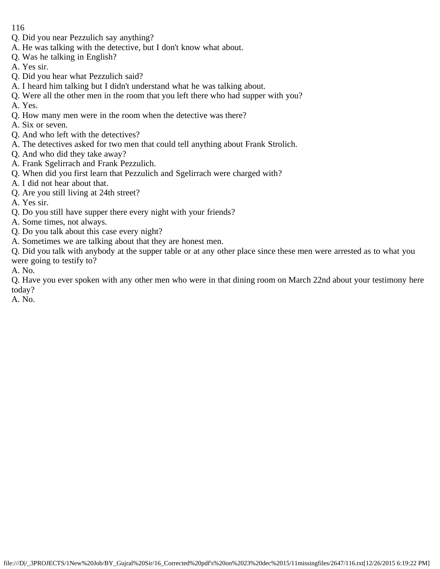- Q. Did you near Pezzulich say anything?
- A. He was talking with the detective, but I don't know what about.
- Q. Was he talking in English?
- A. Yes sir.
- Q. Did you hear what Pezzulich said?
- A. I heard him talking but I didn't understand what he was talking about.
- Q. Were all the other men in the room that you left there who had supper with you?
- A. Yes.
- Q. How many men were in the room when the detective was there?
- A. Six or seven.
- Q. And who left with the detectives?
- A. The detectives asked for two men that could tell anything about Frank Strolich.
- Q. And who did they take away?
- A. Frank Sgelirrach and Frank Pezzulich.
- Q. When did you first learn that Pezzulich and Sgelirrach were charged with?
- A. I did not hear about that.
- Q. Are you still living at 24th street?
- A. Yes sir.
- Q. Do you still have supper there every night with your friends?
- A. Some times, not always.
- Q. Do you talk about this case every night?
- A. Sometimes we are talking about that they are honest men.
- Q. Did you talk with anybody at the supper table or at any other place since these men were arrested as to what you were going to testify to?
- A. No.

Q. Have you ever spoken with any other men who were in that dining room on March 22nd about your testimony here today?

A. No.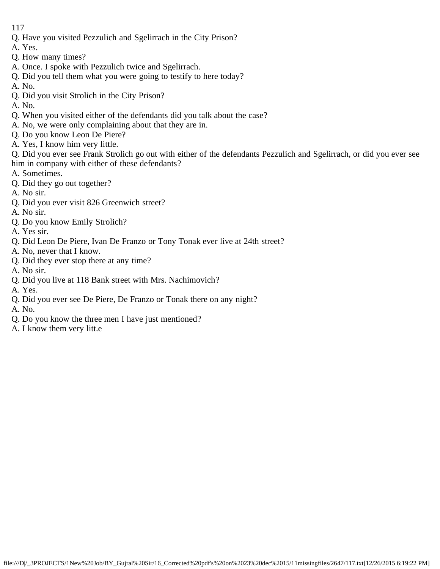- Q. Have you visited Pezzulich and Sgelirrach in the City Prison?
- A. Yes.
- Q. How many times?
- A. Once. I spoke with Pezzulich twice and Sgelirrach.
- Q. Did you tell them what you were going to testify to here today?
- A. No.
- Q. Did you visit Strolich in the City Prison?

A. No.

- Q. When you visited either of the defendants did you talk about the case?
- A. No, we were only complaining about that they are in.
- Q. Do you know Leon De Piere?
- A. Yes, I know him very little.
- Q. Did you ever see Frank Strolich go out with either of the defendants Pezzulich and Sgelirrach, or did you ever see him in company with either of these defendants?
- A. Sometimes.
- Q. Did they go out together?
- A. No sir.
- Q. Did you ever visit 826 Greenwich street?
- A. No sir.
- Q. Do you know Emily Strolich?
- A. Yes sir.
- Q. Did Leon De Piere, Ivan De Franzo or Tony Tonak ever live at 24th street?
- A. No, never that I know.
- Q. Did they ever stop there at any time?
- A. No sir.
- Q. Did you live at 118 Bank street with Mrs. Nachimovich?
- A. Yes.
- Q. Did you ever see De Piere, De Franzo or Tonak there on any night?
- A. No.
- Q. Do you know the three men I have just mentioned?
- A. I know them very litt.e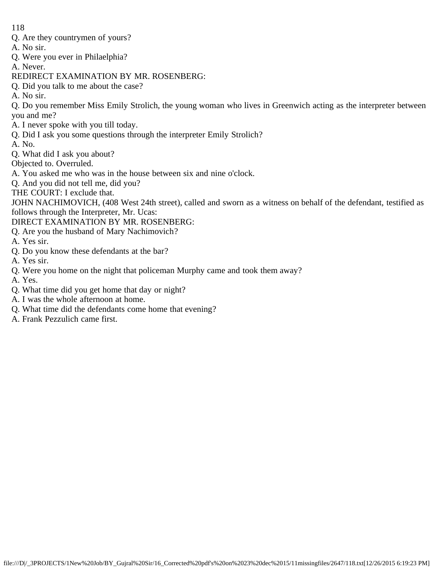- Q. Are they countrymen of yours?
- A. No sir.
- Q. Were you ever in Philaelphia?
- A. Never.
- REDIRECT EXAMINATION BY MR. ROSENBERG:
- Q. Did you talk to me about the case?
- A. No sir.

Q. Do you remember Miss Emily Strolich, the young woman who lives in Greenwich acting as the interpreter between you and me?

- A. I never spoke with you till today.
- Q. Did I ask you some questions through the interpreter Emily Strolich?
- A. No.
- Q. What did I ask you about?
- Objected to. Overruled.
- A. You asked me who was in the house between six and nine o'clock.
- Q. And you did not tell me, did you?
- THE COURT: I exclude that.

JOHN NACHIMOVICH, (408 West 24th street), called and sworn as a witness on behalf of the defendant, testified as follows through the Interpreter, Mr. Ucas:

- DIRECT EXAMINATION BY MR. ROSENBERG:
- Q. Are you the husband of Mary Nachimovich?
- A. Yes sir.
- Q. Do you know these defendants at the bar?
- A. Yes sir.
- Q. Were you home on the night that policeman Murphy came and took them away?
- A. Yes.
- Q. What time did you get home that day or night?
- A. I was the whole afternoon at home.
- Q. What time did the defendants come home that evening?
- A. Frank Pezzulich came first.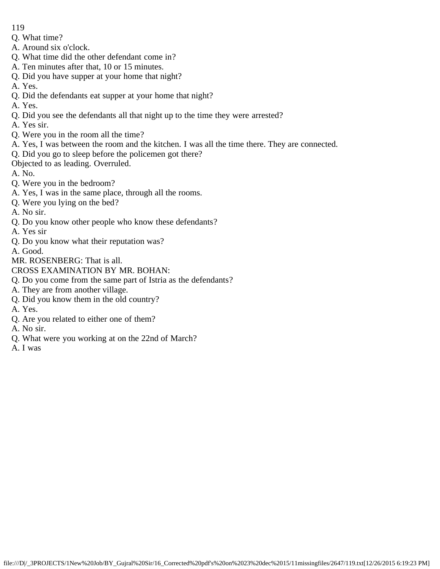- 119
- Q. What time?
- A. Around six o'clock.
- Q. What time did the other defendant come in?
- A. Ten minutes after that, 10 or 15 minutes.
- Q. Did you have supper at your home that night?
- A. Yes.
- Q. Did the defendants eat supper at your home that night?
- A. Yes.
- Q. Did you see the defendants all that night up to the time they were arrested?
- A. Yes sir.
- Q. Were you in the room all the time?
- A. Yes, I was between the room and the kitchen. I was all the time there. They are connected.
- Q. Did you go to sleep before the policemen got there?
- Objected to as leading. Overruled.
- A. No.
- Q. Were you in the bedroom?
- A. Yes, I was in the same place, through all the rooms.
- Q. Were you lying on the bed?
- A. No sir.
- Q. Do you know other people who know these defendants?
- A. Yes sir
- Q. Do you know what their reputation was?
- A. Good.
- MR. ROSENBERG: That is all.
- CROSS EXAMINATION BY MR. BOHAN:
- Q. Do you come from the same part of Istria as the defendants?
- A. They are from another village.
- Q. Did you know them in the old country?
- A. Yes.
- Q. Are you related to either one of them?
- A. No sir.
- Q. What were you working at on the 22nd of March?
- A. I was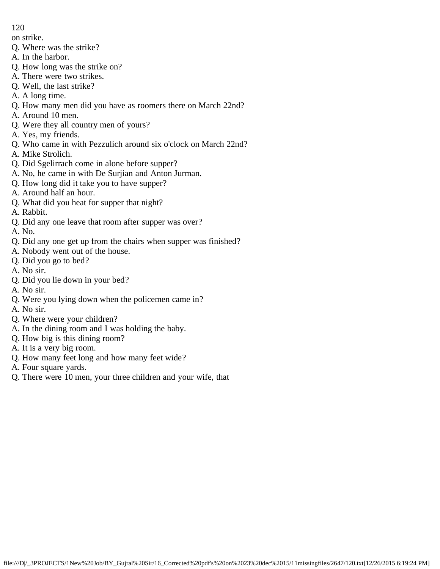on strike.

- Q. Where was the strike?
- A. In the harbor.
- Q. How long was the strike on?
- A. There were two strikes.
- Q. Well, the last strike?
- A. A long time.
- Q. How many men did you have as roomers there on March 22nd?
- A. Around 10 men.
- Q. Were they all country men of yours?
- A. Yes, my friends.
- Q. Who came in with Pezzulich around six o'clock on March 22nd?
- A. Mike Strolich.
- Q. Did Sgelirrach come in alone before supper?
- A. No, he came in with De Surjian and Anton Jurman.
- Q. How long did it take you to have supper?
- A. Around half an hour.
- Q. What did you heat for supper that night?
- A. Rabbit.
- Q. Did any one leave that room after supper was over?
- A. No.
- Q. Did any one get up from the chairs when supper was finished?
- A. Nobody went out of the house.
- Q. Did you go to bed?
- A. No sir.
- Q. Did you lie down in your bed?
- A. No sir.
- Q. Were you lying down when the policemen came in?
- A. No sir.
- Q. Where were your children?
- A. In the dining room and I was holding the baby.
- Q. How big is this dining room?
- A. It is a very big room.
- Q. How many feet long and how many feet wide?
- A. Four square yards.
- Q. There were 10 men, your three children and your wife, that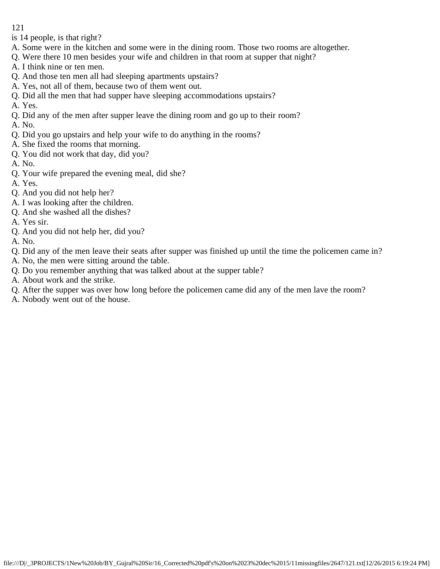is 14 people, is that right?

- A. Some were in the kitchen and some were in the dining room. Those two rooms are altogether.
- Q. Were there 10 men besides your wife and children in that room at supper that night?
- A. I think nine or ten men.
- Q. And those ten men all had sleeping apartments upstairs?
- A. Yes, not all of them, because two of them went out.
- Q. Did all the men that had supper have sleeping accommodations upstairs?
- A. Yes.
- Q. Did any of the men after supper leave the dining room and go up to their room?
- A. No.
- Q. Did you go upstairs and help your wife to do anything in the rooms?
- A. She fixed the rooms that morning.
- Q. You did not work that day, did you?
- A. No.
- Q. Your wife prepared the evening meal, did she?
- A. Yes.
- Q. And you did not help her?
- A. I was looking after the children.
- Q. And she washed all the dishes?
- A. Yes sir.
- Q. And you did not help her, did you?
- A. No.
- Q. Did any of the men leave their seats after supper was finished up until the time the policemen came in?
- A. No, the men were sitting around the table.
- Q. Do you remember anything that was talked about at the supper table?
- A. About work and the strike.
- Q. After the supper was over how long before the policemen came did any of the men lave the room?
- A. Nobody went out of the house.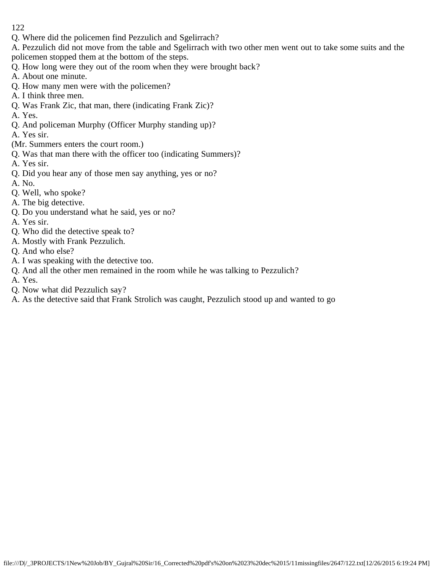Q. Where did the policemen find Pezzulich and Sgelirrach?

A. Pezzulich did not move from the table and Sgelirrach with two other men went out to take some suits and the policemen stopped them at the bottom of the steps.

- Q. How long were they out of the room when they were brought back?
- A. About one minute.
- Q. How many men were with the policemen?
- A. I think three men.
- Q. Was Frank Zic, that man, there (indicating Frank Zic)?
- A. Yes.
- Q. And policeman Murphy (Officer Murphy standing up)?
- A. Yes sir.
- (Mr. Summers enters the court room.)
- Q. Was that man there with the officer too (indicating Summers)?
- A. Yes sir.
- Q. Did you hear any of those men say anything, yes or no?
- A. No.
- Q. Well, who spoke?
- A. The big detective.
- Q. Do you understand what he said, yes or no?
- A. Yes sir.
- Q. Who did the detective speak to?
- A. Mostly with Frank Pezzulich.
- Q. And who else?
- A. I was speaking with the detective too.
- Q. And all the other men remained in the room while he was talking to Pezzulich?
- A. Yes.
- Q. Now what did Pezzulich say?
- A. As the detective said that Frank Strolich was caught, Pezzulich stood up and wanted to go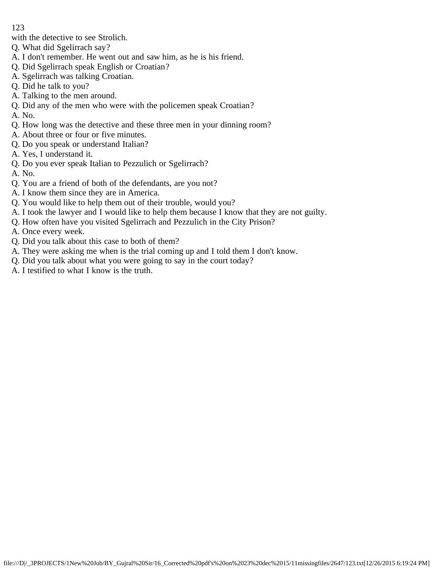with the detective to see Strolich.

- Q. What did Sgelirrach say?
- A. I don't remember. He went out and saw him, as he is his friend.
- Q. Did Sgelirrach speak English or Croatian?
- A. Sgelirrach was talking Croatian.
- Q. Did he talk to you?
- A. Talking to the men around.
- Q. Did any of the men who were with the policemen speak Croatian?
- A. No.
- Q. How long was the detective and these three men in your dinning room?
- A. About three or four or five minutes.
- Q. Do you speak or understand Italian?
- A. Yes, I understand it.
- Q. Do you ever speak Italian to Pezzulich or Sgelirrach?
- A. No.
- Q. You are a friend of both of the defendants, are you not?
- A. I know them since they are in America.
- Q. You would like to help them out of their trouble, would you?
- A. I took the lawyer and I would like to help them because I know that they are not guilty.
- Q. How often have you visited Sgelirrach and Pezzulich in the City Prison?
- A. Once every week.
- Q. Did you talk about this case to both of them?
- A. They were asking me when is the trial coming up and I told them I don't know.
- Q. Did you talk about what you were going to say in the court today?
- A. I testified to what I know is the truth.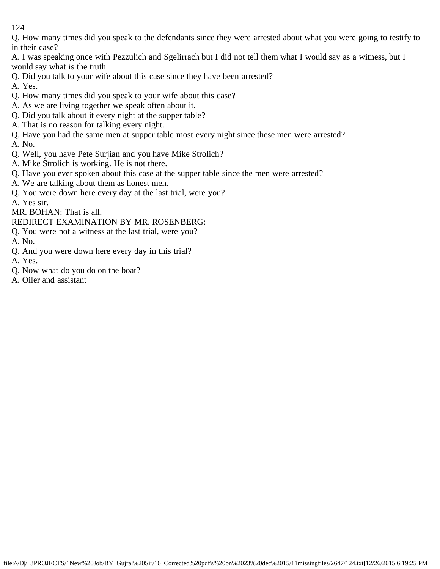Q. How many times did you speak to the defendants since they were arrested about what you were going to testify to in their case?

- A. I was speaking once with Pezzulich and Sgelirrach but I did not tell them what I would say as a witness, but I would say what is the truth.
- Q. Did you talk to your wife about this case since they have been arrested?
- A. Yes.
- Q. How many times did you speak to your wife about this case?
- A. As we are living together we speak often about it.
- Q. Did you talk about it every night at the supper table?
- A. That is no reason for talking every night.
- Q. Have you had the same men at supper table most every night since these men were arrested?
- A. No.
- Q. Well, you have Pete Surjian and you have Mike Strolich?
- A. Mike Strolich is working. He is not there.
- Q. Have you ever spoken about this case at the supper table since the men were arrested?
- A. We are talking about them as honest men.
- Q. You were down here every day at the last trial, were you?
- A. Yes sir.
- MR. BOHAN: That is all.
- REDIRECT EXAMINATION BY MR. ROSENBERG:
- Q. You were not a witness at the last trial, were you?
- A. No.
- Q. And you were down here every day in this trial?
- A. Yes.
- Q. Now what do you do on the boat?
- A. Oiler and assistant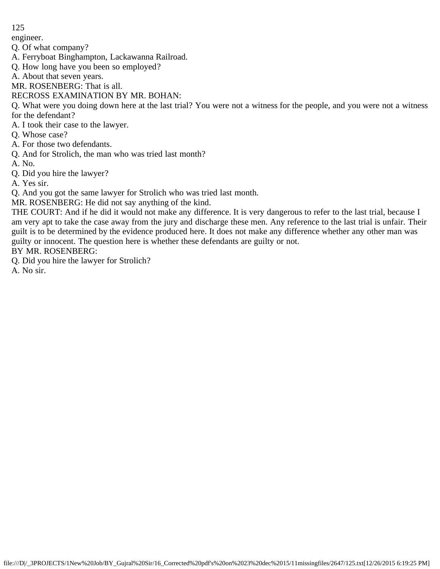engineer.

Q. Of what company?

- A. Ferryboat Binghampton, Lackawanna Railroad.
- Q. How long have you been so employed?
- A. About that seven years.
- MR. ROSENBERG: That is all.

# RECROSS EXAMINATION BY MR. BOHAN:

Q. What were you doing down here at the last trial? You were not a witness for the people, and you were not a witness for the defendant?

- A. I took their case to the lawyer.
- Q. Whose case?
- A. For those two defendants.
- Q. And for Strolich, the man who was tried last month?
- A. No.
- Q. Did you hire the lawyer?
- A. Yes sir.

Q. And you got the same lawyer for Strolich who was tried last month.

MR. ROSENBERG: He did not say anything of the kind.

THE COURT: And if he did it would not make any difference. It is very dangerous to refer to the last trial, because I am very apt to take the case away from the jury and discharge these men. Any reference to the last trial is unfair. Their guilt is to be determined by the evidence produced here. It does not make any difference whether any other man was guilty or innocent. The question here is whether these defendants are guilty or not.

BY MR. ROSENBERG:

Q. Did you hire the lawyer for Strolich?

A. No sir.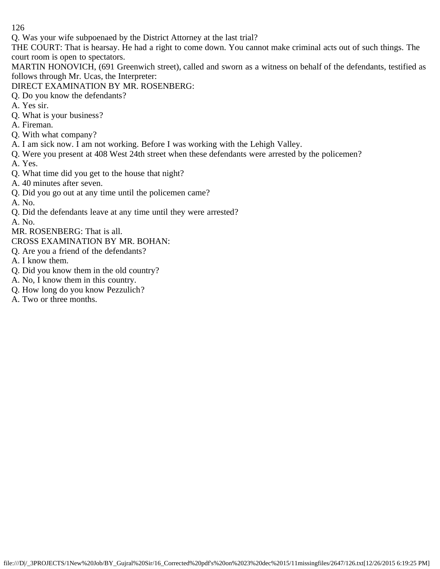Q. Was your wife subpoenaed by the District Attorney at the last trial?

THE COURT: That is hearsay. He had a right to come down. You cannot make criminal acts out of such things. The court room is open to spectators.

MARTIN HONOVICH, (691 Greenwich street), called and sworn as a witness on behalf of the defendants, testified as follows through Mr. Ucas, the Interpreter:

- DIRECT EXAMINATION BY MR. ROSENBERG:
- Q. Do you know the defendants?
- A. Yes sir.
- Q. What is your business?
- A. Fireman.
- Q. With what company?
- A. I am sick now. I am not working. Before I was working with the Lehigh Valley.
- Q. Were you present at 408 West 24th street when these defendants were arrested by the policemen?
- A. Yes.
- Q. What time did you get to the house that night?
- A. 40 minutes after seven.
- Q. Did you go out at any time until the policemen came?
- A. No.
- Q. Did the defendants leave at any time until they were arrested?
- A. No.

MR. ROSENBERG: That is all.

- CROSS EXAMINATION BY MR. BOHAN:
- Q. Are you a friend of the defendants?
- A. I know them.
- Q. Did you know them in the old country?
- A. No, I know them in this country.
- Q. How long do you know Pezzulich?
- A. Two or three months.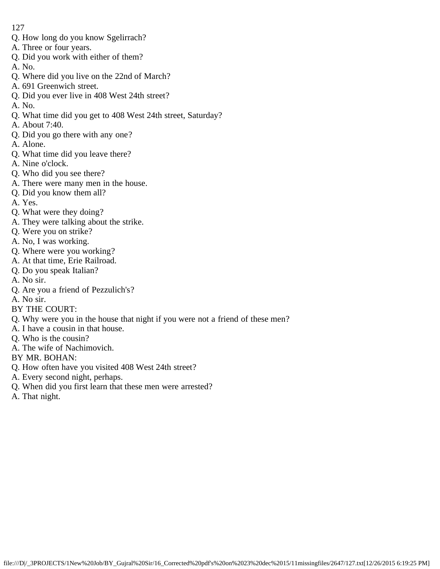- Q. How long do you know Sgelirrach?
- A. Three or four years.
- Q. Did you work with either of them?
- A. No.
- Q. Where did you live on the 22nd of March?
- A. 691 Greenwich street.
- Q. Did you ever live in 408 West 24th street?
- A. No.
- Q. What time did you get to 408 West 24th street, Saturday?
- A. About 7:40.
- Q. Did you go there with any one?
- A. Alone.
- Q. What time did you leave there?
- A. Nine o'clock.
- Q. Who did you see there?
- A. There were many men in the house.
- Q. Did you know them all?
- A. Yes.
- Q. What were they doing?
- A. They were talking about the strike.
- Q. Were you on strike?
- A. No, I was working.
- Q. Where were you working?
- A. At that time, Erie Railroad.
- Q. Do you speak Italian?
- A. No sir.
- Q. Are you a friend of Pezzulich's?
- A. No sir.
- BY THE COURT:
- Q. Why were you in the house that night if you were not a friend of these men?
- A. I have a cousin in that house.
- Q. Who is the cousin?
- A. The wife of Nachimovich.
- BY MR. BOHAN:
- Q. How often have you visited 408 West 24th street?
- A. Every second night, perhaps.
- Q. When did you first learn that these men were arrested?
- A. That night.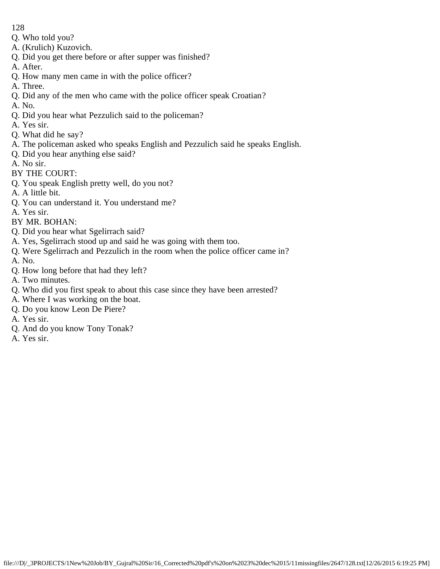- Q. Who told you?
- A. (Krulich) Kuzovich.
- Q. Did you get there before or after supper was finished?
- A. After.
- Q. How many men came in with the police officer?
- A. Three.
- Q. Did any of the men who came with the police officer speak Croatian?
- A. No.
- Q. Did you hear what Pezzulich said to the policeman?
- A. Yes sir.
- Q. What did he say?
- A. The policeman asked who speaks English and Pezzulich said he speaks English.
- Q. Did you hear anything else said?
- A. No sir.
- BY THE COURT:
- Q. You speak English pretty well, do you not?
- A. A little bit.
- Q. You can understand it. You understand me?
- A. Yes sir.
- BY MR. BOHAN:
- Q. Did you hear what Sgelirrach said?
- A. Yes, Sgelirrach stood up and said he was going with them too.
- Q. Were Sgelirrach and Pezzulich in the room when the police officer came in?
- A. No.
- Q. How long before that had they left?
- A. Two minutes.
- Q. Who did you first speak to about this case since they have been arrested?
- A. Where I was working on the boat.
- Q. Do you know Leon De Piere?
- A. Yes sir.
- Q. And do you know Tony Tonak?
- A. Yes sir.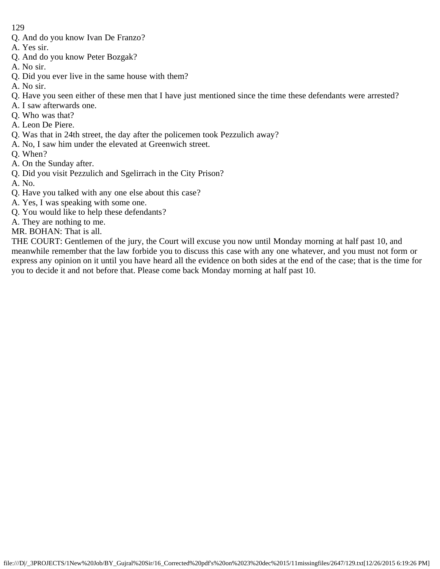- Q. And do you know Ivan De Franzo?
- A. Yes sir.
- Q. And do you know Peter Bozgak?
- A. No sir.
- Q. Did you ever live in the same house with them?
- A. No sir.
- Q. Have you seen either of these men that I have just mentioned since the time these defendants were arrested?
- A. I saw afterwards one.
- Q. Who was that?
- A. Leon De Piere.
- Q. Was that in 24th street, the day after the policemen took Pezzulich away?
- A. No, I saw him under the elevated at Greenwich street.
- Q. When?
- A. On the Sunday after.
- Q. Did you visit Pezzulich and Sgelirrach in the City Prison?
- A. No.
- Q. Have you talked with any one else about this case?
- A. Yes, I was speaking with some one.
- Q. You would like to help these defendants?
- A. They are nothing to me.
- MR. BOHAN: That is all.

THE COURT: Gentlemen of the jury, the Court will excuse you now until Monday morning at half past 10, and meanwhile remember that the law forbide you to discuss this case with any one whatever, and you must not form or express any opinion on it until you have heard all the evidence on both sides at the end of the case; that is the time for you to decide it and not before that. Please come back Monday morning at half past 10.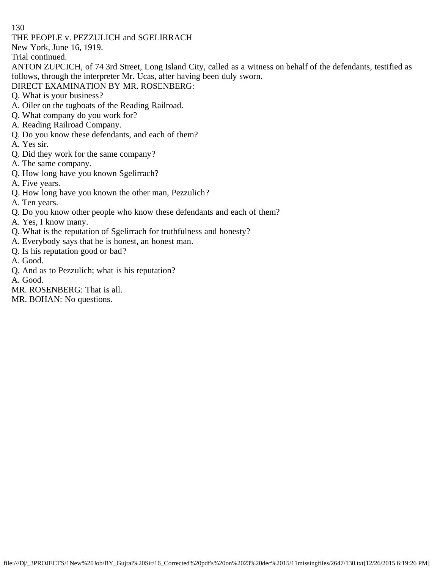THE PEOPLE v. PEZZULICH and SGELIRRACH

New York, June 16, 1919.

Trial continued.

ANTON ZUPCICH, of 74 3rd Street, Long Island City, called as a witness on behalf of the defendants, testified as follows, through the interpreter Mr. Ucas, after having been duly sworn.

# DIRECT EXAMINATION BY MR. ROSENBERG:

- Q. What is your business?
- A. Oiler on the tugboats of the Reading Railroad.
- Q. What company do you work for?
- A. Reading Railroad Company.
- Q. Do you know these defendants, and each of them?
- A. Yes sir.
- Q. Did they work for the same company?
- A. The same company.
- Q. How long have you known Sgelirrach?
- A. Five years.
- Q. How long have you known the other man, Pezzulich?
- A. Ten years.
- Q. Do you know other people who know these defendants and each of them?
- A. Yes, I know many.
- Q. What is the reputation of Sgelirrach for truthfulness and honesty?
- A. Everybody says that he is honest, an honest man.
- Q. Is his reputation good or bad?
- A. Good.
- Q. And as to Pezzulich; what is his reputation?

A. Good.

MR. ROSENBERG: That is all.

MR. BOHAN: No questions.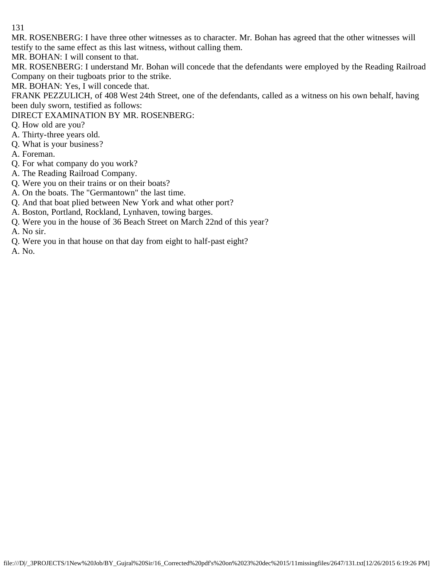MR. ROSENBERG: I have three other witnesses as to character. Mr. Bohan has agreed that the other witnesses will testify to the same effect as this last witness, without calling them.

MR. BOHAN: I will consent to that.

MR. ROSENBERG: I understand Mr. Bohan will concede that the defendants were employed by the Reading Railroad Company on their tugboats prior to the strike.

MR. BOHAN: Yes, I will concede that.

FRANK PEZZULICH, of 408 West 24th Street, one of the defendants, called as a witness on his own behalf, having been duly sworn, testified as follows:

DIRECT EXAMINATION BY MR. ROSENBERG:

- Q. How old are you?
- A. Thirty-three years old.
- Q. What is your business?
- A. Foreman.
- Q. For what company do you work?
- A. The Reading Railroad Company.
- Q. Were you on their trains or on their boats?
- A. On the boats. The "Germantown" the last time.
- Q. And that boat plied between New York and what other port?
- A. Boston, Portland, Rockland, Lynhaven, towing barges.
- Q. Were you in the house of 36 Beach Street on March 22nd of this year?
- A. No sir.
- Q. Were you in that house on that day from eight to half-past eight?
- A. No.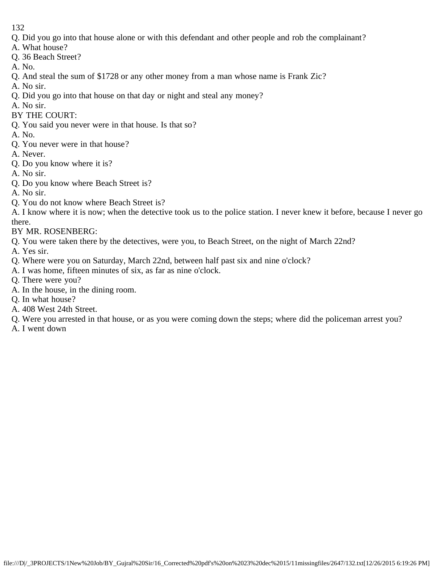- Q. Did you go into that house alone or with this defendant and other people and rob the complainant?
- A. What house?
- Q. 36 Beach Street?
- A. No.
- Q. And steal the sum of \$1728 or any other money from a man whose name is Frank Zic?
- A. No sir.
- Q. Did you go into that house on that day or night and steal any money?
- A. No sir.
- BY THE COURT:
- Q. You said you never were in that house. Is that so?
- A. No.
- Q. You never were in that house?
- A. Never.
- Q. Do you know where it is?
- A. No sir.
- Q. Do you know where Beach Street is?
- A. No sir.
- Q. You do not know where Beach Street is?
- A. I know where it is now; when the detective took us to the police station. I never knew it before, because I never go there.
- BY MR. ROSENBERG:
- Q. You were taken there by the detectives, were you, to Beach Street, on the night of March 22nd?
- A. Yes sir.
- Q. Where were you on Saturday, March 22nd, between half past six and nine o'clock?
- A. I was home, fifteen minutes of six, as far as nine o'clock.
- Q. There were you?
- A. In the house, in the dining room.
- Q. In what house?
- A. 408 West 24th Street.
- Q. Were you arrested in that house, or as you were coming down the steps; where did the policeman arrest you?
- A. I went down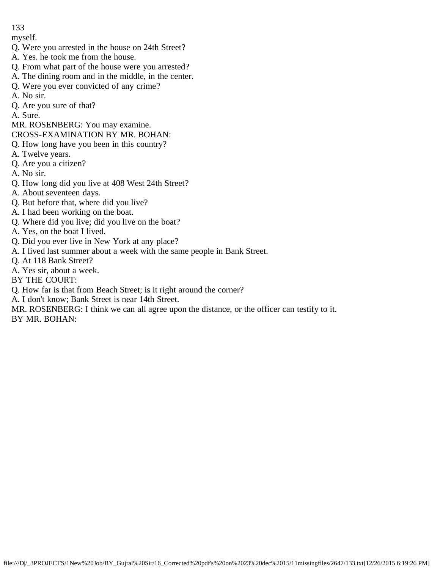myself.

- Q. Were you arrested in the house on 24th Street?
- A. Yes. he took me from the house.
- Q. From what part of the house were you arrested?
- A. The dining room and in the middle, in the center.
- Q. Were you ever convicted of any crime?
- A. No sir.
- Q. Are you sure of that?
- A. Sure.
- MR. ROSENBERG: You may examine.
- CROSS-EXAMINATION BY MR. BOHAN:
- Q. How long have you been in this country?
- A. Twelve years.
- Q. Are you a citizen?
- A. No sir.
- Q. How long did you live at 408 West 24th Street?
- A. About seventeen days.
- Q. But before that, where did you live?
- A. I had been working on the boat.
- Q. Where did you live; did you live on the boat?
- A. Yes, on the boat I lived.
- Q. Did you ever live in New York at any place?
- A. I lived last summer about a week with the same people in Bank Street.
- Q. At 118 Bank Street?
- A. Yes sir, about a week.
- BY THE COURT:
- Q. How far is that from Beach Street; is it right around the corner?
- A. I don't know; Bank Street is near 14th Street.
- MR. ROSENBERG: I think we can all agree upon the distance, or the officer can testify to it. BY MR. BOHAN: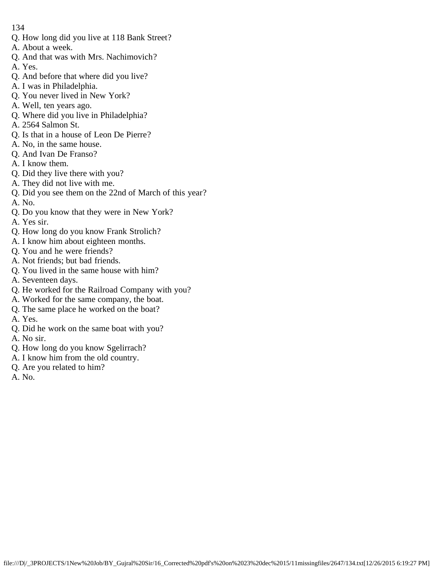- Q. How long did you live at 118 Bank Street?
- A. About a week.
- Q. And that was with Mrs. Nachimovich?
- A. Yes.
- Q. And before that where did you live?
- A. I was in Philadelphia.
- Q. You never lived in New York?
- A. Well, ten years ago.
- Q. Where did you live in Philadelphia?
- A. 2564 Salmon St.
- Q. Is that in a house of Leon De Pierre?
- A. No, in the same house.
- Q. And Ivan De Franso?
- A. I know them.
- Q. Did they live there with you?
- A. They did not live with me.
- Q. Did you see them on the 22nd of March of this year?
- A. No.
- Q. Do you know that they were in New York?
- A. Yes sir.
- Q. How long do you know Frank Strolich?
- A. I know him about eighteen months.
- Q. You and he were friends?
- A. Not friends; but bad friends.
- Q. You lived in the same house with him?
- A. Seventeen days.
- Q. He worked for the Railroad Company with you?
- A. Worked for the same company, the boat.
- Q. The same place he worked on the boat?
- A. Yes.
- Q. Did he work on the same boat with you?
- A. No sir.
- Q. How long do you know Sgelirrach?
- A. I know him from the old country.
- Q. Are you related to him?
- A. No.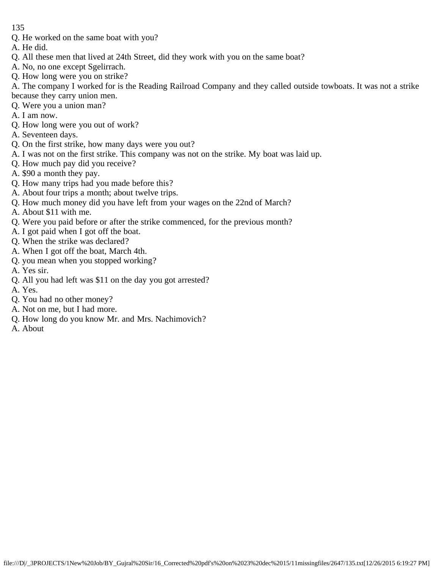- Q. He worked on the same boat with you?
- A. He did.
- Q. All these men that lived at 24th Street, did they work with you on the same boat?
- A. No, no one except Sgelirrach.
- Q. How long were you on strike?

A. The company I worked for is the Reading Railroad Company and they called outside towboats. It was not a strike because they carry union men.

- Q. Were you a union man?
- A. I am now.
- Q. How long were you out of work?
- A. Seventeen days.
- Q. On the first strike, how many days were you out?
- A. I was not on the first strike. This company was not on the strike. My boat was laid up.
- Q. How much pay did you receive?
- A. \$90 a month they pay.
- Q. How many trips had you made before this?
- A. About four trips a month; about twelve trips.
- Q. How much money did you have left from your wages on the 22nd of March?
- A. About \$11 with me.
- Q. Were you paid before or after the strike commenced, for the previous month?
- A. I got paid when I got off the boat.
- Q. When the strike was declared?
- A. When I got off the boat, March 4th.
- Q. you mean when you stopped working?
- A. Yes sir.
- Q. All you had left was \$11 on the day you got arrested?
- A. Yes.
- Q. You had no other money?
- A. Not on me, but I had more.
- Q. How long do you know Mr. and Mrs. Nachimovich?
- A. About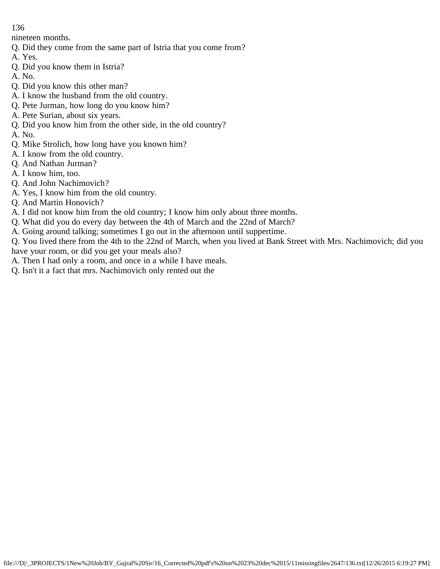nineteen months.

- Q. Did they come from the same part of Istria that you come from?
- A. Yes.
- Q. Did you know them in Istria?
- A. No.
- Q. Did you know this other man?
- A. I know the husband from the old country.
- Q. Pete Jurman, how long do you know him?
- A. Pete Surian, about six years.
- Q. Did you know him from the other side, in the old country?
- A. No.
- Q. Mike Strolich, how long have you known him?
- A. I know from the old country.
- Q. And Nathan Jurman?
- A. I know him, too.
- Q. And John Nachimovich?
- A. Yes, I know him from the old country.
- Q. And Martin Honovich?
- A. I did not know him from the old country; I know him only about three months.
- Q. What did you do every day between the 4th of March and the 22nd of March?
- A. Going around talking; sometimes I go out in the afternoon until suppertime.
- Q. You lived there from the 4th to the 22nd of March, when you lived at Bank Street with Mrs. Nachimovich; did you have your room, or did you get your meals also?
- A. Then I had only a room, and once in a while I have meals.
- Q. Isn't it a fact that mrs. Nachimovich only rented out the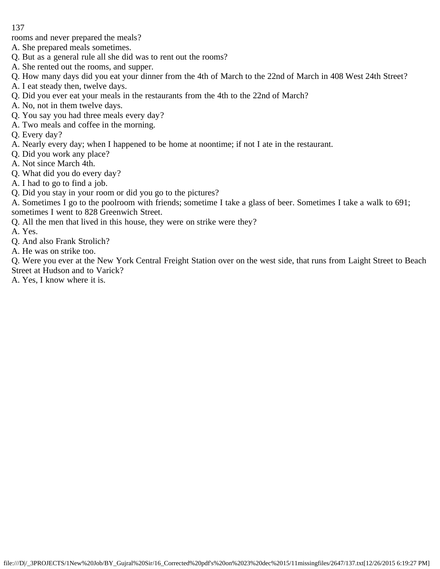rooms and never prepared the meals?

- A. She prepared meals sometimes.
- Q. But as a general rule all she did was to rent out the rooms?
- A. She rented out the rooms, and supper.
- Q. How many days did you eat your dinner from the 4th of March to the 22nd of March in 408 West 24th Street?
- A. I eat steady then, twelve days.
- Q. Did you ever eat your meals in the restaurants from the 4th to the 22nd of March?
- A. No, not in them twelve days.
- Q. You say you had three meals every day?
- A. Two meals and coffee in the morning.
- Q. Every day?
- A. Nearly every day; when I happened to be home at noontime; if not I ate in the restaurant.
- Q. Did you work any place?
- A. Not since March 4th.
- Q. What did you do every day?
- A. I had to go to find a job.
- Q. Did you stay in your room or did you go to the pictures?

A. Sometimes I go to the poolroom with friends; sometime I take a glass of beer. Sometimes I take a walk to 691; sometimes I went to 828 Greenwich Street.

- Q. All the men that lived in this house, they were on strike were they?
- A. Yes.
- Q. And also Frank Strolich?
- A. He was on strike too.

Q. Were you ever at the New York Central Freight Station over on the west side, that runs from Laight Street to Beach Street at Hudson and to Varick?

A. Yes, I know where it is.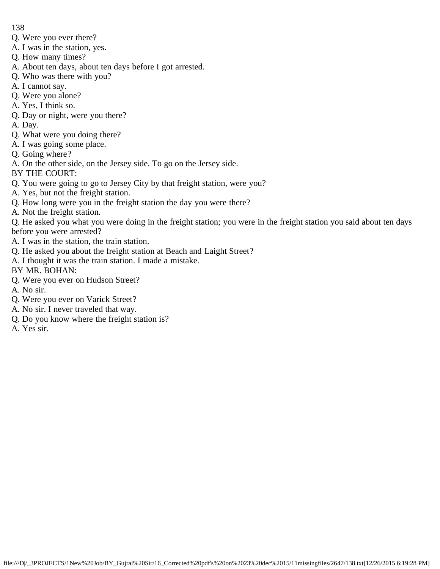- Q. Were you ever there?
- A. I was in the station, yes.
- Q. How many times?
- A. About ten days, about ten days before I got arrested.
- Q. Who was there with you?
- A. I cannot say.
- Q. Were you alone?
- A. Yes, I think so.
- Q. Day or night, were you there?
- A. Day.
- Q. What were you doing there?
- A. I was going some place.
- Q. Going where?
- A. On the other side, on the Jersey side. To go on the Jersey side.
- BY THE COURT:
- Q. You were going to go to Jersey City by that freight station, were you?
- A. Yes, but not the freight station.
- Q. How long were you in the freight station the day you were there?
- A. Not the freight station.

Q. He asked you what you were doing in the freight station; you were in the freight station you said about ten days before you were arrested?

- A. I was in the station, the train station.
- Q. He asked you about the freight station at Beach and Laight Street?
- A. I thought it was the train station. I made a mistake.
- BY MR. BOHAN:
- Q. Were you ever on Hudson Street?
- A. No sir.
- Q. Were you ever on Varick Street?
- A. No sir. I never traveled that way.
- Q. Do you know where the freight station is?
- A. Yes sir.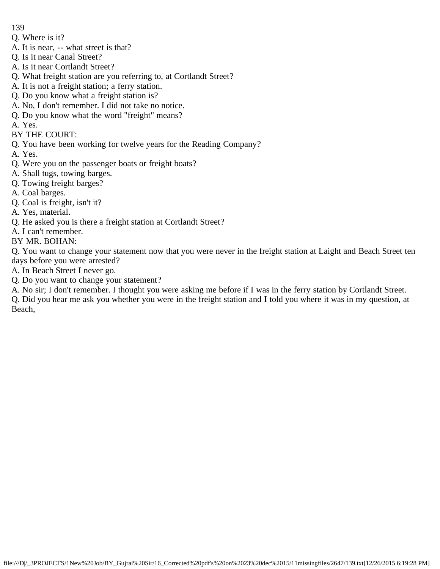- Q. Where is it?
- A. It is near, -- what street is that?
- Q. Is it near Canal Street?
- A. Is it near Cortlandt Street?
- Q. What freight station are you referring to, at Cortlandt Street?
- A. It is not a freight station; a ferry station.
- Q. Do you know what a freight station is?
- A. No, I don't remember. I did not take no notice.
- Q. Do you know what the word "freight" means?
- A. Yes.
- BY THE COURT:
- Q. You have been working for twelve years for the Reading Company?
- A. Yes.
- Q. Were you on the passenger boats or freight boats?
- A. Shall tugs, towing barges.
- Q. Towing freight barges?
- A. Coal barges.
- Q. Coal is freight, isn't it?
- A. Yes, material.
- Q. He asked you is there a freight station at Cortlandt Street?
- A. I can't remember.
- BY MR. BOHAN:

Q. You want to change your statement now that you were never in the freight station at Laight and Beach Street ten days before you were arrested?

- A. In Beach Street I never go.
- Q. Do you want to change your statement?
- A. No sir; I don't remember. I thought you were asking me before if I was in the ferry station by Cortlandt Street.

Q. Did you hear me ask you whether you were in the freight station and I told you where it was in my question, at Beach,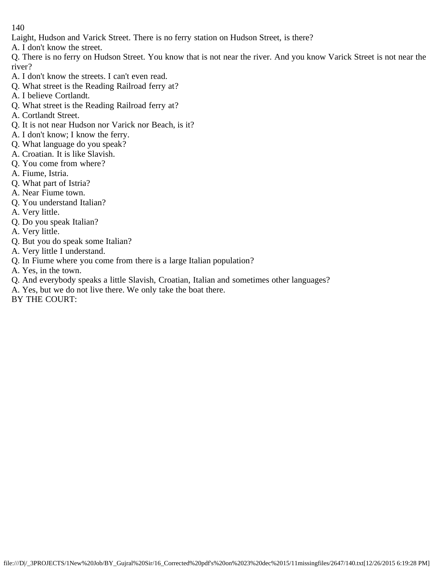- Laight, Hudson and Varick Street. There is no ferry station on Hudson Street, is there?
- A. I don't know the street.

Q. There is no ferry on Hudson Street. You know that is not near the river. And you know Varick Street is not near the river?

- A. I don't know the streets. I can't even read.
- Q. What street is the Reading Railroad ferry at?
- A. I believe Cortlandt.
- Q. What street is the Reading Railroad ferry at?
- A. Cortlandt Street.
- Q. It is not near Hudson nor Varick nor Beach, is it?
- A. I don't know; I know the ferry.
- Q. What language do you speak?
- A. Croatian. It is like Slavish.
- Q. You come from where?
- A. Fiume, Istria.
- Q. What part of Istria?
- A. Near Fiume town.
- Q. You understand Italian?
- A. Very little.
- Q. Do you speak Italian?
- A. Very little.
- Q. But you do speak some Italian?
- A. Very little I understand.
- Q. In Fiume where you come from there is a large Italian population?
- A. Yes, in the town.
- Q. And everybody speaks a little Slavish, Croatian, Italian and sometimes other languages?
- A. Yes, but we do not live there. We only take the boat there.
- BY THE COURT: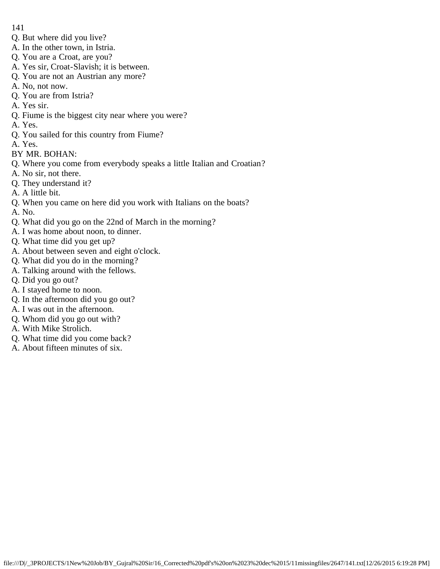- 141
- Q. But where did you live?
- A. In the other town, in Istria.
- Q. You are a Croat, are you?
- A. Yes sir, Croat-Slavish; it is between.
- Q. You are not an Austrian any more?
- A. No, not now.
- Q. You are from Istria?
- A. Yes sir.
- Q. Fiume is the biggest city near where you were?
- A. Yes.
- Q. You sailed for this country from Fiume?
- A. Yes.
- BY MR. BOHAN:
- Q. Where you come from everybody speaks a little Italian and Croatian?
- A. No sir, not there.
- Q. They understand it?
- A. A little bit.
- Q. When you came on here did you work with Italians on the boats?
- A. No.
- Q. What did you go on the 22nd of March in the morning?
- A. I was home about noon, to dinner.
- Q. What time did you get up?
- A. About between seven and eight o'clock.
- Q. What did you do in the morning?
- A. Talking around with the fellows.
- Q. Did you go out?
- A. I stayed home to noon.
- Q. In the afternoon did you go out?
- A. I was out in the afternoon.
- Q. Whom did you go out with?
- A. With Mike Strolich.
- Q. What time did you come back?
- A. About fifteen minutes of six.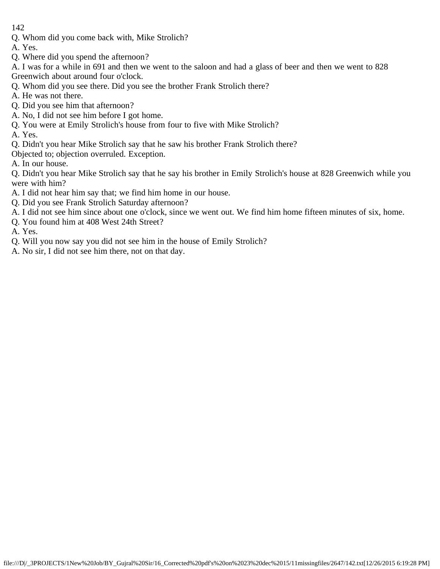Q. Whom did you come back with, Mike Strolich?

A. Yes.

- Q. Where did you spend the afternoon?
- A. I was for a while in 691 and then we went to the saloon and had a glass of beer and then we went to 828 Greenwich about around four o'clock.
- Q. Whom did you see there. Did you see the brother Frank Strolich there?
- A. He was not there.
- Q. Did you see him that afternoon?
- A. No, I did not see him before I got home.
- Q. You were at Emily Strolich's house from four to five with Mike Strolich?
- A. Yes.
- Q. Didn't you hear Mike Strolich say that he saw his brother Frank Strolich there?
- Objected to; objection overruled. Exception.
- A. In our house.

Q. Didn't you hear Mike Strolich say that he say his brother in Emily Strolich's house at 828 Greenwich while you were with him?

- A. I did not hear him say that; we find him home in our house.
- Q. Did you see Frank Strolich Saturday afternoon?
- A. I did not see him since about one o'clock, since we went out. We find him home fifteen minutes of six, home.
- Q. You found him at 408 West 24th Street?
- A. Yes.
- Q. Will you now say you did not see him in the house of Emily Strolich?
- A. No sir, I did not see him there, not on that day.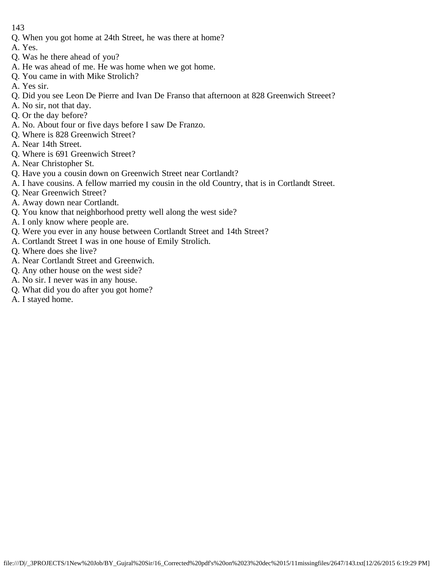- Q. When you got home at 24th Street, he was there at home?
- A. Yes.
- Q. Was he there ahead of you?
- A. He was ahead of me. He was home when we got home.
- Q. You came in with Mike Strolich?
- A. Yes sir.
- Q. Did you see Leon De Pierre and Ivan De Franso that afternoon at 828 Greenwich Streeet?
- A. No sir, not that day.
- Q. Or the day before?
- A. No. About four or five days before I saw De Franzo.
- Q. Where is 828 Greenwich Street?
- A. Near 14th Street.
- Q. Where is 691 Greenwich Street?
- A. Near Christopher St.
- Q. Have you a cousin down on Greenwich Street near Cortlandt?
- A. I have cousins. A fellow married my cousin in the old Country, that is in Cortlandt Street.
- Q. Near Greenwich Street?
- A. Away down near Cortlandt.
- Q. You know that neighborhood pretty well along the west side?
- A. I only know where people are.
- Q. Were you ever in any house between Cortlandt Street and 14th Street?
- A. Cortlandt Street I was in one house of Emily Strolich.
- Q. Where does she live?
- A. Near Cortlandt Street and Greenwich.
- Q. Any other house on the west side?
- A. No sir. I never was in any house.
- Q. What did you do after you got home?
- A. I stayed home.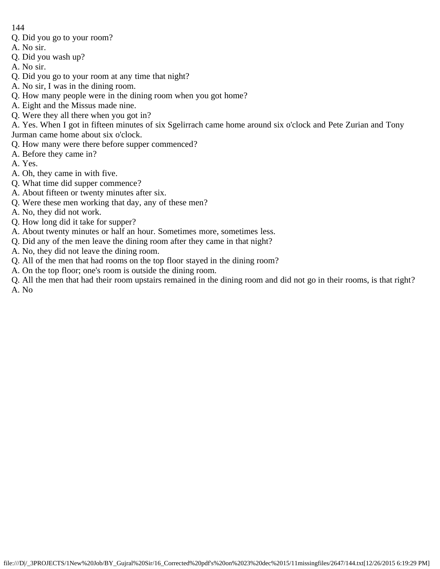- Q. Did you go to your room?
- A. No sir.
- Q. Did you wash up?
- A. No sir.
- Q. Did you go to your room at any time that night?
- A. No sir, I was in the dining room.
- Q. How many people were in the dining room when you got home?
- A. Eight and the Missus made nine.
- Q. Were they all there when you got in?
- A. Yes. When I got in fifteen minutes of six Sgelirrach came home around six o'clock and Pete Zurian and Tony Jurman came home about six o'clock.
- Q. How many were there before supper commenced?
- A. Before they came in?
- A. Yes.
- A. Oh, they came in with five.
- Q. What time did supper commence?
- A. About fifteen or twenty minutes after six.
- Q. Were these men working that day, any of these men?
- A. No, they did not work.
- Q. How long did it take for supper?
- A. About twenty minutes or half an hour. Sometimes more, sometimes less.
- Q. Did any of the men leave the dining room after they came in that night?
- A. No, they did not leave the dining room.
- Q. All of the men that had rooms on the top floor stayed in the dining room?
- A. On the top floor; one's room is outside the dining room.
- Q. All the men that had their room upstairs remained in the dining room and did not go in their rooms, is that right? A. No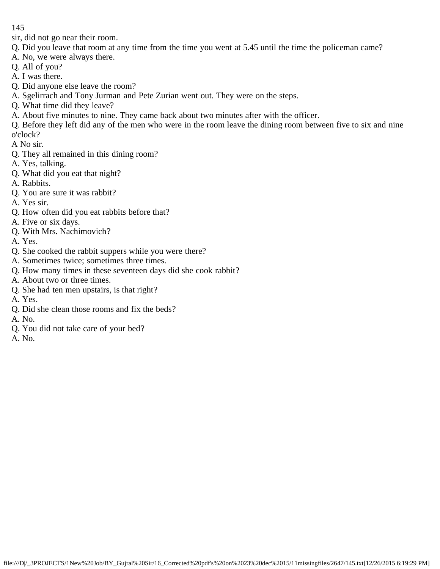sir, did not go near their room.

- Q. Did you leave that room at any time from the time you went at 5.45 until the time the policeman came?
- A. No, we were always there.
- Q. All of you?
- A. I was there.
- Q. Did anyone else leave the room?
- A. Sgelirrach and Tony Jurman and Pete Zurian went out. They were on the steps.
- Q. What time did they leave?
- A. About five minutes to nine. They came back about two minutes after with the officer.
- Q. Before they left did any of the men who were in the room leave the dining room between five to six and nine o'clock?

A No sir.

- Q. They all remained in this dining room?
- A. Yes, talking.
- Q. What did you eat that night?
- A. Rabbits.
- Q. You are sure it was rabbit?
- A. Yes sir.
- Q. How often did you eat rabbits before that?
- A. Five or six days.
- Q. With Mrs. Nachimovich?
- A. Yes.
- Q. She cooked the rabbit suppers while you were there?
- A. Sometimes twice; sometimes three times.
- Q. How many times in these seventeen days did she cook rabbit?
- A. About two or three times.
- Q. She had ten men upstairs, is that right?
- A. Yes.
- Q. Did she clean those rooms and fix the beds?
- A. No.
- Q. You did not take care of your bed?
- A. No.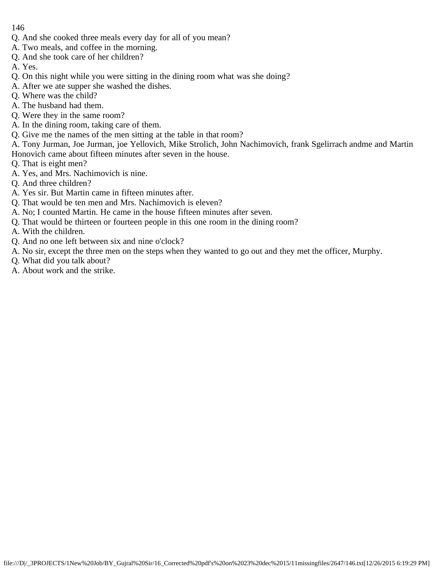- Q. And she cooked three meals every day for all of you mean?
- A. Two meals, and coffee in the morning.
- Q. And she took care of her children?

A. Yes.

- Q. On this night while you were sitting in the dining room what was she doing?
- A. After we ate supper she washed the dishes.
- Q. Where was the child?
- A. The husband had them.
- Q. Were they in the same room?
- A. In the dining room, taking care of them.
- Q. Give me the names of the men sitting at the table in that room?

A. Tony Jurman, Joe Jurman, joe Yellovich, Mike Strolich, John Nachimovich, frank Sgelirrach andme and Martin Honovich came about fifteen minutes after seven in the house.

- Q. That is eight men?
- A. Yes, and Mrs. Nachimovich is nine.
- Q. And three children?
- A. Yes sir. But Martin came in fifteen minutes after.
- Q. That would be ten men and Mrs. Nachimovich is eleven?
- A. No; I counted Martin. He came in the house fifteen minutes after seven.
- Q. That would be thirteen or fourteen people in this one room in the dining room?
- A. With the children.
- Q. And no one left between six and nine o'clock?
- A. No sir, except the three men on the steps when they wanted to go out and they met the officer, Murphy.
- Q. What did you talk about?
- A. About work and the strike.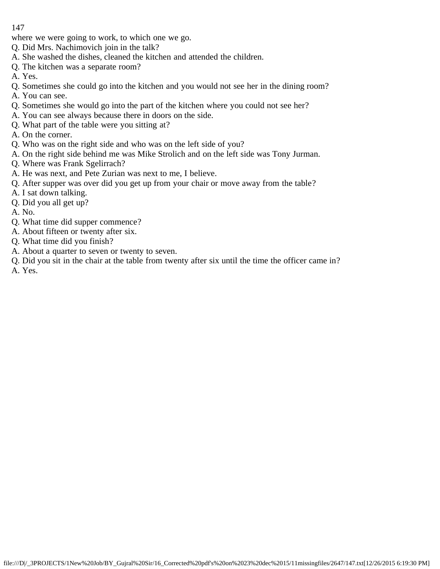where we were going to work, to which one we go.

- Q. Did Mrs. Nachimovich join in the talk?
- A. She washed the dishes, cleaned the kitchen and attended the children.
- Q. The kitchen was a separate room?
- A. Yes.
- Q. Sometimes she could go into the kitchen and you would not see her in the dining room?
- A. You can see.
- Q. Sometimes she would go into the part of the kitchen where you could not see her?
- A. You can see always because there in doors on the side.
- Q. What part of the table were you sitting at?
- A. On the corner.
- Q. Who was on the right side and who was on the left side of you?
- A. On the right side behind me was Mike Strolich and on the left side was Tony Jurman.
- Q. Where was Frank Sgelirrach?
- A. He was next, and Pete Zurian was next to me, I believe.
- Q. After supper was over did you get up from your chair or move away from the table?
- A. I sat down talking.
- Q. Did you all get up?
- A. No.
- Q. What time did supper commence?
- A. About fifteen or twenty after six.
- Q. What time did you finish?
- A. About a quarter to seven or twenty to seven.
- Q. Did you sit in the chair at the table from twenty after six until the time the officer came in?
- A. Yes.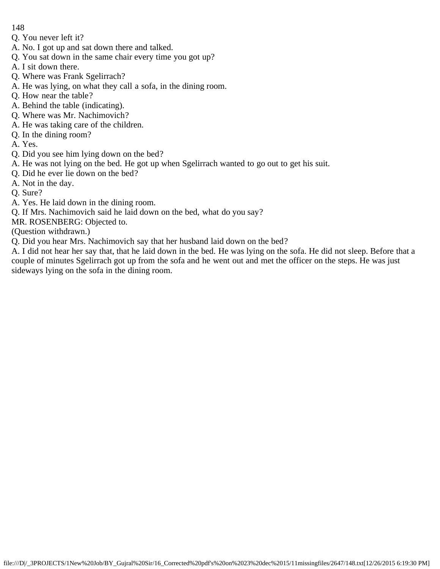Q. You never left it?

- A. No. I got up and sat down there and talked.
- Q. You sat down in the same chair every time you got up?
- A. I sit down there.
- Q. Where was Frank Sgelirrach?
- A. He was lying, on what they call a sofa, in the dining room.
- Q. How near the table?
- A. Behind the table (indicating).
- Q. Where was Mr. Nachimovich?
- A. He was taking care of the children.
- Q. In the dining room?
- A. Yes.
- Q. Did you see him lying down on the bed?
- A. He was not lying on the bed. He got up when Sgelirrach wanted to go out to get his suit.
- Q. Did he ever lie down on the bed?
- A. Not in the day.
- Q. Sure?
- A. Yes. He laid down in the dining room.
- Q. If Mrs. Nachimovich said he laid down on the bed, what do you say?

MR. ROSENBERG: Objected to.

(Question withdrawn.)

Q. Did you hear Mrs. Nachimovich say that her husband laid down on the bed?

A. I did not hear her say that, that he laid down in the bed. He was lying on the sofa. He did not sleep. Before that a couple of minutes Sgelirrach got up from the sofa and he went out and met the officer on the steps. He was just sideways lying on the sofa in the dining room.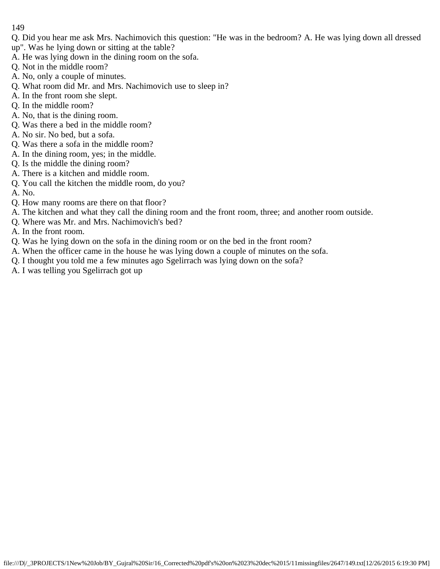- Q. Did you hear me ask Mrs. Nachimovich this question: "He was in the bedroom? A. He was lying down all dressed up". Was he lying down or sitting at the table?
- A. He was lying down in the dining room on the sofa.
- Q. Not in the middle room?
- A. No, only a couple of minutes.
- Q. What room did Mr. and Mrs. Nachimovich use to sleep in?
- A. In the front room she slept.
- Q. In the middle room?
- A. No, that is the dining room.
- Q. Was there a bed in the middle room?
- A. No sir. No bed, but a sofa.
- Q. Was there a sofa in the middle room?
- A. In the dining room, yes; in the middle.
- Q. Is the middle the dining room?
- A. There is a kitchen and middle room.
- Q. You call the kitchen the middle room, do you?
- A. No.
- Q. How many rooms are there on that floor?
- A. The kitchen and what they call the dining room and the front room, three; and another room outside.
- Q. Where was Mr. and Mrs. Nachimovich's bed?
- A. In the front room.
- Q. Was he lying down on the sofa in the dining room or on the bed in the front room?
- A. When the officer came in the house he was lying down a couple of minutes on the sofa.
- Q. I thought you told me a few minutes ago Sgelirrach was lying down on the sofa?
- A. I was telling you Sgelirrach got up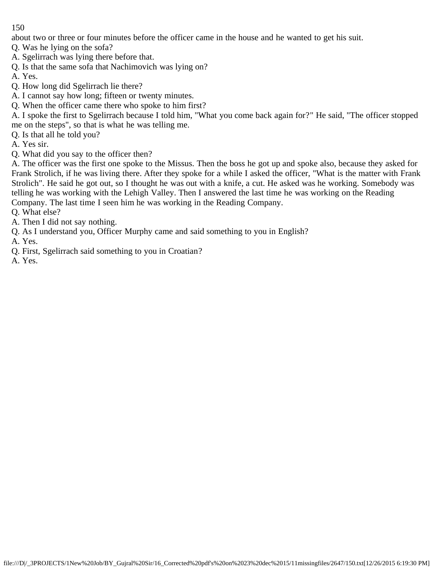about two or three or four minutes before the officer came in the house and he wanted to get his suit.

Q. Was he lying on the sofa?

- A. Sgelirrach was lying there before that.
- Q. Is that the same sofa that Nachimovich was lying on?
- A. Yes.
- Q. How long did Sgelirrach lie there?
- A. I cannot say how long; fifteen or twenty minutes.
- Q. When the officer came there who spoke to him first?

A. I spoke the first to Sgelirrach because I told him, "What you come back again for?" He said, "The officer stopped me on the steps", so that is what he was telling me.

Q. Is that all he told you?

- A. Yes sir.
- Q. What did you say to the officer then?

A. The officer was the first one spoke to the Missus. Then the boss he got up and spoke also, because they asked for Frank Strolich, if he was living there. After they spoke for a while I asked the officer, "What is the matter with Frank Strolich". He said he got out, so I thought he was out with a knife, a cut. He asked was he working. Somebody was telling he was working with the Lehigh Valley. Then I answered the last time he was working on the Reading Company. The last time I seen him he was working in the Reading Company.

- Q. What else?
- A. Then I did not say nothing.
- Q. As I understand you, Officer Murphy came and said something to you in English?
- A. Yes.
- Q. First, Sgelirrach said something to you in Croatian?
- A. Yes.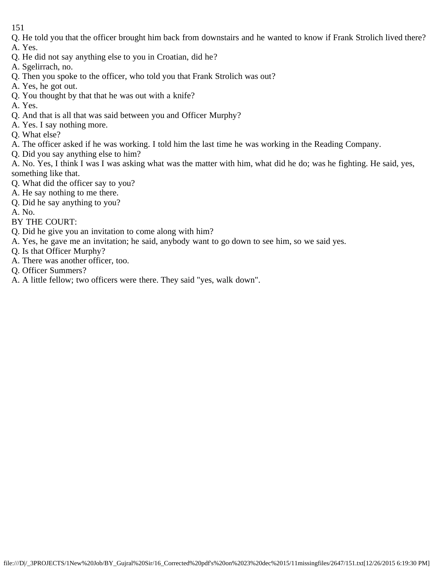- Q. He told you that the officer brought him back from downstairs and he wanted to know if Frank Strolich lived there?
- A. Yes.
- Q. He did not say anything else to you in Croatian, did he?
- A. Sgelirrach, no.
- Q. Then you spoke to the officer, who told you that Frank Strolich was out?
- A. Yes, he got out.
- Q. You thought by that that he was out with a knife?
- A. Yes.
- Q. And that is all that was said between you and Officer Murphy?
- A. Yes. I say nothing more.
- Q. What else?
- A. The officer asked if he was working. I told him the last time he was working in the Reading Company.
- Q. Did you say anything else to him?

A. No. Yes, I think I was I was asking what was the matter with him, what did he do; was he fighting. He said, yes, something like that.

- Q. What did the officer say to you?
- A. He say nothing to me there.
- Q. Did he say anything to you?
- A. No.
- BY THE COURT:
- Q. Did he give you an invitation to come along with him?
- A. Yes, he gave me an invitation; he said, anybody want to go down to see him, so we said yes.
- Q. Is that Officer Murphy?
- A. There was another officer, too.
- Q. Officer Summers?
- A. A little fellow; two officers were there. They said "yes, walk down".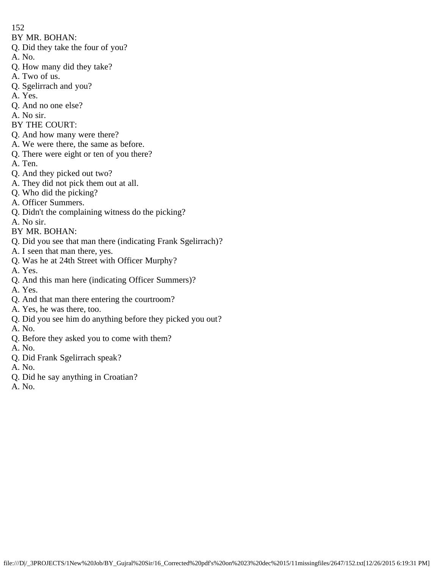BY MR. BOHAN:

- Q. Did they take the four of you?
- A. No.
- Q. How many did they take?
- A. Two of us.
- Q. Sgelirrach and you?
- A. Yes.
- Q. And no one else?
- A. No sir.
- BY THE COURT:
- Q. And how many were there?
- A. We were there, the same as before.
- Q. There were eight or ten of you there?
- A. Ten.
- Q. And they picked out two?
- A. They did not pick them out at all.
- Q. Who did the picking?
- A. Officer Summers.
- Q. Didn't the complaining witness do the picking?
- A. No sir.
- BY MR. BOHAN:
- Q. Did you see that man there (indicating Frank Sgelirrach)?
- A. I seen that man there, yes.
- Q. Was he at 24th Street with Officer Murphy?
- A. Yes.
- Q. And this man here (indicating Officer Summers)?
- A. Yes.
- Q. And that man there entering the courtroom?
- A. Yes, he was there, too.
- Q. Did you see him do anything before they picked you out?
- A. No.
- Q. Before they asked you to come with them?
- A. No.
- Q. Did Frank Sgelirrach speak?
- A. No.
- Q. Did he say anything in Croatian?
- A. No.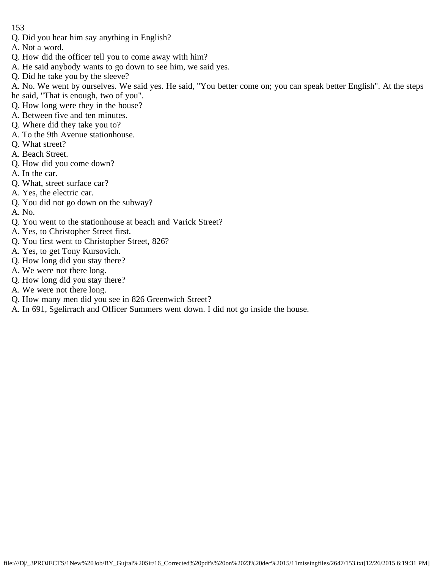- Q. Did you hear him say anything in English?
- A. Not a word.
- Q. How did the officer tell you to come away with him?
- A. He said anybody wants to go down to see him, we said yes.
- Q. Did he take you by the sleeve?
- A. No. We went by ourselves. We said yes. He said, "You better come on; you can speak better English". At the steps
- he said, "That is enough, two of you".
- Q. How long were they in the house?
- A. Between five and ten minutes.
- Q. Where did they take you to?
- A. To the 9th Avenue stationhouse.
- Q. What street?
- A. Beach Street.
- Q. How did you come down?
- A. In the car.
- Q. What, street surface car?
- A. Yes, the electric car.
- Q. You did not go down on the subway?
- A. No.
- Q. You went to the stationhouse at beach and Varick Street?
- A. Yes, to Christopher Street first.
- Q. You first went to Christopher Street, 826?
- A. Yes, to get Tony Kursovich.
- Q. How long did you stay there?
- A. We were not there long.
- Q. How long did you stay there?
- A. We were not there long.
- Q. How many men did you see in 826 Greenwich Street?
- A. In 691, Sgelirrach and Officer Summers went down. I did not go inside the house.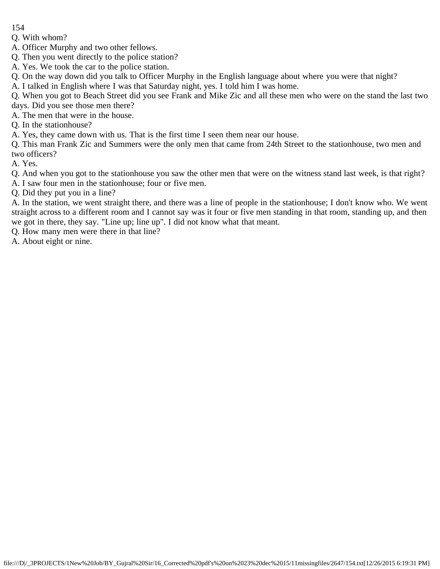Q. With whom?

A. Officer Murphy and two other fellows.

Q. Then you went directly to the police station?

A. Yes. We took the car to the police station.

Q. On the way down did you talk to Officer Murphy in the English language about where you were that night?

A. I talked in English where I was that Saturday night, yes. I told him I was home.

Q. When you got to Beach Street did you see Frank and Mike Zic and all these men who were on the stand the last two days. Did you see those men there?

A. The men that were in the house.

Q. In the stationhouse?

A. Yes, they came down with us. That is the first time I seen them near our house.

Q. This man Frank Zic and Summers were the only men that came from 24th Street to the stationhouse, two men and two officers?

A. Yes.

Q. And when you got to the stationhouse you saw the other men that were on the witness stand last week, is that right?

A. I saw four men in the stationhouse; four or five men.

Q. Did they put you in a line?

A. In the station, we went straight there, and there was a line of people in the stationhouse; I don't know who. We went straight across to a different room and I cannot say was it four or five men standing in that room, standing up, and then we got in there, they say. "Line up; line up". I did not know what that meant.

Q. How many men were there in that line?

A. About eight or nine.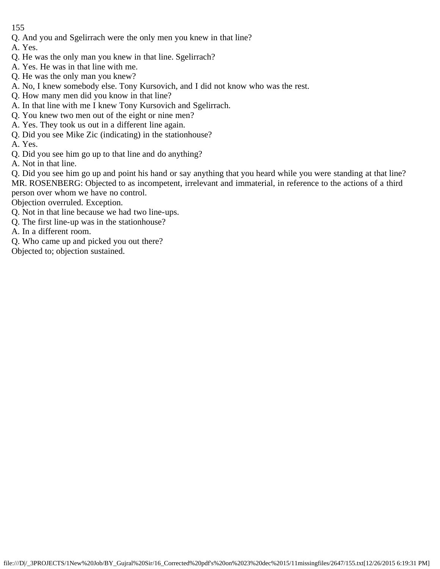- Q. And you and Sgelirrach were the only men you knew in that line?
- A. Yes.
- Q. He was the only man you knew in that line. Sgelirrach?
- A. Yes. He was in that line with me.
- Q. He was the only man you knew?
- A. No, I knew somebody else. Tony Kursovich, and I did not know who was the rest.
- Q. How many men did you know in that line?
- A. In that line with me I knew Tony Kursovich and Sgelirrach.
- Q. You knew two men out of the eight or nine men?
- A. Yes. They took us out in a different line again.
- Q. Did you see Mike Zic (indicating) in the stationhouse?
- A. Yes.
- Q. Did you see him go up to that line and do anything?
- A. Not in that line.

Q. Did you see him go up and point his hand or say anything that you heard while you were standing at that line? MR. ROSENBERG: Objected to as incompetent, irrelevant and immaterial, in reference to the actions of a third person over whom we have no control.

Objection overruled. Exception.

- Q. Not in that line because we had two line-ups.
- Q. The first line-up was in the stationhouse?

A. In a different room.

- Q. Who came up and picked you out there?
- Objected to; objection sustained.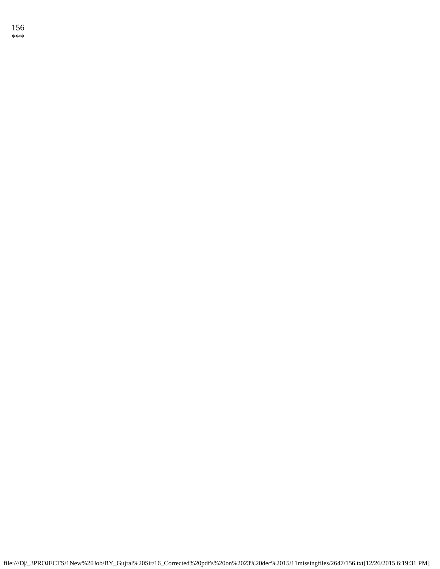156 \*\*\*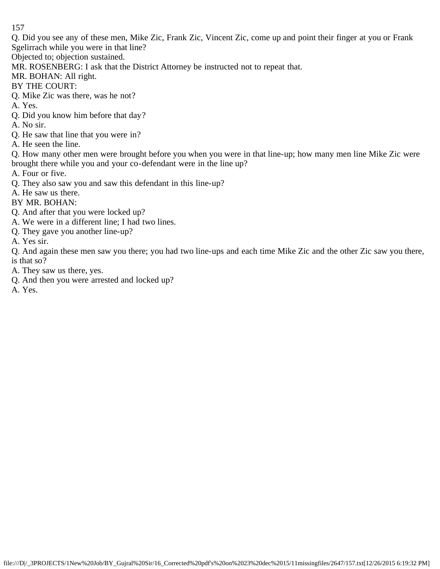Q. Did you see any of these men, Mike Zic, Frank Zic, Vincent Zic, come up and point their finger at you or Frank Sgelirrach while you were in that line?

Objected to; objection sustained.

MR. ROSENBERG: I ask that the District Attorney be instructed not to repeat that.

MR. BOHAN: All right.

BY THE COURT:

Q. Mike Zic was there, was he not?

A. Yes.

Q. Did you know him before that day?

A. No sir.

Q. He saw that line that you were in?

A. He seen the line.

Q. How many other men were brought before you when you were in that line-up; how many men line Mike Zic were brought there while you and your co-defendant were in the line up?

A. Four or five.

Q. They also saw you and saw this defendant in this line-up?

A. He saw us there.

BY MR. BOHAN:

- Q. And after that you were locked up?
- A. We were in a different line; I had two lines.
- Q. They gave you another line-up?

A. Yes sir.

Q. And again these men saw you there; you had two line-ups and each time Mike Zic and the other Zic saw you there, is that so?

A. They saw us there, yes.

Q. And then you were arrested and locked up?

A. Yes.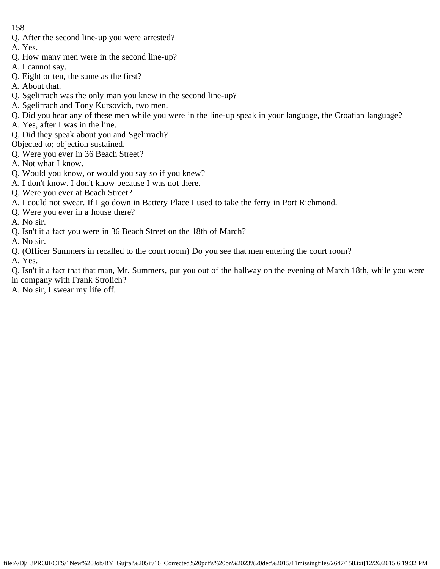- Q. After the second line-up you were arrested?
- A. Yes.
- Q. How many men were in the second line-up?
- A. I cannot say.
- Q. Eight or ten, the same as the first?
- A. About that.
- Q. Sgelirrach was the only man you knew in the second line-up?
- A. Sgelirrach and Tony Kursovich, two men.
- Q. Did you hear any of these men while you were in the line-up speak in your language, the Croatian language?
- A. Yes, after I was in the line.
- Q. Did they speak about you and Sgelirrach?
- Objected to; objection sustained.
- Q. Were you ever in 36 Beach Street?
- A. Not what I know.
- Q. Would you know, or would you say so if you knew?
- A. I don't know. I don't know because I was not there.
- Q. Were you ever at Beach Street?
- A. I could not swear. If I go down in Battery Place I used to take the ferry in Port Richmond.
- Q. Were you ever in a house there?
- A. No sir.
- Q. Isn't it a fact you were in 36 Beach Street on the 18th of March?
- A. No sir.
- Q. (Officer Summers in recalled to the court room) Do you see that men entering the court room?
- A. Yes.

Q. Isn't it a fact that that man, Mr. Summers, put you out of the hallway on the evening of March 18th, while you were in company with Frank Strolich?

A. No sir, I swear my life off.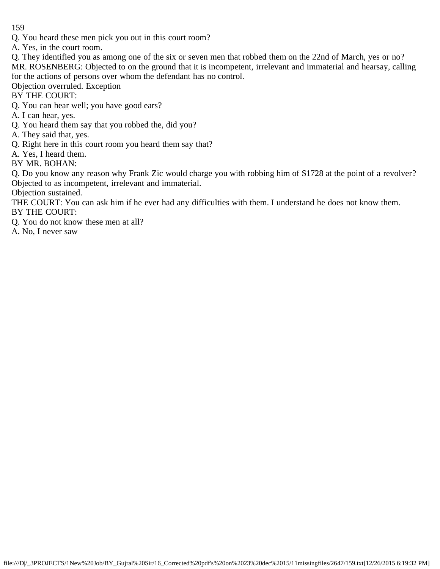Q. You heard these men pick you out in this court room?

A. Yes, in the court room.

- Q. They identified you as among one of the six or seven men that robbed them on the 22nd of March, yes or no? MR. ROSENBERG: Objected to on the ground that it is incompetent, irrelevant and immaterial and hearsay, calling for the actions of persons over whom the defendant has no control.
- Objection overruled. Exception
- BY THE COURT:
- Q. You can hear well; you have good ears?
- A. I can hear, yes.
- Q. You heard them say that you robbed the, did you?
- A. They said that, yes.
- Q. Right here in this court room you heard them say that?
- A. Yes, I heard them.
- BY MR. BOHAN:

Q. Do you know any reason why Frank Zic would charge you with robbing him of \$1728 at the point of a revolver? Objected to as incompetent, irrelevant and immaterial.

Objection sustained.

THE COURT: You can ask him if he ever had any difficulties with them. I understand he does not know them. BY THE COURT:

- Q. You do not know these men at all?
- A. No, I never saw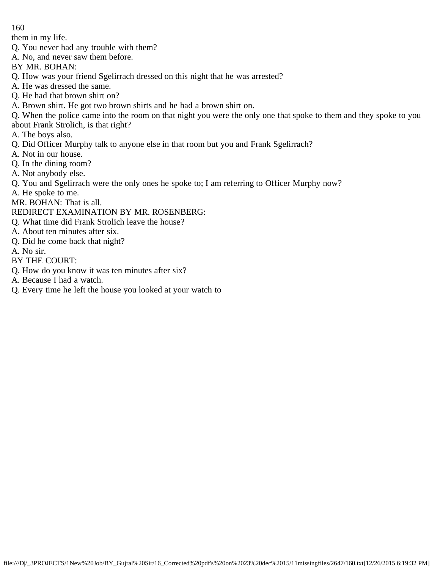them in my life.

- Q. You never had any trouble with them?
- A. No, and never saw them before.
- BY MR. BOHAN:
- Q. How was your friend Sgelirrach dressed on this night that he was arrested?
- A. He was dressed the same.
- Q. He had that brown shirt on?
- A. Brown shirt. He got two brown shirts and he had a brown shirt on.
- Q. When the police came into the room on that night you were the only one that spoke to them and they spoke to you
- about Frank Strolich, is that right?
- A. The boys also.
- Q. Did Officer Murphy talk to anyone else in that room but you and Frank Sgelirrach?
- A. Not in our house.
- Q. In the dining room?
- A. Not anybody else.
- Q. You and Sgelirrach were the only ones he spoke to; I am referring to Officer Murphy now?
- A. He spoke to me.
- MR. BOHAN: That is all.
- REDIRECT EXAMINATION BY MR. ROSENBERG:
- Q. What time did Frank Strolich leave the house?
- A. About ten minutes after six.
- Q. Did he come back that night?
- A. No sir.
- BY THE COURT:
- Q. How do you know it was ten minutes after six?
- A. Because I had a watch.
- Q. Every time he left the house you looked at your watch to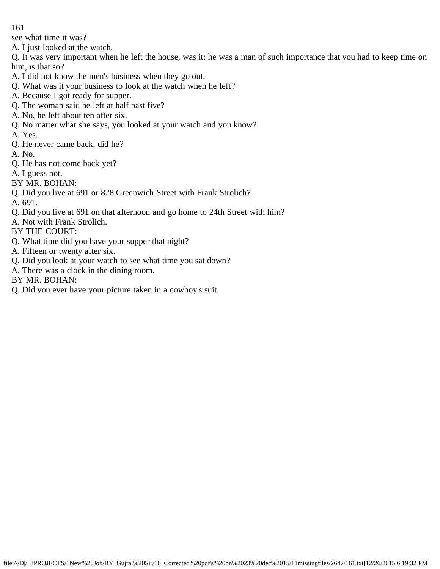see what time it was?

A. I just looked at the watch.

Q. It was very important when he left the house, was it; he was a man of such importance that you had to keep time on him, is that so?

- A. I did not know the men's business when they go out.
- Q. What was it your business to look at the watch when he left?
- A. Because I got ready for supper.
- Q. The woman said he left at half past five?
- A. No, he left about ten after six.
- Q. No matter what she says, you looked at your watch and you know?
- A. Yes.
- Q. He never came back, did he?
- A. No.
- Q. He has not come back yet?
- A. I guess not.
- BY MR. BOHAN:
- Q. Did you live at 691 or 828 Greenwich Street with Frank Strolich?
- A. 691.
- Q. Did you live at 691 on that afternoon and go home to 24th Street with him?
- A. Not with Frank Strolich.
- BY THE COURT:
- Q. What time did you have your supper that night?
- A. Fifteen or twenty after six.
- Q. Did you look at your watch to see what time you sat down?
- A. There was a clock in the dining room.
- BY MR. BOHAN:
- Q. Did you ever have your picture taken in a cowboy's suit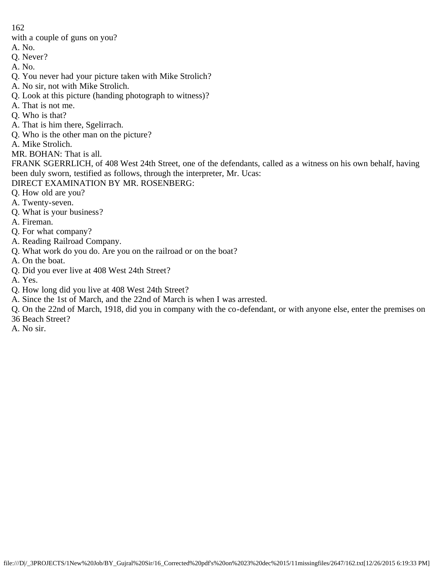with a couple of guns on you?

- A. No.
- Q. Never?
- A. No.
- Q. You never had your picture taken with Mike Strolich?
- A. No sir, not with Mike Strolich.
- Q. Look at this picture (handing photograph to witness)?
- A. That is not me.
- Q. Who is that?
- A. That is him there, Sgelirrach.
- Q. Who is the other man on the picture?
- A. Mike Strolich.
- MR. BOHAN: That is all.

FRANK SGERRLICH, of 408 West 24th Street, one of the defendants, called as a witness on his own behalf, having been duly sworn, testified as follows, through the interpreter, Mr. Ucas:

- DIRECT EXAMINATION BY MR. ROSENBERG:
- Q. How old are you?
- A. Twenty-seven.
- Q. What is your business?
- A. Fireman.
- Q. For what company?
- A. Reading Railroad Company.
- Q. What work do you do. Are you on the railroad or on the boat?
- A. On the boat.
- Q. Did you ever live at 408 West 24th Street?
- A. Yes.
- Q. How long did you live at 408 West 24th Street?
- A. Since the 1st of March, and the 22nd of March is when I was arrested.
- Q. On the 22nd of March, 1918, did you in company with the co-defendant, or with anyone else, enter the premises on
- 36 Beach Street?
- A. No sir.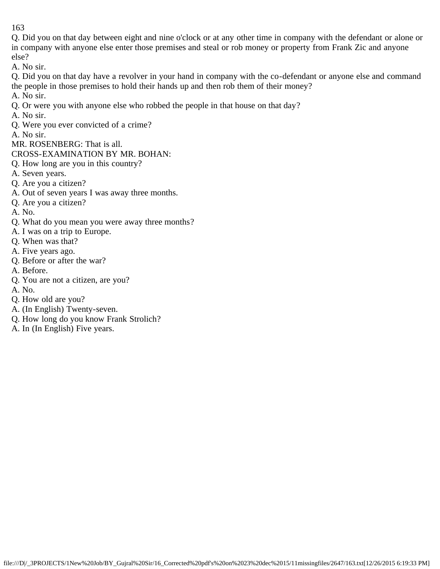Q. Did you on that day between eight and nine o'clock or at any other time in company with the defendant or alone or in company with anyone else enter those premises and steal or rob money or property from Frank Zic and anyone else?

A. No sir.

Q. Did you on that day have a revolver in your hand in company with the co-defendant or anyone else and command the people in those premises to hold their hands up and then rob them of their money?

A. No sir.

- Q. Or were you with anyone else who robbed the people in that house on that day?
- A. No sir.
- Q. Were you ever convicted of a crime?
- A. No sir.

MR. ROSENBERG: That is all.

- CROSS-EXAMINATION BY MR. BOHAN:
- Q. How long are you in this country?
- A. Seven years.
- Q. Are you a citizen?
- A. Out of seven years I was away three months.
- Q. Are you a citizen?
- A. No.
- Q. What do you mean you were away three months?
- A. I was on a trip to Europe.
- Q. When was that?
- A. Five years ago.
- Q. Before or after the war?
- A. Before.
- Q. You are not a citizen, are you?
- A. No.
- Q. How old are you?
- A. (In English) Twenty-seven.
- Q. How long do you know Frank Strolich?
- A. In (In English) Five years.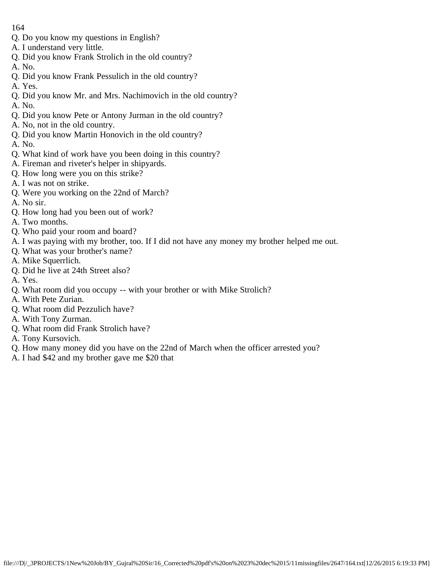- Q. Do you know my questions in English?
- A. I understand very little.
- Q. Did you know Frank Strolich in the old country?
- A. No.
- Q. Did you know Frank Pessulich in the old country?
- A. Yes.
- Q. Did you know Mr. and Mrs. Nachimovich in the old country?
- A. No.
- Q. Did you know Pete or Antony Jurman in the old country?
- A. No, not in the old country.
- Q. Did you know Martin Honovich in the old country?
- A. No.
- Q. What kind of work have you been doing in this country?
- A. Fireman and riveter's helper in shipyards.
- Q. How long were you on this strike?
- A. I was not on strike.
- Q. Were you working on the 22nd of March?
- A. No sir.
- Q. How long had you been out of work?
- A. Two months.
- Q. Who paid your room and board?
- A. I was paying with my brother, too. If I did not have any money my brother helped me out.
- Q. What was your brother's name?
- A. Mike Squerrlich.
- Q. Did he live at 24th Street also?
- A. Yes.
- Q. What room did you occupy -- with your brother or with Mike Strolich?
- A. With Pete Zurian.
- Q. What room did Pezzulich have?
- A. With Tony Zurman.
- Q. What room did Frank Strolich have?
- A. Tony Kursovich.
- Q. How many money did you have on the 22nd of March when the officer arrested you?
- A. I had \$42 and my brother gave me \$20 that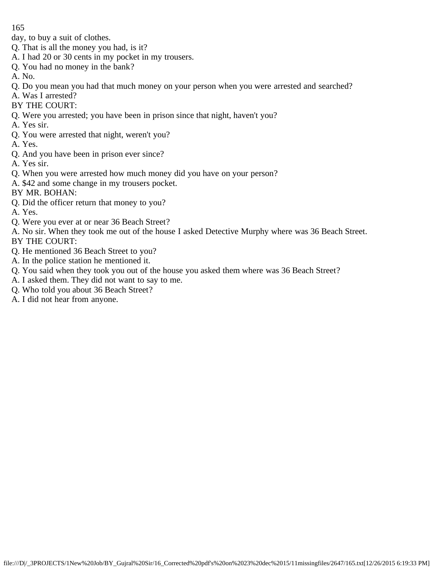day, to buy a suit of clothes.

- Q. That is all the money you had, is it?
- A. I had 20 or 30 cents in my pocket in my trousers.
- Q. You had no money in the bank?
- A. No.
- Q. Do you mean you had that much money on your person when you were arrested and searched?
- A. Was I arrested?
- BY THE COURT:
- Q. Were you arrested; you have been in prison since that night, haven't you?
- A. Yes sir.
- Q. You were arrested that night, weren't you?
- A. Yes.
- Q. And you have been in prison ever since?
- A. Yes sir.
- Q. When you were arrested how much money did you have on your person?
- A. \$42 and some change in my trousers pocket.
- BY MR. BOHAN:
- Q. Did the officer return that money to you?
- A. Yes.
- Q. Were you ever at or near 36 Beach Street?
- A. No sir. When they took me out of the house I asked Detective Murphy where was 36 Beach Street. BY THE COURT:
- Q. He mentioned 36 Beach Street to you?
- A. In the police station he mentioned it.
- Q. You said when they took you out of the house you asked them where was 36 Beach Street?
- A. I asked them. They did not want to say to me.
- Q. Who told you about 36 Beach Street?
- A. I did not hear from anyone.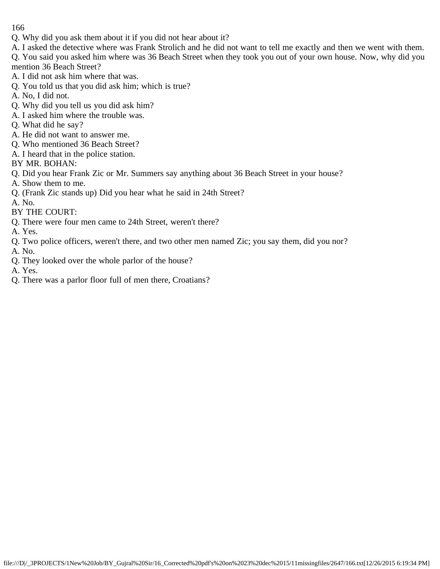- Q. Why did you ask them about it if you did not hear about it?
- A. I asked the detective where was Frank Strolich and he did not want to tell me exactly and then we went with them.
- Q. You said you asked him where was 36 Beach Street when they took you out of your own house. Now, why did you mention 36 Beach Street?
- A. I did not ask him where that was.
- Q. You told us that you did ask him; which is true?
- A. No, I did not.
- Q. Why did you tell us you did ask him?
- A. I asked him where the trouble was.
- Q. What did he say?
- A. He did not want to answer me.
- Q. Who mentioned 36 Beach Street?
- A. I heard that in the police station.
- BY MR. BOHAN:
- Q. Did you hear Frank Zic or Mr. Summers say anything about 36 Beach Street in your house?
- A. Show them to me.
- Q. (Frank Zic stands up) Did you hear what he said in 24th Street?
- A. No.
- BY THE COURT:
- Q. There were four men came to 24th Street, weren't there?
- A. Yes.
- Q. Two police officers, weren't there, and two other men named Zic; you say them, did you nor?
- A. No.
- Q. They looked over the whole parlor of the house?
- A. Yes.
- Q. There was a parlor floor full of men there, Croatians?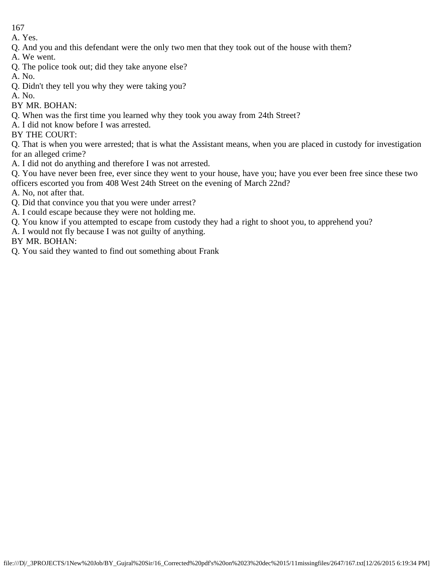A. Yes.

- Q. And you and this defendant were the only two men that they took out of the house with them?
- A. We went.
- Q. The police took out; did they take anyone else?
- A. No.
- Q. Didn't they tell you why they were taking you?
- A. No.
- BY MR. BOHAN:
- Q. When was the first time you learned why they took you away from 24th Street?
- A. I did not know before I was arrested.
- BY THE COURT:

Q. That is when you were arrested; that is what the Assistant means, when you are placed in custody for investigation for an alleged crime?

- A. I did not do anything and therefore I was not arrested.
- Q. You have never been free, ever since they went to your house, have you; have you ever been free since these two officers escorted you from 408 West 24th Street on the evening of March 22nd?
- A. No, not after that.
- Q. Did that convince you that you were under arrest?
- A. I could escape because they were not holding me.
- Q. You know if you attempted to escape from custody they had a right to shoot you, to apprehend you?
- A. I would not fly because I was not guilty of anything.

BY MR. BOHAN:

Q. You said they wanted to find out something about Frank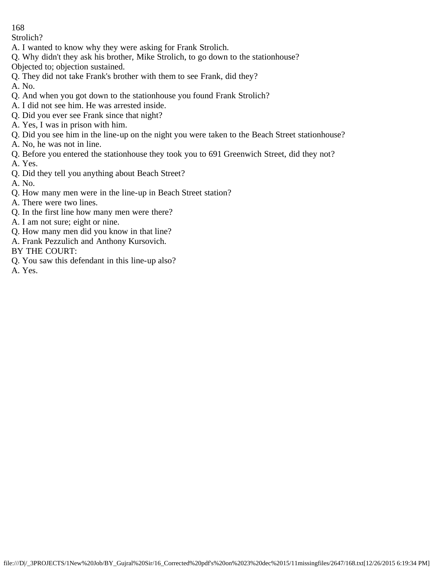Strolich?

- A. I wanted to know why they were asking for Frank Strolich.
- Q. Why didn't they ask his brother, Mike Strolich, to go down to the stationhouse?
- Objected to; objection sustained.
- Q. They did not take Frank's brother with them to see Frank, did they?
- A. No.
- Q. And when you got down to the stationhouse you found Frank Strolich?
- A. I did not see him. He was arrested inside.
- Q. Did you ever see Frank since that night?
- A. Yes, I was in prison with him.
- Q. Did you see him in the line-up on the night you were taken to the Beach Street stationhouse?
- A. No, he was not in line.
- Q. Before you entered the stationhouse they took you to 691 Greenwich Street, did they not?
- A. Yes.
- Q. Did they tell you anything about Beach Street?
- A. No.
- Q. How many men were in the line-up in Beach Street station?
- A. There were two lines.
- Q. In the first line how many men were there?
- A. I am not sure; eight or nine.
- Q. How many men did you know in that line?
- A. Frank Pezzulich and Anthony Kursovich.
- BY THE COURT:
- Q. You saw this defendant in this line-up also?
- A. Yes.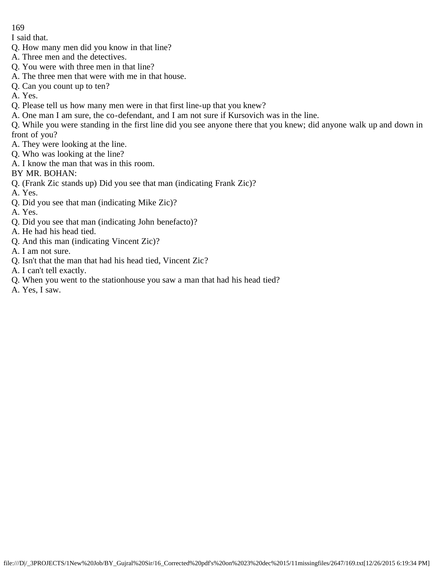I said that.

- Q. How many men did you know in that line?
- A. Three men and the detectives.
- Q. You were with three men in that line?
- A. The three men that were with me in that house.
- Q. Can you count up to ten?

A. Yes.

- Q. Please tell us how many men were in that first line-up that you knew?
- A. One man I am sure, the co-defendant, and I am not sure if Kursovich was in the line.
- Q. While you were standing in the first line did you see anyone there that you knew; did anyone walk up and down in front of you?
- A. They were looking at the line.
- Q. Who was looking at the line?
- A. I know the man that was in this room.
- BY MR. BOHAN:
- Q. (Frank Zic stands up) Did you see that man (indicating Frank Zic)?
- A. Yes.
- Q. Did you see that man (indicating Mike Zic)?
- A. Yes.
- Q. Did you see that man (indicating John benefacto)?
- A. He had his head tied.
- Q. And this man (indicating Vincent Zic)?
- A. I am not sure.
- Q. Isn't that the man that had his head tied, Vincent Zic?
- A. I can't tell exactly.
- Q. When you went to the stationhouse you saw a man that had his head tied?
- A. Yes, I saw.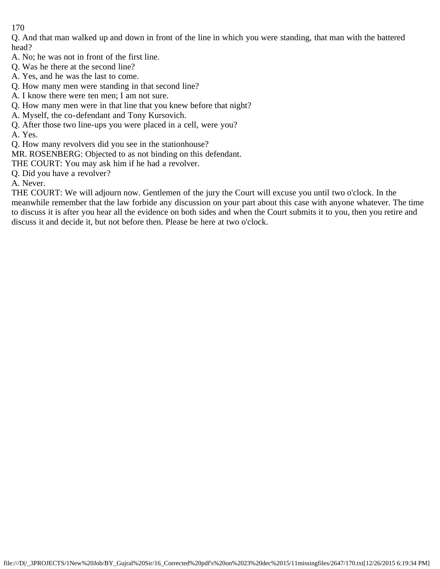Q. And that man walked up and down in front of the line in which you were standing, that man with the battered head?

- A. No; he was not in front of the first line.
- Q. Was he there at the second line?
- A. Yes, and he was the last to come.
- Q. How many men were standing in that second line?
- A. I know there were ten men; I am not sure.
- Q. How many men were in that line that you knew before that night?
- A. Myself, the co-defendant and Tony Kursovich.
- Q. After those two line-ups you were placed in a cell, were you?
- A. Yes.
- Q. How many revolvers did you see in the stationhouse?
- MR. ROSENBERG: Objected to as not binding on this defendant.
- THE COURT: You may ask him if he had a revolver.
- Q. Did you have a revolver?
- A. Never.

THE COURT: We will adjourn now. Gentlemen of the jury the Court will excuse you until two o'clock. In the meanwhile remember that the law forbide any discussion on your part about this case with anyone whatever. The time to discuss it is after you hear all the evidence on both sides and when the Court submits it to you, then you retire and discuss it and decide it, but not before then. Please be here at two o'clock.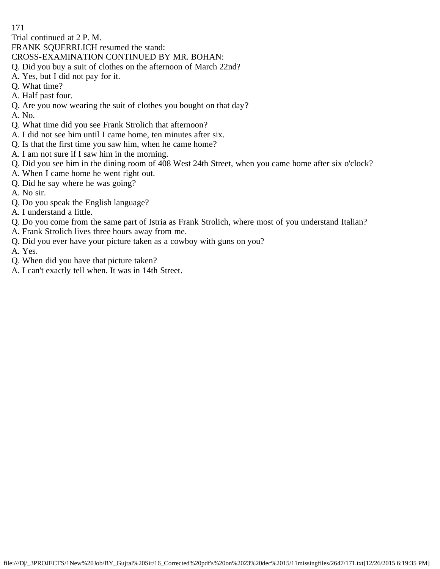Trial continued at 2 P. M.

FRANK SQUERRLICH resumed the stand:

CROSS-EXAMINATION CONTINUED BY MR. BOHAN:

- Q. Did you buy a suit of clothes on the afternoon of March 22nd?
- A. Yes, but I did not pay for it.
- Q. What time?
- A. Half past four.
- Q. Are you now wearing the suit of clothes you bought on that day?
- A. No.
- Q. What time did you see Frank Strolich that afternoon?
- A. I did not see him until I came home, ten minutes after six.
- Q. Is that the first time you saw him, when he came home?
- A. I am not sure if I saw him in the morning.
- Q. Did you see him in the dining room of 408 West 24th Street, when you came home after six o'clock?
- A. When I came home he went right out.
- Q. Did he say where he was going?
- A. No sir.
- Q. Do you speak the English language?
- A. I understand a little.
- Q. Do you come from the same part of Istria as Frank Strolich, where most of you understand Italian?
- A. Frank Strolich lives three hours away from me.
- Q. Did you ever have your picture taken as a cowboy with guns on you?
- A. Yes.
- Q. When did you have that picture taken?
- A. I can't exactly tell when. It was in 14th Street.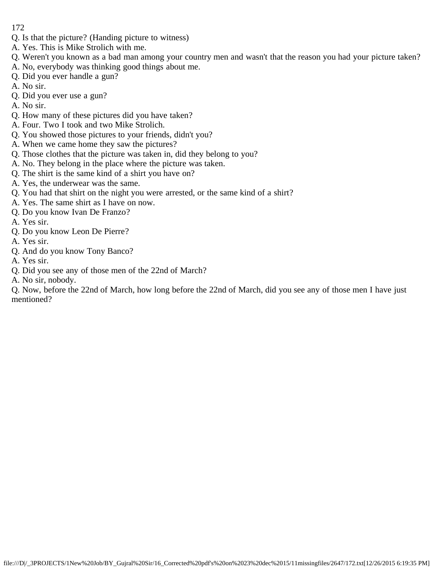- Q. Is that the picture? (Handing picture to witness)
- A. Yes. This is Mike Strolich with me.
- Q. Weren't you known as a bad man among your country men and wasn't that the reason you had your picture taken?
- A. No, everybody was thinking good things about me.
- Q. Did you ever handle a gun?
- A. No sir.
- Q. Did you ever use a gun?
- A. No sir.
- Q. How many of these pictures did you have taken?
- A. Four. Two I took and two Mike Strolich.
- Q. You showed those pictures to your friends, didn't you?
- A. When we came home they saw the pictures?
- Q. Those clothes that the picture was taken in, did they belong to you?
- A. No. They belong in the place where the picture was taken.
- Q. The shirt is the same kind of a shirt you have on?
- A. Yes, the underwear was the same.
- Q. You had that shirt on the night you were arrested, or the same kind of a shirt?
- A. Yes. The same shirt as I have on now.
- Q. Do you know Ivan De Franzo?
- A. Yes sir.
- Q. Do you know Leon De Pierre?
- A. Yes sir.
- Q. And do you know Tony Banco?
- A. Yes sir.
- Q. Did you see any of those men of the 22nd of March?
- A. No sir, nobody.

Q. Now, before the 22nd of March, how long before the 22nd of March, did you see any of those men I have just mentioned?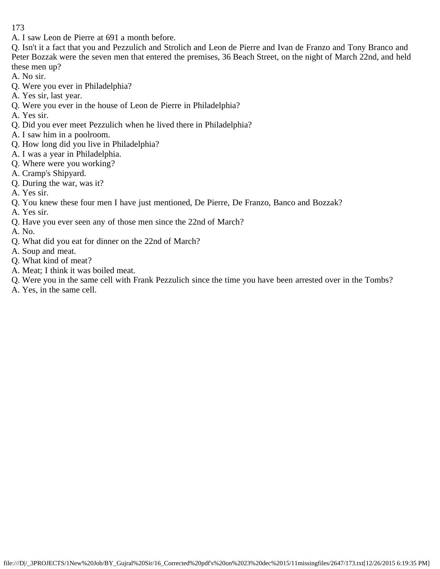A. I saw Leon de Pierre at 691 a month before.

Q. Isn't it a fact that you and Pezzulich and Strolich and Leon de Pierre and Ivan de Franzo and Tony Branco and Peter Bozzak were the seven men that entered the premises, 36 Beach Street, on the night of March 22nd, and held these men up?

A. No sir.

- Q. Were you ever in Philadelphia?
- A. Yes sir, last year.
- Q. Were you ever in the house of Leon de Pierre in Philadelphia?
- A. Yes sir.
- Q. Did you ever meet Pezzulich when he lived there in Philadelphia?
- A. I saw him in a poolroom.
- Q. How long did you live in Philadelphia?
- A. I was a year in Philadelphia.
- Q. Where were you working?
- A. Cramp's Shipyard.
- Q. During the war, was it?
- A. Yes sir.
- Q. You knew these four men I have just mentioned, De Pierre, De Franzo, Banco and Bozzak?
- A. Yes sir.
- Q. Have you ever seen any of those men since the 22nd of March?
- A. No.
- Q. What did you eat for dinner on the 22nd of March?
- A. Soup and meat.
- Q. What kind of meat?
- A. Meat; I think it was boiled meat.
- Q. Were you in the same cell with Frank Pezzulich since the time you have been arrested over in the Tombs?
- A. Yes, in the same cell.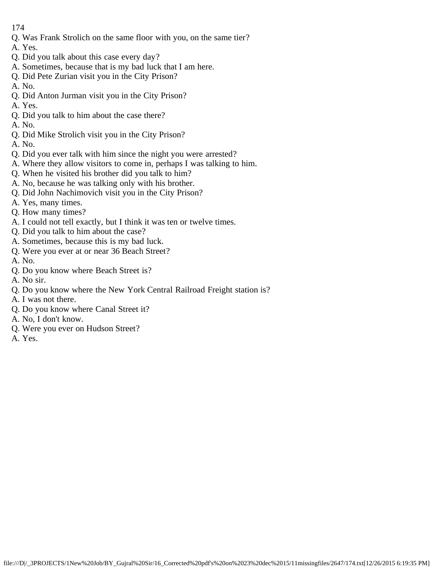- Q. Was Frank Strolich on the same floor with you, on the same tier?
- A. Yes.
- Q. Did you talk about this case every day?
- A. Sometimes, because that is my bad luck that I am here.
- Q. Did Pete Zurian visit you in the City Prison?
- A. No.
- Q. Did Anton Jurman visit you in the City Prison?
- A. Yes.
- Q. Did you talk to him about the case there?
- A. No.
- Q. Did Mike Strolich visit you in the City Prison?
- A. No.
- Q. Did you ever talk with him since the night you were arrested?
- A. Where they allow visitors to come in, perhaps I was talking to him.
- Q. When he visited his brother did you talk to him?
- A. No, because he was talking only with his brother.
- Q. Did John Nachimovich visit you in the City Prison?
- A. Yes, many times.
- Q. How many times?
- A. I could not tell exactly, but I think it was ten or twelve times.
- Q. Did you talk to him about the case?
- A. Sometimes, because this is my bad luck.
- Q. Were you ever at or near 36 Beach Street?
- A. No.
- Q. Do you know where Beach Street is?
- A. No sir.
- Q. Do you know where the New York Central Railroad Freight station is?
- A. I was not there.
- Q. Do you know where Canal Street it?
- A. No, I don't know.
- Q. Were you ever on Hudson Street?
- A. Yes.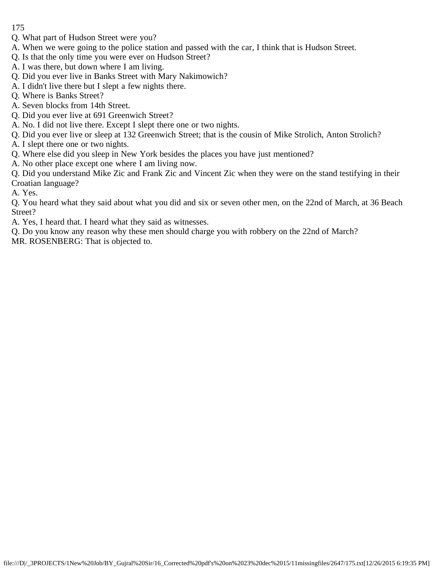- 175
- Q. What part of Hudson Street were you?
- A. When we were going to the police station and passed with the car, I think that is Hudson Street.
- Q. Is that the only time you were ever on Hudson Street?
- A. I was there, but down where I am living.
- Q. Did you ever live in Banks Street with Mary Nakimowich?
- A. I didn't live there but I slept a few nights there.
- Q. Where is Banks Street?
- A. Seven blocks from 14th Street.
- Q. Did you ever live at 691 Greenwich Street?
- A. No. I did not live there. Except I slept there one or two nights.
- Q. Did you ever live or sleep at 132 Greenwich Street; that is the cousin of Mike Strolich, Anton Strolich?
- A. I slept there one or two nights.
- Q. Where else did you sleep in New York besides the places you have just mentioned?
- A. No other place except one where I am living now.
- Q. Did you understand Mike Zic and Frank Zic and Vincent Zic when they were on the stand testifying in their Croatian language?
- A. Yes.
- Q. You heard what they said about what you did and six or seven other men, on the 22nd of March, at 36 Beach Street?
- A. Yes, I heard that. I heard what they said as witnesses.
- Q. Do you know any reason why these men should charge you with robbery on the 22nd of March?
- MR. ROSENBERG: That is objected to.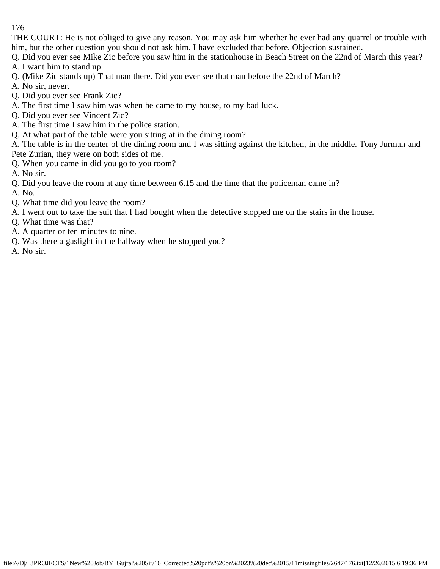THE COURT: He is not obliged to give any reason. You may ask him whether he ever had any quarrel or trouble with him, but the other question you should not ask him. I have excluded that before. Objection sustained.

Q. Did you ever see Mike Zic before you saw him in the stationhouse in Beach Street on the 22nd of March this year?

- A. I want him to stand up.
- Q. (Mike Zic stands up) That man there. Did you ever see that man before the 22nd of March?
- A. No sir, never.
- Q. Did you ever see Frank Zic?
- A. The first time I saw him was when he came to my house, to my bad luck.
- Q. Did you ever see Vincent Zic?
- A. The first time I saw him in the police station.
- Q. At what part of the table were you sitting at in the dining room?

A. The table is in the center of the dining room and I was sitting against the kitchen, in the middle. Tony Jurman and Pete Zurian, they were on both sides of me.

- Q. When you came in did you go to you room?
- A. No sir.
- Q. Did you leave the room at any time between 6.15 and the time that the policeman came in?
- A. No.
- Q. What time did you leave the room?
- A. I went out to take the suit that I had bought when the detective stopped me on the stairs in the house.
- Q. What time was that?
- A. A quarter or ten minutes to nine.
- Q. Was there a gaslight in the hallway when he stopped you?
- A. No sir.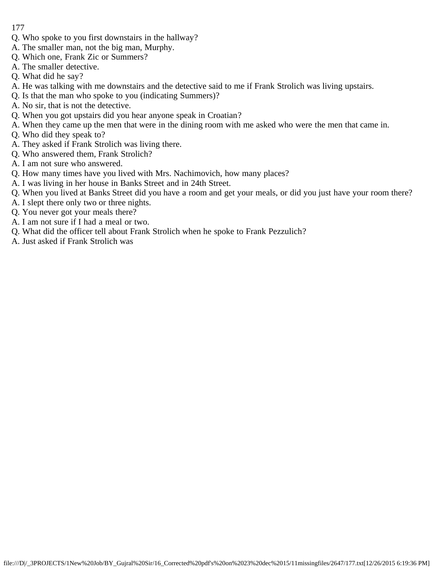- 177
- Q. Who spoke to you first downstairs in the hallway?
- A. The smaller man, not the big man, Murphy.
- Q. Which one, Frank Zic or Summers?
- A. The smaller detective.
- Q. What did he say?
- A. He was talking with me downstairs and the detective said to me if Frank Strolich was living upstairs.
- Q. Is that the man who spoke to you (indicating Summers)?
- A. No sir, that is not the detective.
- Q. When you got upstairs did you hear anyone speak in Croatian?
- A. When they came up the men that were in the dining room with me asked who were the men that came in.
- Q. Who did they speak to?
- A. They asked if Frank Strolich was living there.
- Q. Who answered them, Frank Strolich?
- A. I am not sure who answered.
- Q. How many times have you lived with Mrs. Nachimovich, how many places?
- A. I was living in her house in Banks Street and in 24th Street.
- Q. When you lived at Banks Street did you have a room and get your meals, or did you just have your room there?
- A. I slept there only two or three nights.
- Q. You never got your meals there?
- A. I am not sure if I had a meal or two.
- Q. What did the officer tell about Frank Strolich when he spoke to Frank Pezzulich?
- A. Just asked if Frank Strolich was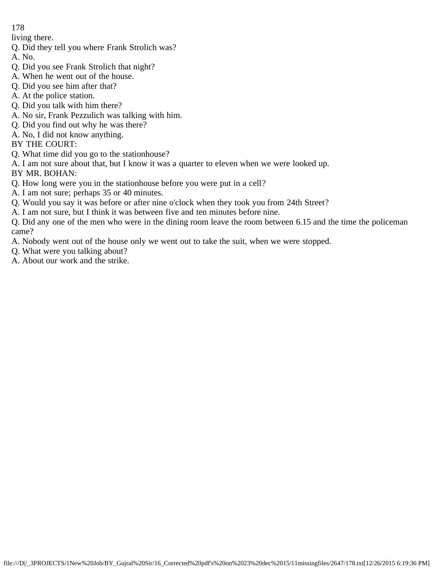living there.

- Q. Did they tell you where Frank Strolich was?
- A. No.
- Q. Did you see Frank Strolich that night?
- A. When he went out of the house.
- Q. Did you see him after that?
- A. At the police station.
- Q. Did you talk with him there?
- A. No sir, Frank Pezzulich was talking with him.
- Q. Did you find out why he was there?
- A. No, I did not know anything.

BY THE COURT:

- Q. What time did you go to the stationhouse?
- A. I am not sure about that, but I know it was a quarter to eleven when we were looked up.

BY MR. BOHAN:

- Q. How long were you in the stationhouse before you were put in a cell?
- A. I am not sure; perhaps 35 or 40 minutes.
- Q. Would you say it was before or after nine o'clock when they took you from 24th Street?
- A. I am not sure, but I think it was between five and ten minutes before nine.

Q. Did any one of the men who were in the dining room leave the room between 6.15 and the time the policeman came?

- A. Nobody went out of the house only we went out to take the suit, when we were stopped.
- Q. What were you talking about?
- A. About our work and the strike.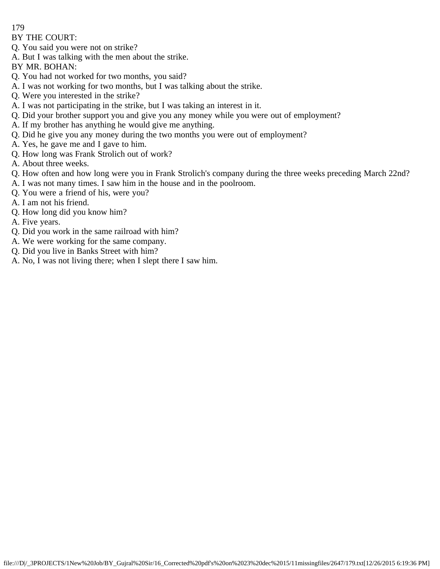BY THE COURT:

- Q. You said you were not on strike?
- A. But I was talking with the men about the strike.
- BY MR. BOHAN:
- Q. You had not worked for two months, you said?
- A. I was not working for two months, but I was talking about the strike.
- Q. Were you interested in the strike?
- A. I was not participating in the strike, but I was taking an interest in it.
- Q. Did your brother support you and give you any money while you were out of employment?
- A. If my brother has anything he would give me anything.
- Q. Did he give you any money during the two months you were out of employment?
- A. Yes, he gave me and I gave to him.
- Q. How long was Frank Strolich out of work?
- A. About three weeks.
- Q. How often and how long were you in Frank Strolich's company during the three weeks preceding March 22nd?
- A. I was not many times. I saw him in the house and in the poolroom.
- Q. You were a friend of his, were you?
- A. I am not his friend.
- Q. How long did you know him?
- A. Five years.
- Q. Did you work in the same railroad with him?
- A. We were working for the same company.
- Q. Did you live in Banks Street with him?
- A. No, I was not living there; when I slept there I saw him.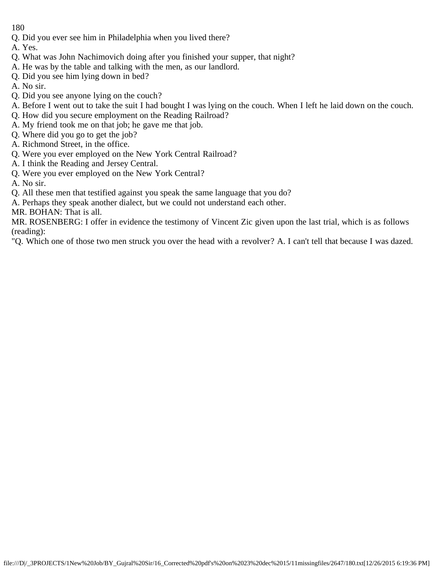Q. Did you ever see him in Philadelphia when you lived there?

A. Yes.

- Q. What was John Nachimovich doing after you finished your supper, that night?
- A. He was by the table and talking with the men, as our landlord.
- Q. Did you see him lying down in bed?
- A. No sir.
- Q. Did you see anyone lying on the couch?
- A. Before I went out to take the suit I had bought I was lying on the couch. When I left he laid down on the couch.
- Q. How did you secure employment on the Reading Railroad?
- A. My friend took me on that job; he gave me that job.
- Q. Where did you go to get the job?
- A. Richmond Street, in the office.
- Q. Were you ever employed on the New York Central Railroad?
- A. I think the Reading and Jersey Central.
- Q. Were you ever employed on the New York Central?
- A. No sir.
- Q. All these men that testified against you speak the same language that you do?
- A. Perhaps they speak another dialect, but we could not understand each other.
- MR. BOHAN: That is all.

MR. ROSENBERG: I offer in evidence the testimony of Vincent Zic given upon the last trial, which is as follows (reading):

"Q. Which one of those two men struck you over the head with a revolver? A. I can't tell that because I was dazed.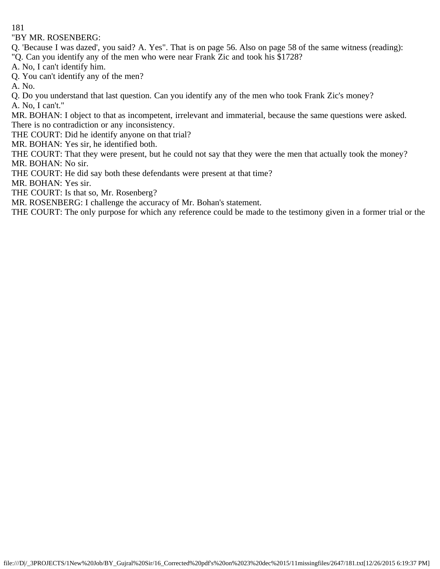"BY MR. ROSENBERG:

Q. 'Because I was dazed', you said? A. Yes". That is on page 56. Also on page 58 of the same witness (reading): "Q. Can you identify any of the men who were near Frank Zic and took his \$1728?

A. No, I can't identify him.

Q. You can't identify any of the men?

A. No.

Q. Do you understand that last question. Can you identify any of the men who took Frank Zic's money? A. No, I can't."

MR. BOHAN: I object to that as incompetent, irrelevant and immaterial, because the same questions were asked. There is no contradiction or any inconsistency.

THE COURT: Did he identify anyone on that trial?

MR. BOHAN: Yes sir, he identified both.

THE COURT: That they were present, but he could not say that they were the men that actually took the money? MR. BOHAN: No sir.

THE COURT: He did say both these defendants were present at that time?

MR. BOHAN: Yes sir.

THE COURT: Is that so, Mr. Rosenberg?

MR. ROSENBERG: I challenge the accuracy of Mr. Bohan's statement.

THE COURT: The only purpose for which any reference could be made to the testimony given in a former trial or the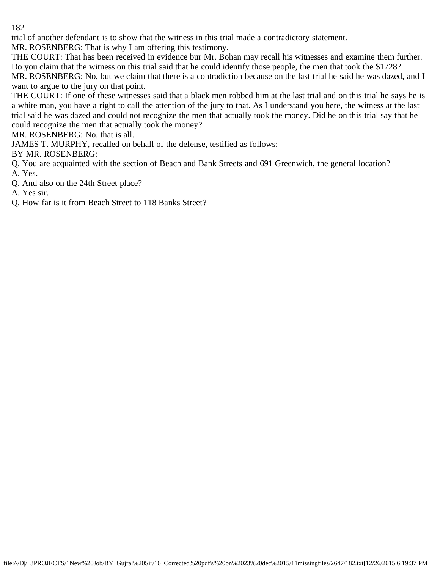trial of another defendant is to show that the witness in this trial made a contradictory statement.

MR. ROSENBERG: That is why I am offering this testimony.

THE COURT: That has been received in evidence bur Mr. Bohan may recall his witnesses and examine them further. Do you claim that the witness on this trial said that he could identify those people, the men that took the \$1728? MR. ROSENBERG: No, but we claim that there is a contradiction because on the last trial he said he was dazed, and I want to argue to the jury on that point.

THE COURT: If one of these witnesses said that a black men robbed him at the last trial and on this trial he says he is a white man, you have a right to call the attention of the jury to that. As I understand you here, the witness at the last trial said he was dazed and could not recognize the men that actually took the money. Did he on this trial say that he could recognize the men that actually took the money?

MR. ROSENBERG: No. that is all.

JAMES T. MURPHY, recalled on behalf of the defense, testified as follows:

BY MR. ROSENBERG:

- Q. You are acquainted with the section of Beach and Bank Streets and 691 Greenwich, the general location? A. Yes.
- Q. And also on the 24th Street place?
- A. Yes sir.
- Q. How far is it from Beach Street to 118 Banks Street?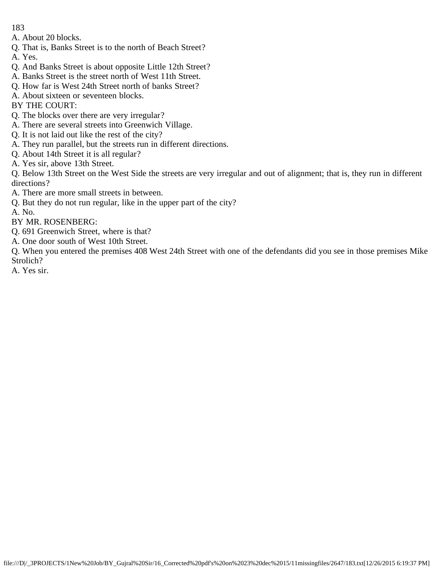A. About 20 blocks.

- Q. That is, Banks Street is to the north of Beach Street?
- A. Yes.
- Q. And Banks Street is about opposite Little 12th Street?
- A. Banks Street is the street north of West 11th Street.
- Q. How far is West 24th Street north of banks Street?
- A. About sixteen or seventeen blocks.
- BY THE COURT:
- Q. The blocks over there are very irregular?
- A. There are several streets into Greenwich Village.
- Q. It is not laid out like the rest of the city?
- A. They run parallel, but the streets run in different directions.
- Q. About 14th Street it is all regular?
- A. Yes sir, above 13th Street.

Q. Below 13th Street on the West Side the streets are very irregular and out of alignment; that is, they run in different directions?

- A. There are more small streets in between.
- Q. But they do not run regular, like in the upper part of the city?

A. No.

BY MR. ROSENBERG:

- Q. 691 Greenwich Street, where is that?
- A. One door south of West 10th Street.

Q. When you entered the premises 408 West 24th Street with one of the defendants did you see in those premises Mike Strolich?

A. Yes sir.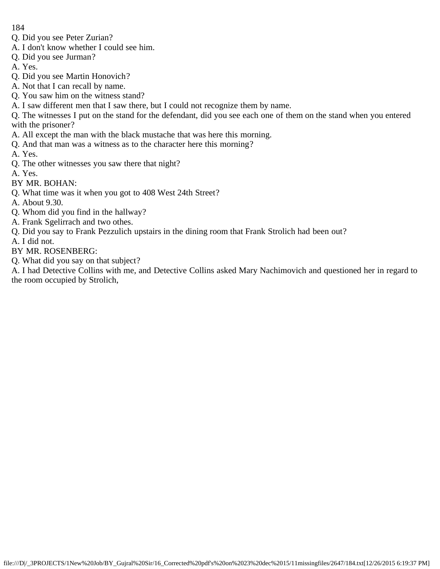- Q. Did you see Peter Zurian?
- A. I don't know whether I could see him.
- Q. Did you see Jurman?
- A. Yes.
- Q. Did you see Martin Honovich?
- A. Not that I can recall by name.
- Q. You saw him on the witness stand?
- A. I saw different men that I saw there, but I could not recognize them by name.
- Q. The witnesses I put on the stand for the defendant, did you see each one of them on the stand when you entered with the prisoner?
- A. All except the man with the black mustache that was here this morning.
- Q. And that man was a witness as to the character here this morning?
- A. Yes.
- Q. The other witnesses you saw there that night?
- A. Yes.
- BY MR. BOHAN:
- Q. What time was it when you got to 408 West 24th Street?
- A. About 9.30.
- Q. Whom did you find in the hallway?
- A. Frank Sgelirrach and two othes.
- Q. Did you say to Frank Pezzulich upstairs in the dining room that Frank Strolich had been out?
- A. I did not.
- BY MR. ROSENBERG:
- Q. What did you say on that subject?
- A. I had Detective Collins with me, and Detective Collins asked Mary Nachimovich and questioned her in regard to the room occupied by Strolich,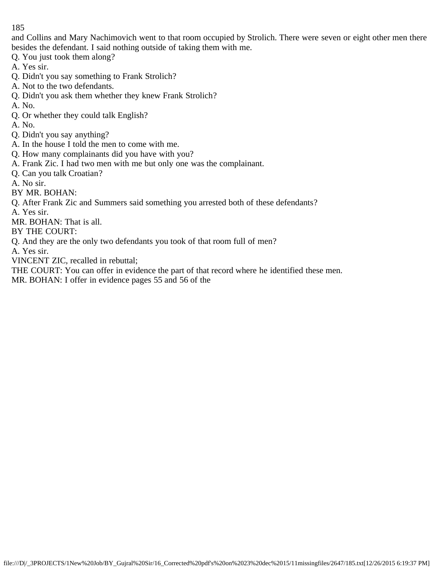and Collins and Mary Nachimovich went to that room occupied by Strolich. There were seven or eight other men there besides the defendant. I said nothing outside of taking them with me.

- Q. You just took them along?
- A. Yes sir.
- Q. Didn't you say something to Frank Strolich?
- A. Not to the two defendants.
- Q. Didn't you ask them whether they knew Frank Strolich?
- A. No.
- Q. Or whether they could talk English?
- A. No.
- Q. Didn't you say anything?
- A. In the house I told the men to come with me.
- Q. How many complainants did you have with you?
- A. Frank Zic. I had two men with me but only one was the complainant.
- Q. Can you talk Croatian?
- A. No sir.
- BY MR. BOHAN:
- Q. After Frank Zic and Summers said something you arrested both of these defendants?
- A. Yes sir.
- MR. BOHAN: That is all.
- BY THE COURT:
- Q. And they are the only two defendants you took of that room full of men?
- A. Yes sir.
- VINCENT ZIC, recalled in rebuttal;
- THE COURT: You can offer in evidence the part of that record where he identified these men. MR. BOHAN: I offer in evidence pages 55 and 56 of the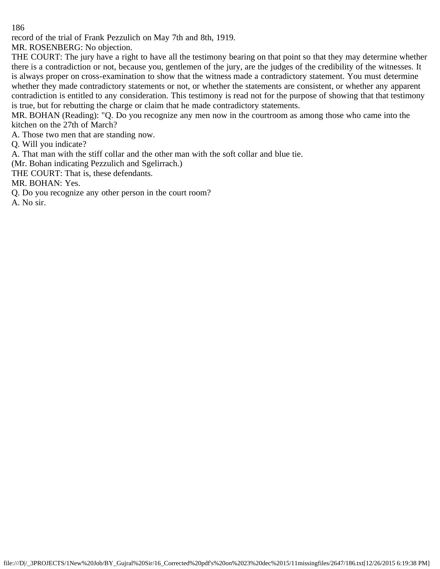record of the trial of Frank Pezzulich on May 7th and 8th, 1919.

MR. ROSENBERG: No objection.

THE COURT: The jury have a right to have all the testimony bearing on that point so that they may determine whether there is a contradiction or not, because you, gentlemen of the jury, are the judges of the credibility of the witnesses. It is always proper on cross-examination to show that the witness made a contradictory statement. You must determine whether they made contradictory statements or not, or whether the statements are consistent, or whether any apparent contradiction is entitled to any consideration. This testimony is read not for the purpose of showing that that testimony is true, but for rebutting the charge or claim that he made contradictory statements.

MR. BOHAN (Reading): "Q. Do you recognize any men now in the courtroom as among those who came into the kitchen on the 27th of March?

A. Those two men that are standing now.

Q. Will you indicate?

A. That man with the stiff collar and the other man with the soft collar and blue tie.

(Mr. Bohan indicating Pezzulich and Sgelirrach.)

THE COURT: That is, these defendants.

MR. BOHAN: Yes.

Q. Do you recognize any other person in the court room?

A. No sir.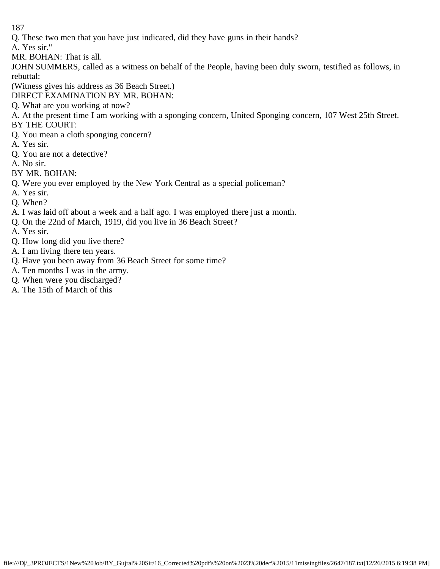- Q. These two men that you have just indicated, did they have guns in their hands?
- A. Yes sir."
- MR. BOHAN: That is all.
- JOHN SUMMERS, called as a witness on behalf of the People, having been duly sworn, testified as follows, in rebuttal:
- (Witness gives his address as 36 Beach Street.)
- DIRECT EXAMINATION BY MR. BOHAN:
- Q. What are you working at now?
- A. At the present time I am working with a sponging concern, United Sponging concern, 107 West 25th Street. BY THE COURT:
- Q. You mean a cloth sponging concern?
- A. Yes sir.
- Q. You are not a detective?
- A. No sir.
- BY MR. BOHAN:
- Q. Were you ever employed by the New York Central as a special policeman?
- A. Yes sir.
- Q. When?
- A. I was laid off about a week and a half ago. I was employed there just a month.
- Q. On the 22nd of March, 1919, did you live in 36 Beach Street?
- A. Yes sir.
- Q. How long did you live there?
- A. I am living there ten years.
- Q. Have you been away from 36 Beach Street for some time?
- A. Ten months I was in the army.
- Q. When were you discharged?
- A. The 15th of March of this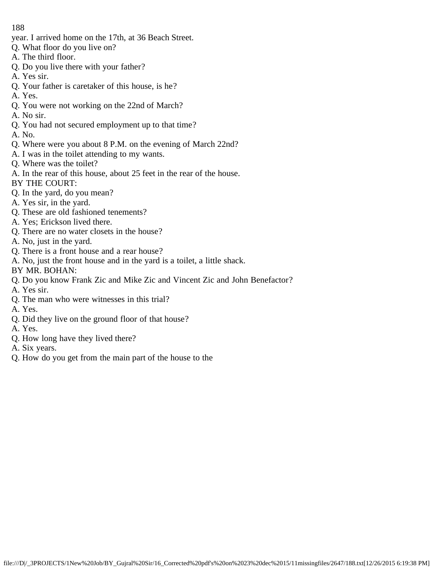- year. I arrived home on the 17th, at 36 Beach Street.
- Q. What floor do you live on?
- A. The third floor.
- Q. Do you live there with your father?
- A. Yes sir.
- Q. Your father is caretaker of this house, is he?
- A. Yes.
- Q. You were not working on the 22nd of March?
- A. No sir.
- Q. You had not secured employment up to that time?
- A. No.
- Q. Where were you about 8 P.M. on the evening of March 22nd?
- A. I was in the toilet attending to my wants.
- Q. Where was the toilet?
- A. In the rear of this house, about 25 feet in the rear of the house.
- BY THE COURT:
- Q. In the yard, do you mean?
- A. Yes sir, in the yard.
- Q. These are old fashioned tenements?
- A. Yes; Erickson lived there.
- Q. There are no water closets in the house?
- A. No, just in the yard.
- Q. There is a front house and a rear house?
- A. No, just the front house and in the yard is a toilet, a little shack.
- BY MR. BOHAN:
- Q. Do you know Frank Zic and Mike Zic and Vincent Zic and John Benefactor?
- A. Yes sir.
- Q. The man who were witnesses in this trial?
- A. Yes.
- Q. Did they live on the ground floor of that house?
- A. Yes.
- Q. How long have they lived there?
- A. Six years.
- Q. How do you get from the main part of the house to the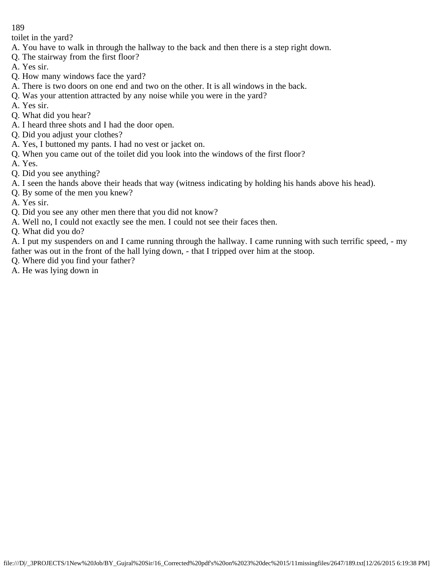toilet in the yard?

- A. You have to walk in through the hallway to the back and then there is a step right down.
- Q. The stairway from the first floor?
- A. Yes sir.
- Q. How many windows face the yard?
- A. There is two doors on one end and two on the other. It is all windows in the back.
- Q. Was your attention attracted by any noise while you were in the yard?
- A. Yes sir.
- Q. What did you hear?
- A. I heard three shots and I had the door open.
- Q. Did you adjust your clothes?
- A. Yes, I buttoned my pants. I had no vest or jacket on.
- Q. When you came out of the toilet did you look into the windows of the first floor?
- A. Yes.
- Q. Did you see anything?
- A. I seen the hands above their heads that way (witness indicating by holding his hands above his head).
- Q. By some of the men you knew?
- A. Yes sir.
- Q. Did you see any other men there that you did not know?
- A. Well no, I could not exactly see the men. I could not see their faces then.
- Q. What did you do?

A. I put my suspenders on and I came running through the hallway. I came running with such terrific speed, - my father was out in the front of the hall lying down, - that I tripped over him at the stoop.

- Q. Where did you find your father?
- A. He was lying down in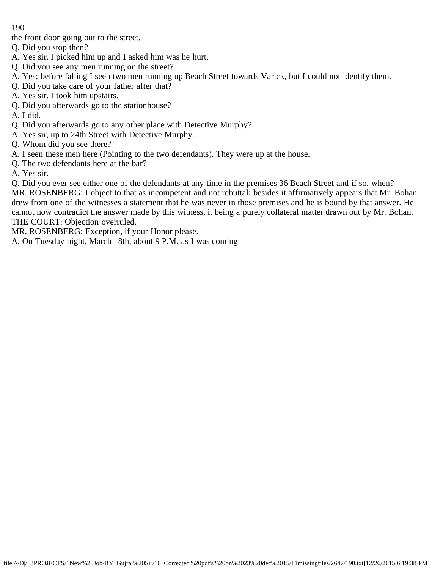the front door going out to the street.

Q. Did you stop then?

- A. Yes sir. I picked him up and I asked him was he hurt.
- Q. Did you see any men running on the street?
- A. Yes; before falling I seen two men running up Beach Street towards Varick, but I could not identify them.
- Q. Did you take care of your father after that?
- A. Yes sir. I took him upstairs.
- Q. Did you afterwards go to the stationhouse?

A. I did.

- Q. Did you afterwards go to any other place with Detective Murphy?
- A. Yes sir, up to 24th Street with Detective Murphy.
- Q. Whom did you see there?
- A. I seen these men here (Pointing to the two defendants). They were up at the house.
- Q. The two defendants here at the bar?

A. Yes sir.

Q. Did you ever see either one of the defendants at any time in the premises 36 Beach Street and if so, when? MR. ROSENBERG: I object to that as incompetent and not rebuttal; besides it affirmatively appears that Mr. Bohan drew from one of the witnesses a statement that he was never in those premises and he is bound by that answer. He cannot now contradict the answer made by this witness, it being a purely collateral matter drawn out by Mr. Bohan. THE COURT: Objection overruled.

MR. ROSENBERG: Exception, if your Honor please.

A. On Tuesday night, March 18th, about 9 P.M. as I was coming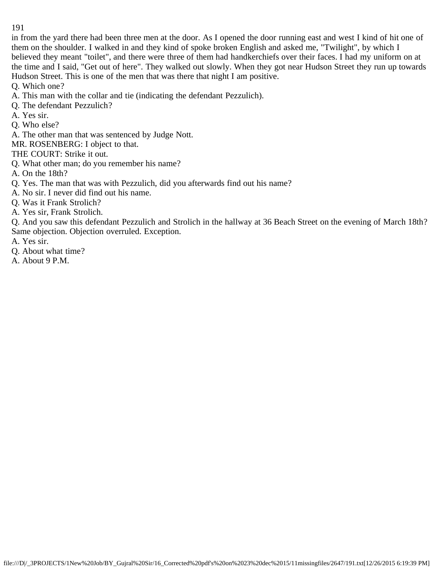in from the yard there had been three men at the door. As I opened the door running east and west I kind of hit one of them on the shoulder. I walked in and they kind of spoke broken English and asked me, "Twilight", by which I believed they meant "toilet", and there were three of them had handkerchiefs over their faces. I had my uniform on at the time and I said, "Get out of here". They walked out slowly. When they got near Hudson Street they run up towards Hudson Street. This is one of the men that was there that night I am positive.

Q. Which one?

- A. This man with the collar and tie (indicating the defendant Pezzulich).
- Q. The defendant Pezzulich?
- A. Yes sir.
- Q. Who else?
- A. The other man that was sentenced by Judge Nott.

MR. ROSENBERG: I object to that.

THE COURT: Strike it out.

Q. What other man; do you remember his name?

A. On the 18th?

- Q. Yes. The man that was with Pezzulich, did you afterwards find out his name?
- A. No sir. I never did find out his name.

Q. Was it Frank Strolich?

A. Yes sir, Frank Strolich.

Q. And you saw this defendant Pezzulich and Strolich in the hallway at 36 Beach Street on the evening of March 18th? Same objection. Objection overruled. Exception.

A. Yes sir.

Q. About what time?

A. About 9 P.M.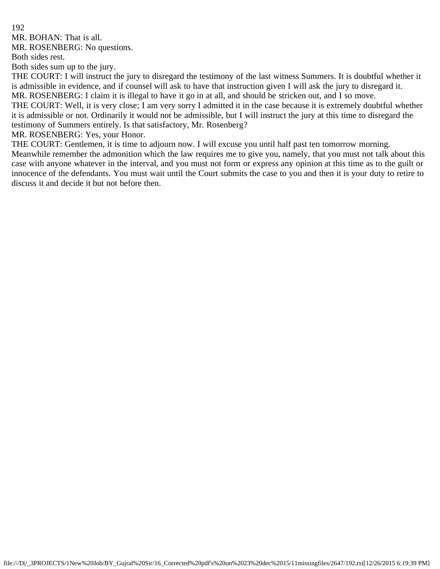MR. BOHAN: That is all.

MR. ROSENBERG: No questions.

Both sides rest.

Both sides sum up to the jury.

THE COURT: I will instruct the jury to disregard the testimony of the last witness Summers. It is doubtful whether it is admissible in evidence, and if counsel will ask to have that instruction given I will ask the jury to disregard it.

MR. ROSENBERG: I claim it is illegal to have it go in at all, and should be stricken out, and I so move. THE COURT: Well, it is very close; I am very sorry I admitted it in the case because it is extremely doubtful whether it is admissible or not. Ordinarily it would not be admissible, but I will instruct the jury at this time to disregard the

testimony of Summers entirely. Is that satisfactory, Mr. Rosenberg?

MR. ROSENBERG: Yes, your Honor.

THE COURT: Gentlemen, it is time to adjourn now. I will excuse you until half past ten tomorrow morning.

Meanwhile remember the admonition which the law requires me to give you, namely, that you must not talk about this case with anyone whatever in the interval, and you must not form or express any opinion at this time as to the guilt or innocence of the defendants. You must wait until the Court submits the case to you and then it is your duty to retire to discuss it and decide it but not before then.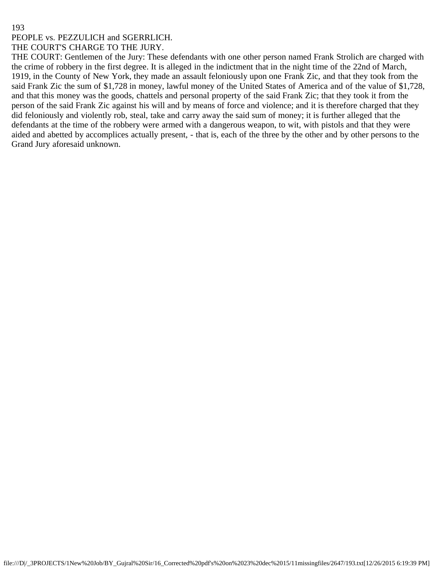#### PEOPLE vs. PEZZULICH and SGERRLICH. THE COURT'S CHARGE TO THE JURY.

THE COURT: Gentlemen of the Jury: These defendants with one other person named Frank Strolich are charged with the crime of robbery in the first degree. It is alleged in the indictment that in the night time of the 22nd of March, 1919, in the County of New York, they made an assault feloniously upon one Frank Zic, and that they took from the said Frank Zic the sum of \$1,728 in money, lawful money of the United States of America and of the value of \$1,728, and that this money was the goods, chattels and personal property of the said Frank Zic; that they took it from the person of the said Frank Zic against his will and by means of force and violence; and it is therefore charged that they did feloniously and violently rob, steal, take and carry away the said sum of money; it is further alleged that the defendants at the time of the robbery were armed with a dangerous weapon, to wit, with pistols and that they were aided and abetted by accomplices actually present, - that is, each of the three by the other and by other persons to the Grand Jury aforesaid unknown.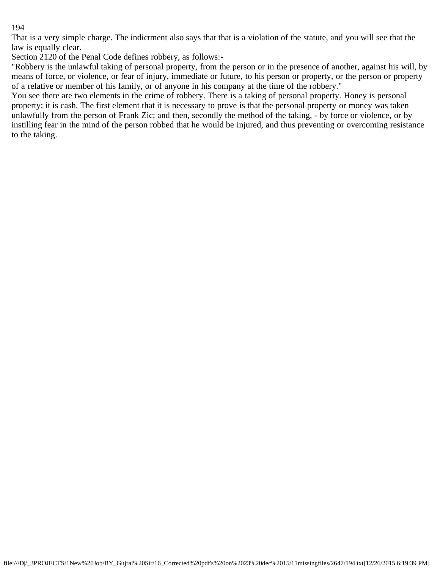That is a very simple charge. The indictment also says that that is a violation of the statute, and you will see that the law is equally clear.

Section 2120 of the Penal Code defines robbery, as follows:-

"Robbery is the unlawful taking of personal property, from the person or in the presence of another, against his will, by means of force, or violence, or fear of injury, immediate or future, to his person or property, or the person or property of a relative or member of his family, or of anyone in his company at the time of the robbery."

You see there are two elements in the crime of robbery. There is a taking of personal property. Honey is personal property; it is cash. The first element that it is necessary to prove is that the personal property or money was taken unlawfully from the person of Frank Zic; and then, secondly the method of the taking, - by force or violence, or by instilling fear in the mind of the person robbed that he would be injured, and thus preventing or overcoming resistance to the taking.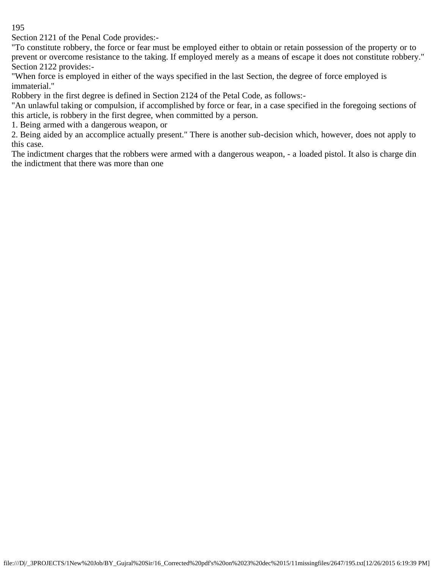Section 2121 of the Penal Code provides:-

"To constitute robbery, the force or fear must be employed either to obtain or retain possession of the property or to prevent or overcome resistance to the taking. If employed merely as a means of escape it does not constitute robbery." Section 2122 provides:-

"When force is employed in either of the ways specified in the last Section, the degree of force employed is immaterial."

Robbery in the first degree is defined in Section 2124 of the Petal Code, as follows:-

"An unlawful taking or compulsion, if accomplished by force or fear, in a case specified in the foregoing sections of this article, is robbery in the first degree, when committed by a person.

1. Being armed with a dangerous weapon, or

2. Being aided by an accomplice actually present." There is another sub-decision which, however, does not apply to this case.

The indictment charges that the robbers were armed with a dangerous weapon, - a loaded pistol. It also is charge din the indictment that there was more than one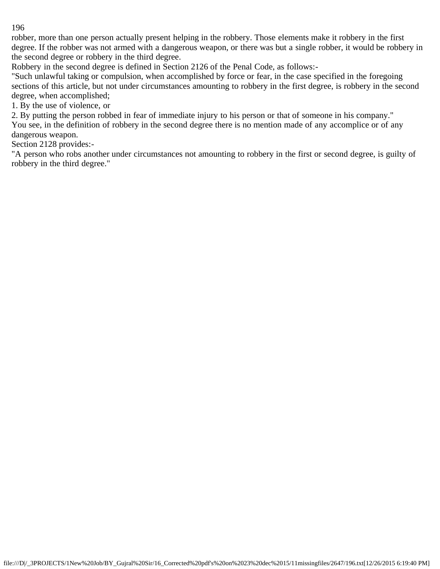robber, more than one person actually present helping in the robbery. Those elements make it robbery in the first degree. If the robber was not armed with a dangerous weapon, or there was but a single robber, it would be robbery in the second degree or robbery in the third degree.

Robbery in the second degree is defined in Section 2126 of the Penal Code, as follows:-

"Such unlawful taking or compulsion, when accomplished by force or fear, in the case specified in the foregoing sections of this article, but not under circumstances amounting to robbery in the first degree, is robbery in the second degree, when accomplished;

1. By the use of violence, or

2. By putting the person robbed in fear of immediate injury to his person or that of someone in his company." You see, in the definition of robbery in the second degree there is no mention made of any accomplice or of any dangerous weapon.

Section 2128 provides:-

"A person who robs another under circumstances not amounting to robbery in the first or second degree, is guilty of robbery in the third degree."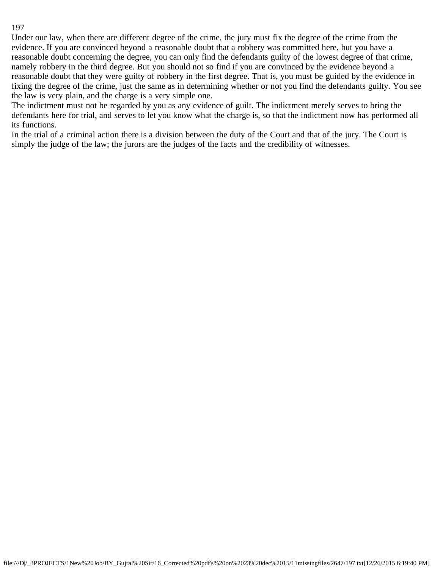Under our law, when there are different degree of the crime, the jury must fix the degree of the crime from the evidence. If you are convinced beyond a reasonable doubt that a robbery was committed here, but you have a reasonable doubt concerning the degree, you can only find the defendants guilty of the lowest degree of that crime, namely robbery in the third degree. But you should not so find if you are convinced by the evidence beyond a reasonable doubt that they were guilty of robbery in the first degree. That is, you must be guided by the evidence in fixing the degree of the crime, just the same as in determining whether or not you find the defendants guilty. You see the law is very plain, and the charge is a very simple one.

The indictment must not be regarded by you as any evidence of guilt. The indictment merely serves to bring the defendants here for trial, and serves to let you know what the charge is, so that the indictment now has performed all its functions.

In the trial of a criminal action there is a division between the duty of the Court and that of the jury. The Court is simply the judge of the law; the jurors are the judges of the facts and the credibility of witnesses.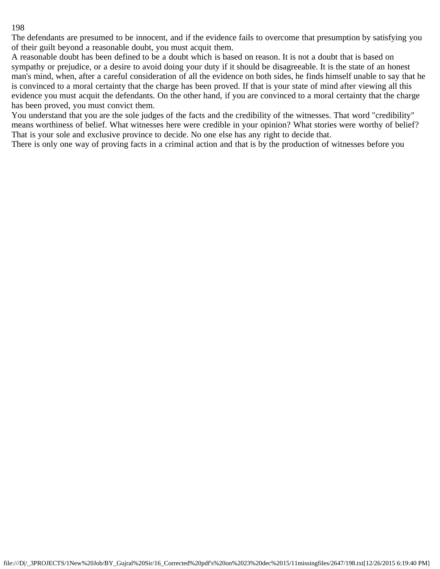The defendants are presumed to be innocent, and if the evidence fails to overcome that presumption by satisfying you of their guilt beyond a reasonable doubt, you must acquit them.

A reasonable doubt has been defined to be a doubt which is based on reason. It is not a doubt that is based on sympathy or prejudice, or a desire to avoid doing your duty if it should be disagreeable. It is the state of an honest man's mind, when, after a careful consideration of all the evidence on both sides, he finds himself unable to say that he is convinced to a moral certainty that the charge has been proved. If that is your state of mind after viewing all this evidence you must acquit the defendants. On the other hand, if you are convinced to a moral certainty that the charge has been proved, you must convict them.

You understand that you are the sole judges of the facts and the credibility of the witnesses. That word "credibility" means worthiness of belief. What witnesses here were credible in your opinion? What stories were worthy of belief? That is your sole and exclusive province to decide. No one else has any right to decide that.

There is only one way of proving facts in a criminal action and that is by the production of witnesses before you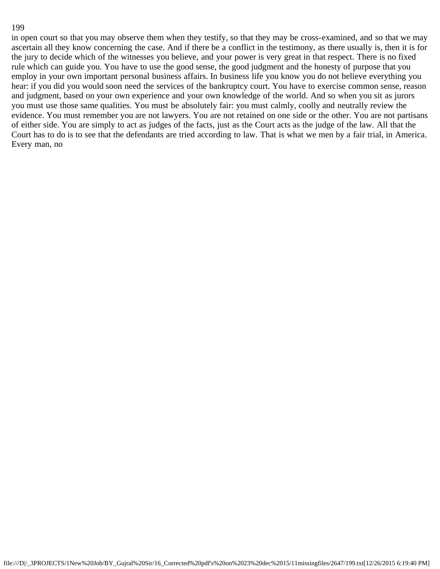in open court so that you may observe them when they testify, so that they may be cross-examined, and so that we may ascertain all they know concerning the case. And if there be a conflict in the testimony, as there usually is, then it is for the jury to decide which of the witnesses you believe, and your power is very great in that respect. There is no fixed rule which can guide you. You have to use the good sense, the good judgment and the honesty of purpose that you employ in your own important personal business affairs. In business life you know you do not believe everything you hear: if you did you would soon need the services of the bankruptcy court. You have to exercise common sense, reason and judgment, based on your own experience and your own knowledge of the world. And so when you sit as jurors you must use those same qualities. You must be absolutely fair: you must calmly, coolly and neutrally review the evidence. You must remember you are not lawyers. You are not retained on one side or the other. You are not partisans of either side. You are simply to act as judges of the facts, just as the Court acts as the judge of the law. All that the Court has to do is to see that the defendants are tried according to law. That is what we men by a fair trial, in America. Every man, no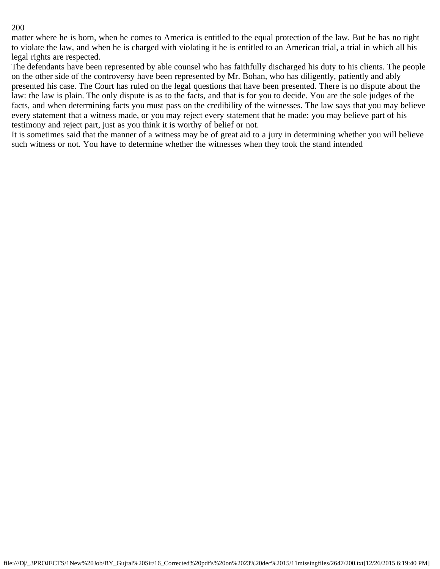matter where he is born, when he comes to America is entitled to the equal protection of the law. But he has no right to violate the law, and when he is charged with violating it he is entitled to an American trial, a trial in which all his legal rights are respected.

The defendants have been represented by able counsel who has faithfully discharged his duty to his clients. The people on the other side of the controversy have been represented by Mr. Bohan, who has diligently, patiently and ably presented his case. The Court has ruled on the legal questions that have been presented. There is no dispute about the law: the law is plain. The only dispute is as to the facts, and that is for you to decide. You are the sole judges of the facts, and when determining facts you must pass on the credibility of the witnesses. The law says that you may believe every statement that a witness made, or you may reject every statement that he made: you may believe part of his testimony and reject part, just as you think it is worthy of belief or not.

It is sometimes said that the manner of a witness may be of great aid to a jury in determining whether you will believe such witness or not. You have to determine whether the witnesses when they took the stand intended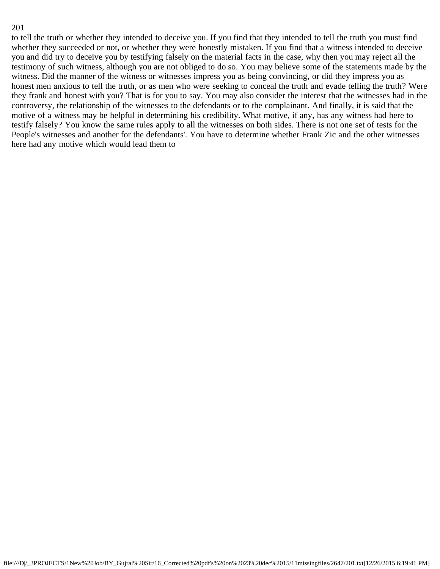to tell the truth or whether they intended to deceive you. If you find that they intended to tell the truth you must find whether they succeeded or not, or whether they were honestly mistaken. If you find that a witness intended to deceive you and did try to deceive you by testifying falsely on the material facts in the case, why then you may reject all the testimony of such witness, although you are not obliged to do so. You may believe some of the statements made by the witness. Did the manner of the witness or witnesses impress you as being convincing, or did they impress you as honest men anxious to tell the truth, or as men who were seeking to conceal the truth and evade telling the truth? Were they frank and honest with you? That is for you to say. You may also consider the interest that the witnesses had in the controversy, the relationship of the witnesses to the defendants or to the complainant. And finally, it is said that the motive of a witness may be helpful in determining his credibility. What motive, if any, has any witness had here to testify falsely? You know the same rules apply to all the witnesses on both sides. There is not one set of tests for the People's witnesses and another for the defendants'. You have to determine whether Frank Zic and the other witnesses here had any motive which would lead them to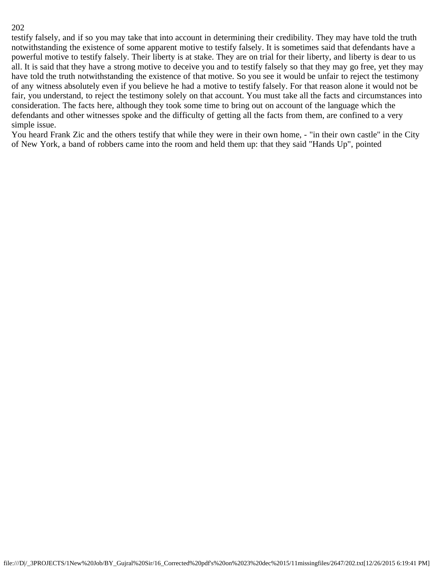testify falsely, and if so you may take that into account in determining their credibility. They may have told the truth notwithstanding the existence of some apparent motive to testify falsely. It is sometimes said that defendants have a powerful motive to testify falsely. Their liberty is at stake. They are on trial for their liberty, and liberty is dear to us all. It is said that they have a strong motive to deceive you and to testify falsely so that they may go free, yet they may have told the truth notwithstanding the existence of that motive. So you see it would be unfair to reject the testimony of any witness absolutely even if you believe he had a motive to testify falsely. For that reason alone it would not be fair, you understand, to reject the testimony solely on that account. You must take all the facts and circumstances into consideration. The facts here, although they took some time to bring out on account of the language which the defendants and other witnesses spoke and the difficulty of getting all the facts from them, are confined to a very simple issue.

You heard Frank Zic and the others testify that while they were in their own home, - "in their own castle" in the City of New York, a band of robbers came into the room and held them up: that they said "Hands Up", pointed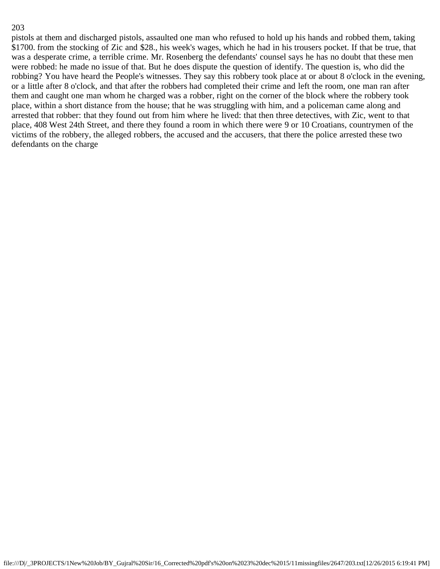pistols at them and discharged pistols, assaulted one man who refused to hold up his hands and robbed them, taking \$1700. from the stocking of Zic and \$28., his week's wages, which he had in his trousers pocket. If that be true, that was a desperate crime, a terrible crime. Mr. Rosenberg the defendants' counsel says he has no doubt that these men were robbed: he made no issue of that. But he does dispute the question of identify. The question is, who did the robbing? You have heard the People's witnesses. They say this robbery took place at or about 8 o'clock in the evening, or a little after 8 o'clock, and that after the robbers had completed their crime and left the room, one man ran after them and caught one man whom he charged was a robber, right on the corner of the block where the robbery took place, within a short distance from the house; that he was struggling with him, and a policeman came along and arrested that robber: that they found out from him where he lived: that then three detectives, with Zic, went to that place, 408 West 24th Street, and there they found a room in which there were 9 or 10 Croatians, countrymen of the victims of the robbery, the alleged robbers, the accused and the accusers, that there the police arrested these two defendants on the charge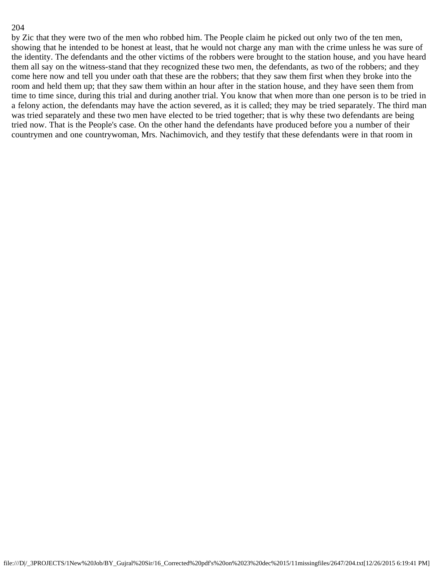by Zic that they were two of the men who robbed him. The People claim he picked out only two of the ten men, showing that he intended to be honest at least, that he would not charge any man with the crime unless he was sure of the identity. The defendants and the other victims of the robbers were brought to the station house, and you have heard them all say on the witness-stand that they recognized these two men, the defendants, as two of the robbers; and they come here now and tell you under oath that these are the robbers; that they saw them first when they broke into the room and held them up; that they saw them within an hour after in the station house, and they have seen them from time to time since, during this trial and during another trial. You know that when more than one person is to be tried in a felony action, the defendants may have the action severed, as it is called; they may be tried separately. The third man was tried separately and these two men have elected to be tried together; that is why these two defendants are being tried now. That is the People's case. On the other hand the defendants have produced before you a number of their countrymen and one countrywoman, Mrs. Nachimovich, and they testify that these defendants were in that room in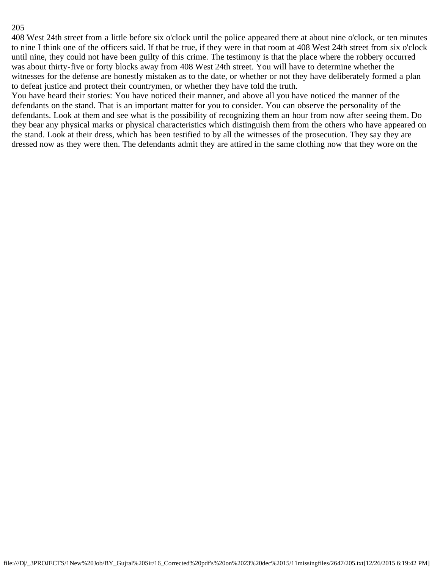408 West 24th street from a little before six o'clock until the police appeared there at about nine o'clock, or ten minutes to nine I think one of the officers said. If that be true, if they were in that room at 408 West 24th street from six o'clock until nine, they could not have been guilty of this crime. The testimony is that the place where the robbery occurred was about thirty-five or forty blocks away from 408 West 24th street. You will have to determine whether the witnesses for the defense are honestly mistaken as to the date, or whether or not they have deliberately formed a plan to defeat justice and protect their countrymen, or whether they have told the truth.

You have heard their stories: You have noticed their manner, and above all you have noticed the manner of the defendants on the stand. That is an important matter for you to consider. You can observe the personality of the defendants. Look at them and see what is the possibility of recognizing them an hour from now after seeing them. Do they bear any physical marks or physical characteristics which distinguish them from the others who have appeared on the stand. Look at their dress, which has been testified to by all the witnesses of the prosecution. They say they are dressed now as they were then. The defendants admit they are attired in the same clothing now that they wore on the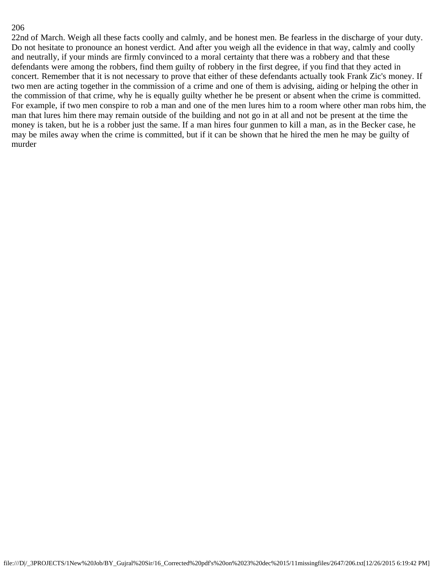22nd of March. Weigh all these facts coolly and calmly, and be honest men. Be fearless in the discharge of your duty. Do not hesitate to pronounce an honest verdict. And after you weigh all the evidence in that way, calmly and coolly and neutrally, if your minds are firmly convinced to a moral certainty that there was a robbery and that these defendants were among the robbers, find them guilty of robbery in the first degree, if you find that they acted in concert. Remember that it is not necessary to prove that either of these defendants actually took Frank Zic's money. If two men are acting together in the commission of a crime and one of them is advising, aiding or helping the other in the commission of that crime, why he is equally guilty whether he be present or absent when the crime is committed. For example, if two men conspire to rob a man and one of the men lures him to a room where other man robs him, the man that lures him there may remain outside of the building and not go in at all and not be present at the time the money is taken, but he is a robber just the same. If a man hires four gunmen to kill a man, as in the Becker case, he may be miles away when the crime is committed, but if it can be shown that he hired the men he may be guilty of murder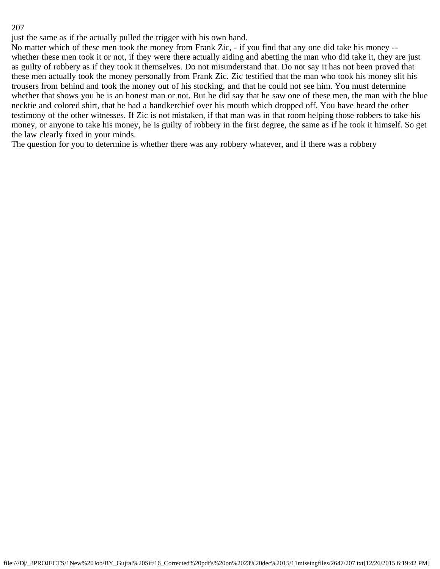just the same as if the actually pulled the trigger with his own hand.

No matter which of these men took the money from Frank Zic, - if you find that any one did take his money - whether these men took it or not, if they were there actually aiding and abetting the man who did take it, they are just as guilty of robbery as if they took it themselves. Do not misunderstand that. Do not say it has not been proved that these men actually took the money personally from Frank Zic. Zic testified that the man who took his money slit his trousers from behind and took the money out of his stocking, and that he could not see him. You must determine whether that shows you he is an honest man or not. But he did say that he saw one of these men, the man with the blue necktie and colored shirt, that he had a handkerchief over his mouth which dropped off. You have heard the other testimony of the other witnesses. If Zic is not mistaken, if that man was in that room helping those robbers to take his money, or anyone to take his money, he is guilty of robbery in the first degree, the same as if he took it himself. So get the law clearly fixed in your minds.

The question for you to determine is whether there was any robbery whatever, and if there was a robbery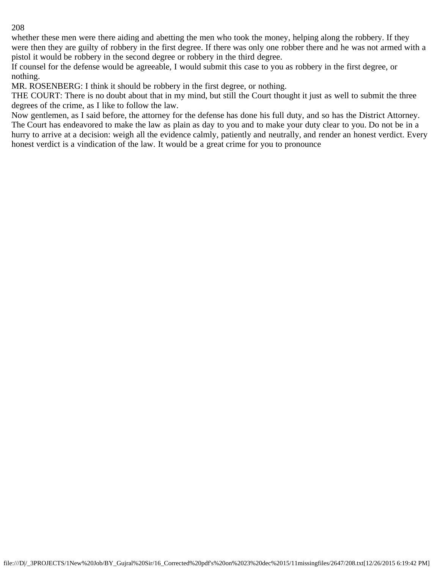whether these men were there aiding and abetting the men who took the money, helping along the robbery. If they were then they are guilty of robbery in the first degree. If there was only one robber there and he was not armed with a pistol it would be robbery in the second degree or robbery in the third degree.

If counsel for the defense would be agreeable, I would submit this case to you as robbery in the first degree, or nothing.

MR. ROSENBERG: I think it should be robbery in the first degree, or nothing.

THE COURT: There is no doubt about that in my mind, but still the Court thought it just as well to submit the three degrees of the crime, as I like to follow the law.

Now gentlemen, as I said before, the attorney for the defense has done his full duty, and so has the District Attorney. The Court has endeavored to make the law as plain as day to you and to make your duty clear to you. Do not be in a hurry to arrive at a decision: weigh all the evidence calmly, patiently and neutrally, and render an honest verdict. Every honest verdict is a vindication of the law. It would be a great crime for you to pronounce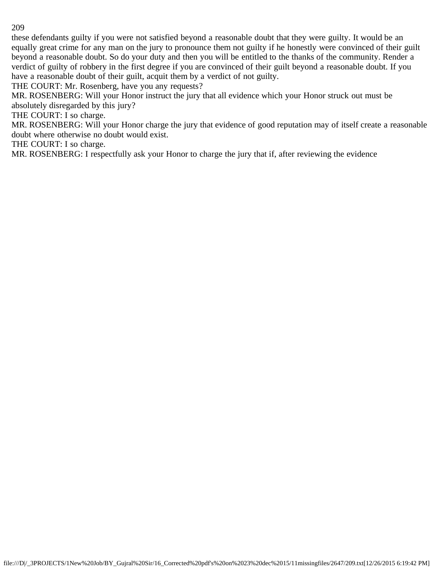these defendants guilty if you were not satisfied beyond a reasonable doubt that they were guilty. It would be an equally great crime for any man on the jury to pronounce them not guilty if he honestly were convinced of their guilt beyond a reasonable doubt. So do your duty and then you will be entitled to the thanks of the community. Render a verdict of guilty of robbery in the first degree if you are convinced of their guilt beyond a reasonable doubt. If you have a reasonable doubt of their guilt, acquit them by a verdict of not guilty.

THE COURT: Mr. Rosenberg, have you any requests?

MR. ROSENBERG: Will your Honor instruct the jury that all evidence which your Honor struck out must be absolutely disregarded by this jury?

THE COURT: I so charge.

MR. ROSENBERG: Will your Honor charge the jury that evidence of good reputation may of itself create a reasonable doubt where otherwise no doubt would exist.

THE COURT: I so charge.

MR. ROSENBERG: I respectfully ask your Honor to charge the jury that if, after reviewing the evidence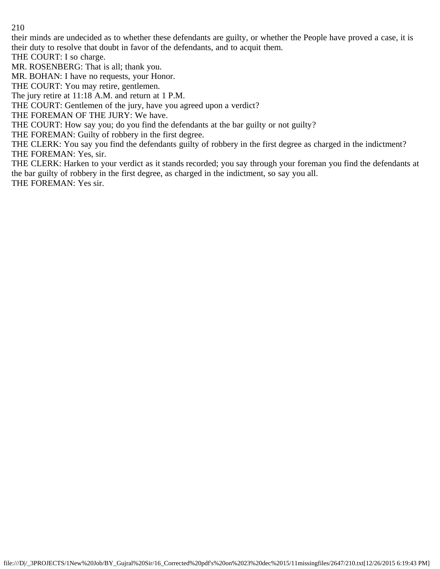their minds are undecided as to whether these defendants are guilty, or whether the People have proved a case, it is their duty to resolve that doubt in favor of the defendants, and to acquit them.

THE COURT: I so charge.

MR. ROSENBERG: That is all; thank you.

MR. BOHAN: I have no requests, your Honor.

THE COURT: You may retire, gentlemen.

The jury retire at 11:18 A.M. and return at 1 P.M.

THE COURT: Gentlemen of the jury, have you agreed upon a verdict?

THE FOREMAN OF THE JURY: We have.

THE COURT: How say you; do you find the defendants at the bar guilty or not guilty?

THE FOREMAN: Guilty of robbery in the first degree.

THE CLERK: You say you find the defendants guilty of robbery in the first degree as charged in the indictment? THE FOREMAN: Yes, sir.

THE CLERK: Harken to your verdict as it stands recorded; you say through your foreman you find the defendants at the bar guilty of robbery in the first degree, as charged in the indictment, so say you all. THE FOREMAN: Yes sir.